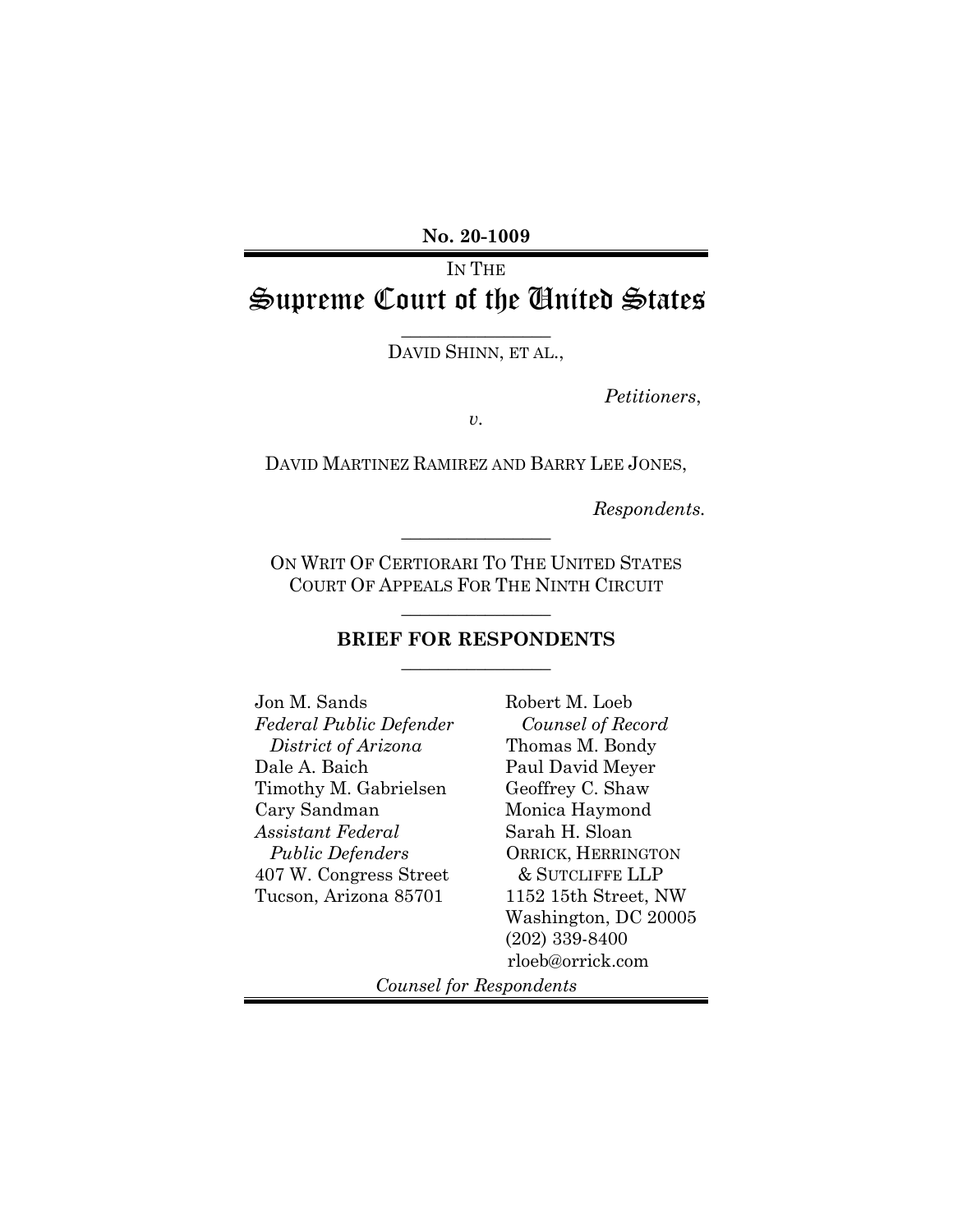**No. 20-1009** 

# IN THE Supreme Court of the United States

 $\overline{\phantom{a}}$  , where  $\overline{\phantom{a}}$ DAVID SHINN, ET AL.,

*Petitioners*,

*v.*

DAVID MARTINEZ RAMIREZ AND BARRY LEE JONES,

*Respondents.*

ON WRIT OF CERTIORARI TO THE UNITED STATES COURT OF APPEALS FOR THE NINTH CIRCUIT

 $\frac{1}{2}$  ,  $\frac{1}{2}$  ,  $\frac{1}{2}$  ,  $\frac{1}{2}$  ,  $\frac{1}{2}$  ,  $\frac{1}{2}$  ,  $\frac{1}{2}$  ,  $\frac{1}{2}$  ,  $\frac{1}{2}$ 

 $\frac{1}{2}$  ,  $\frac{1}{2}$  ,  $\frac{1}{2}$  ,  $\frac{1}{2}$  ,  $\frac{1}{2}$  ,  $\frac{1}{2}$  ,  $\frac{1}{2}$  ,  $\frac{1}{2}$  ,  $\frac{1}{2}$ 

# **BRIEF FOR RESPONDENTS**  $\frac{1}{2}$  ,  $\frac{1}{2}$  ,  $\frac{1}{2}$  ,  $\frac{1}{2}$  ,  $\frac{1}{2}$  ,  $\frac{1}{2}$  ,  $\frac{1}{2}$  ,  $\frac{1}{2}$  ,  $\frac{1}{2}$

Jon M. Sands *Federal Public Defender District of Arizona* Dale A. Baich Timothy M. Gabrielsen Cary Sandman *Assistant Federal Public Defenders* 407 W. Congress Street Tucson, Arizona 85701

Robert M. Loeb  *Counsel of Record* Thomas M. Bondy Paul David Meyer Geoffrey C. Shaw Monica Haymond Sarah H. Sloan ORRICK, HERRINGTON & SUTCLIFFE LLP 1152 15th Street, NW Washington, DC 20005 (202) 339-8400 rloeb@orrick.com

*Counsel for Respondents*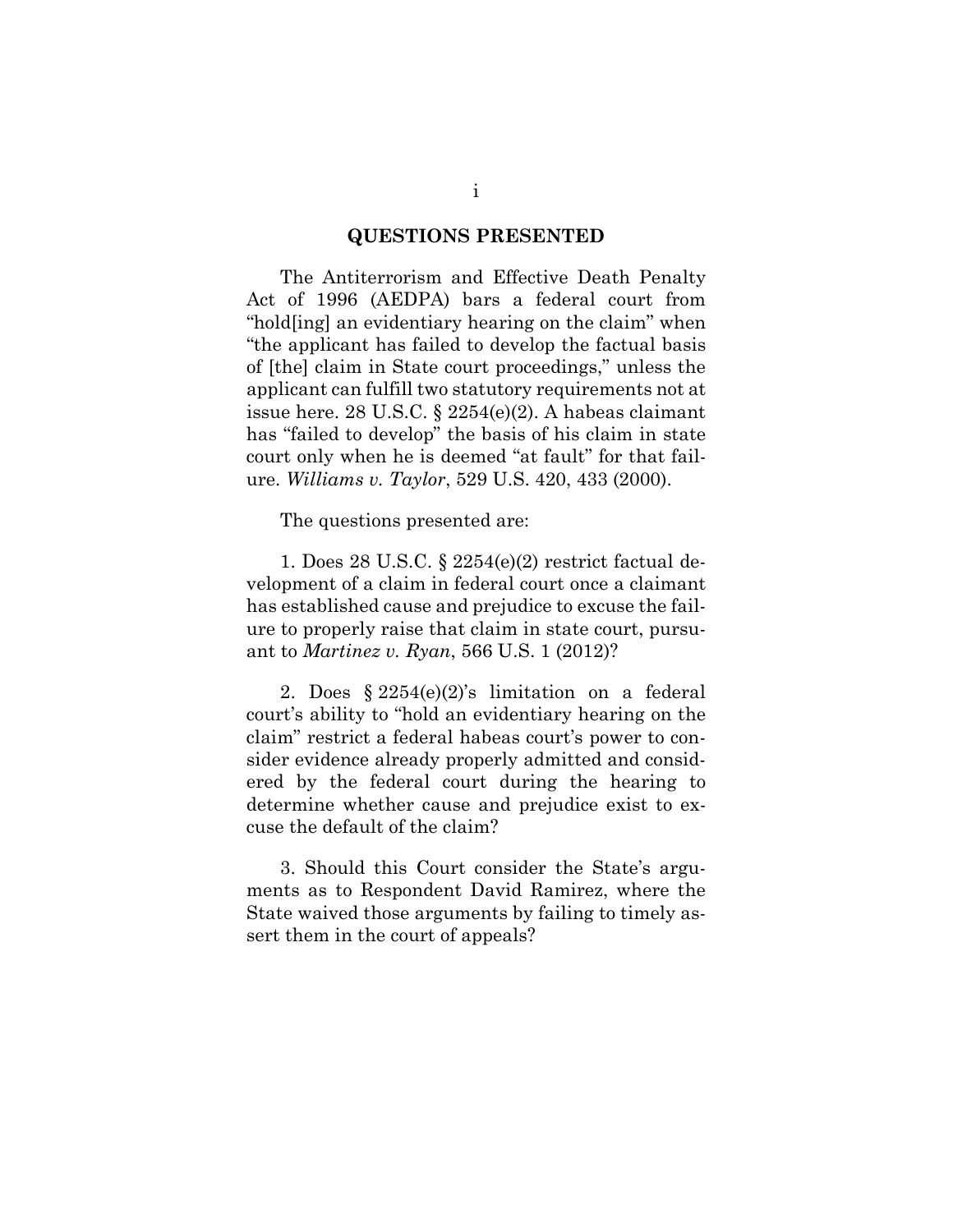#### **QUESTIONS PRESENTED**

The Antiterrorism and Effective Death Penalty Act of 1996 (AEDPA) bars a federal court from "hold[ing] an evidentiary hearing on the claim" when "the applicant has failed to develop the factual basis of [the] claim in State court proceedings," unless the applicant can fulfill two statutory requirements not at issue here. 28 U.S.C. § 2254(e)(2). A habeas claimant has "failed to develop" the basis of his claim in state court only when he is deemed "at fault" for that failure. *Williams v. Taylor*, 529 U.S. 420, 433 (2000).

The questions presented are:

1. Does 28 U.S.C. § 2254(e)(2) restrict factual development of a claim in federal court once a claimant has established cause and prejudice to excuse the failure to properly raise that claim in state court, pursuant to *Martinez v. Ryan*, 566 U.S. 1 (2012)?

2. Does § 2254(e)(2)'s limitation on a federal court's ability to "hold an evidentiary hearing on the claim" restrict a federal habeas court's power to consider evidence already properly admitted and considered by the federal court during the hearing to determine whether cause and prejudice exist to excuse the default of the claim?

3. Should this Court consider the State's arguments as to Respondent David Ramirez, where the State waived those arguments by failing to timely assert them in the court of appeals?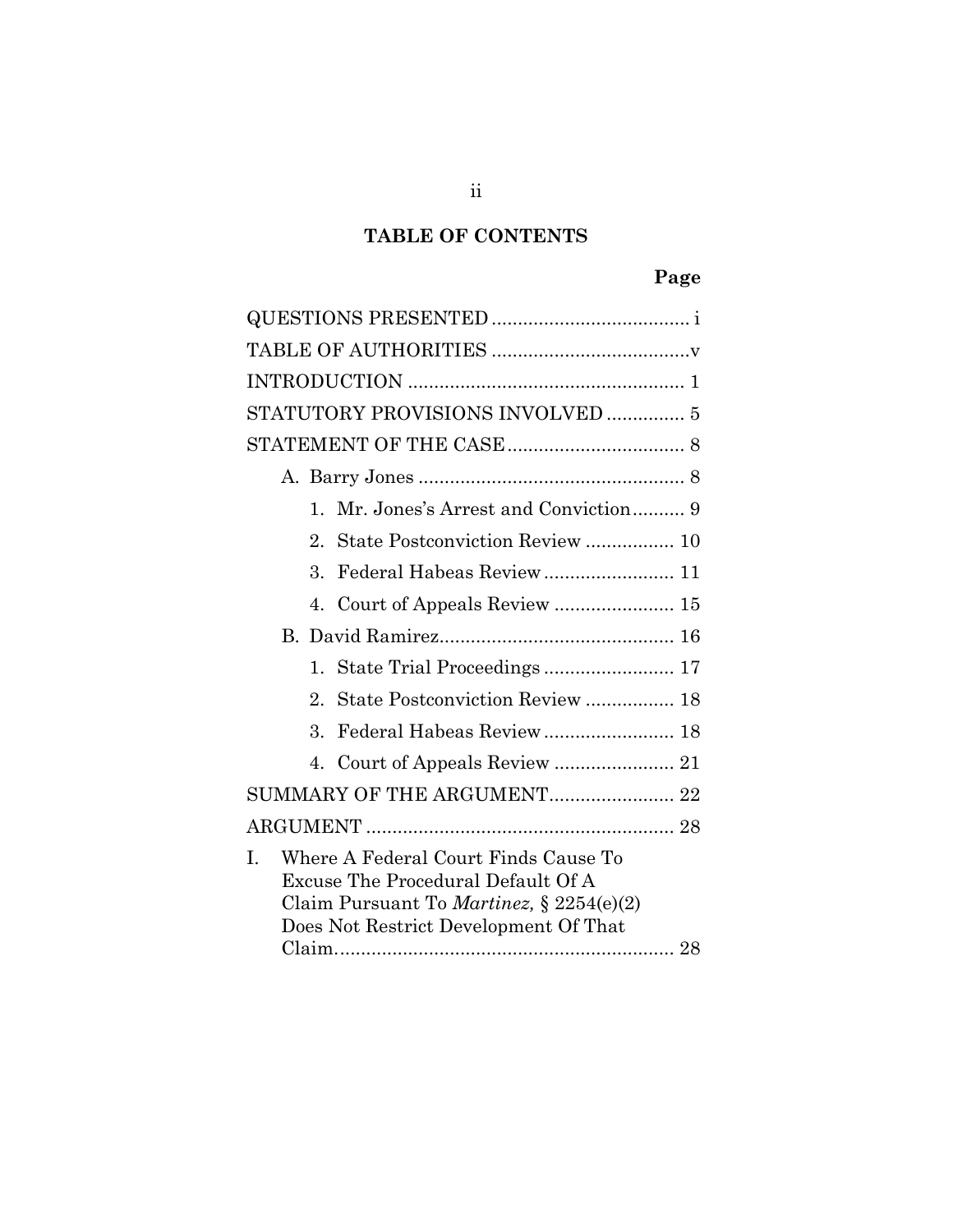# **TABLE OF CONTENTS**

# **Page**

| STATUTORY PROVISIONS INVOLVED  5                                                                                                        |  |
|-----------------------------------------------------------------------------------------------------------------------------------------|--|
|                                                                                                                                         |  |
|                                                                                                                                         |  |
| $\mathbf{1}$                                                                                                                            |  |
| $2^{\circ}$                                                                                                                             |  |
| 3.                                                                                                                                      |  |
| 4.                                                                                                                                      |  |
|                                                                                                                                         |  |
| 1.                                                                                                                                      |  |
| 2.<br>State Postconviction Review  18                                                                                                   |  |
| $\mathcal{S}_{\mathcal{S}}$                                                                                                             |  |
|                                                                                                                                         |  |
| SUMMARY OF THE ARGUMENT 22                                                                                                              |  |
|                                                                                                                                         |  |
| Where A Federal Court Finds Cause To<br>I.<br>Excuse The Procedural Default Of A<br>Claim Pursuant To <i>Martinez</i> , $\S 2254(e)(2)$ |  |
| Does Not Restrict Development Of That                                                                                                   |  |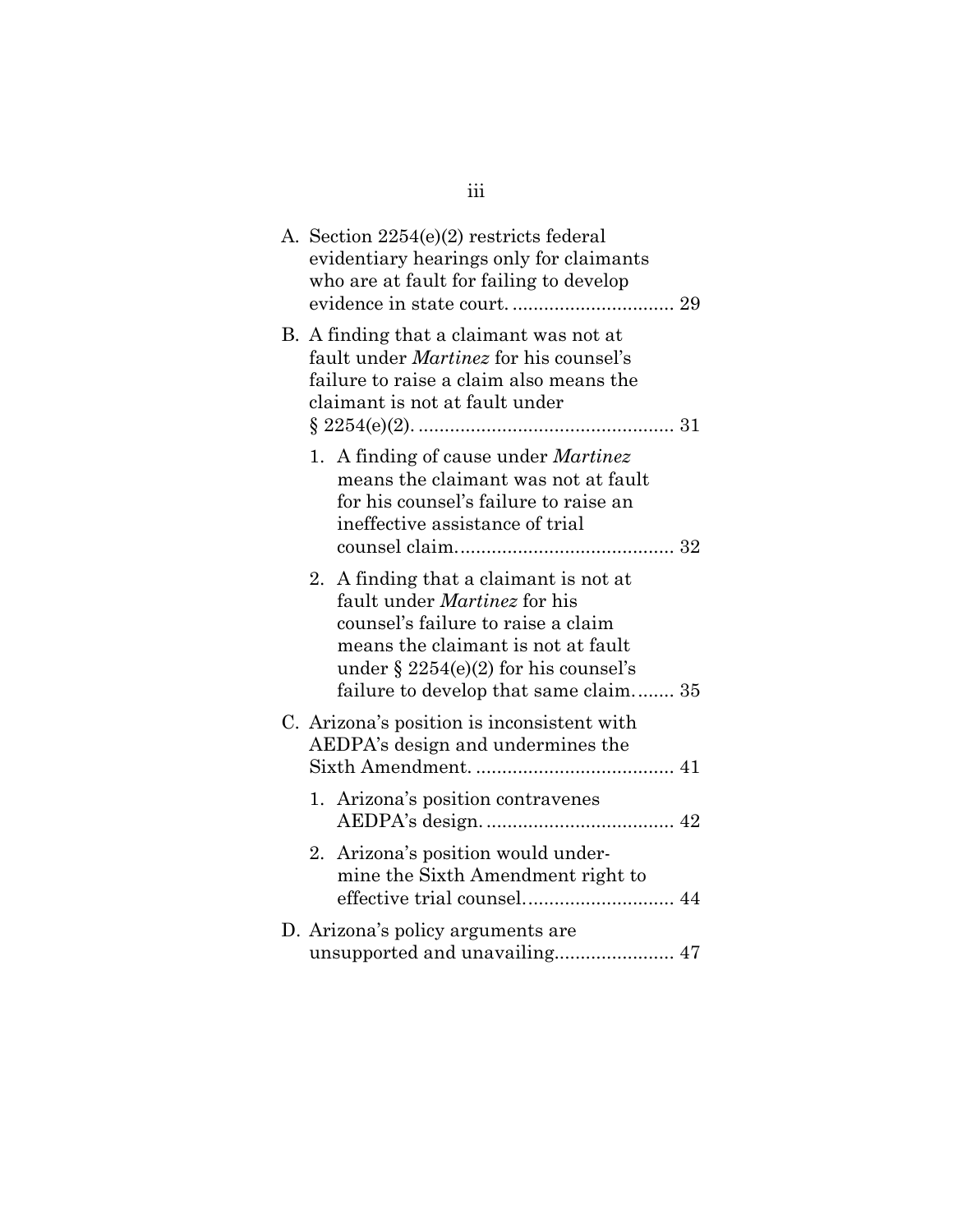|  | A. Section 2254(e)(2) restricts federal<br>evidentiary hearings only for claimants<br>who are at fault for failing to develop                                                                                                          |  |
|--|----------------------------------------------------------------------------------------------------------------------------------------------------------------------------------------------------------------------------------------|--|
|  | B. A finding that a claimant was not at<br>fault under Martinez for his counsel's<br>failure to raise a claim also means the<br>claimant is not at fault under                                                                         |  |
|  | 1. A finding of cause under Martinez<br>means the claimant was not at fault<br>for his counsel's failure to raise an<br>ineffective assistance of trial                                                                                |  |
|  | 2. A finding that a claimant is not at<br>fault under Martinez for his<br>counsel's failure to raise a claim<br>means the claimant is not at fault<br>under $\S 2254(e)(2)$ for his counsel's<br>failure to develop that same claim 35 |  |
|  | C. Arizona's position is inconsistent with<br>AEDPA's design and undermines the                                                                                                                                                        |  |
|  | 1. Arizona's position contravenes                                                                                                                                                                                                      |  |
|  | 2. Arizona's position would under-<br>mine the Sixth Amendment right to                                                                                                                                                                |  |
|  | D. Arizona's policy arguments are<br>unsupported and unavailing 47                                                                                                                                                                     |  |

iii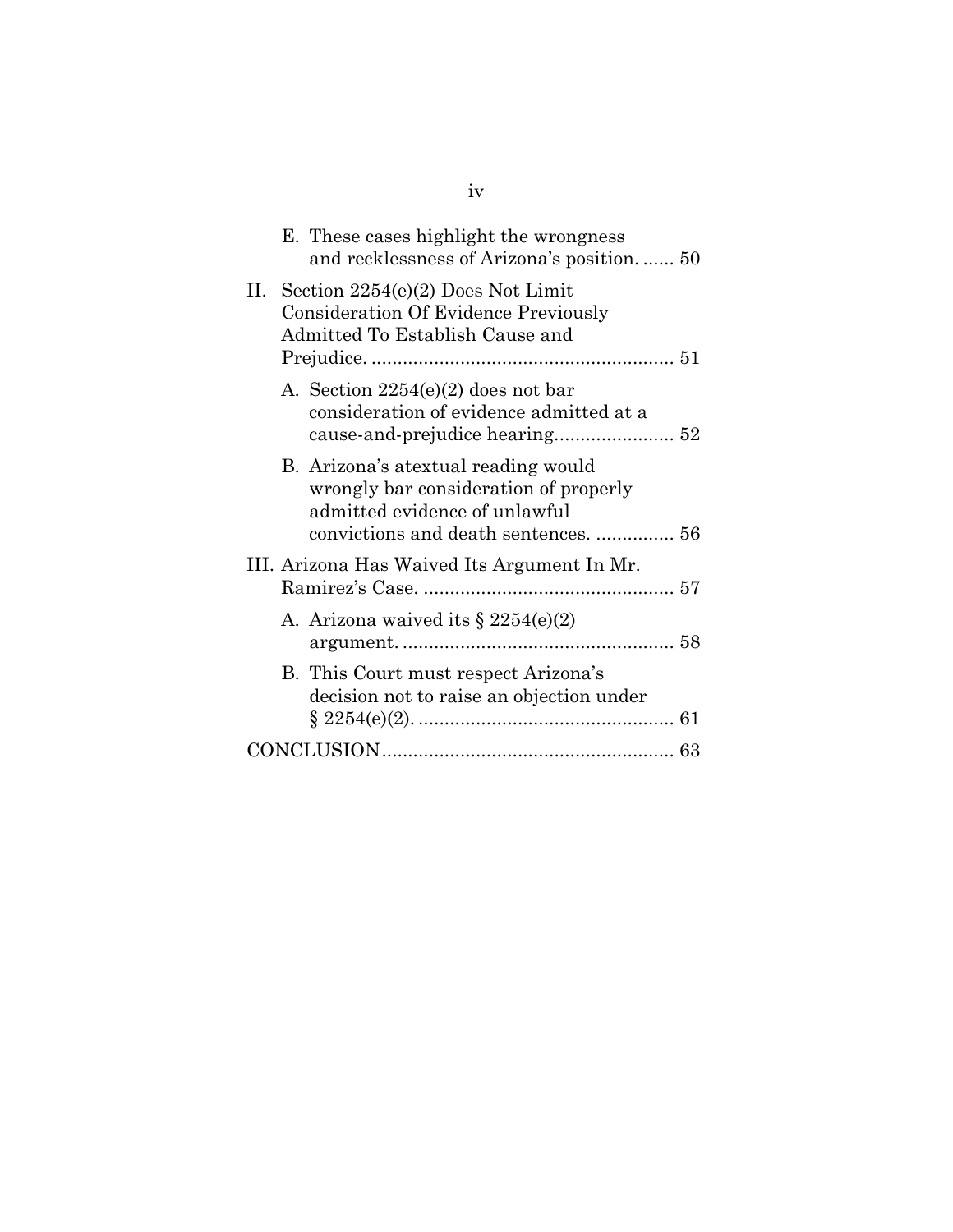|    | E. These cases highlight the wrongness<br>and recklessness of Arizona's position 50                                 |  |
|----|---------------------------------------------------------------------------------------------------------------------|--|
| Н. | Section 2254(e)(2) Does Not Limit<br><b>Consideration Of Evidence Previously</b><br>Admitted To Establish Cause and |  |
|    | A. Section $2254(e)(2)$ does not bar<br>consideration of evidence admitted at a                                     |  |
|    | B. Arizona's atextual reading would<br>wrongly bar consideration of properly<br>admitted evidence of unlawful       |  |
|    | III. Arizona Has Waived Its Argument In Mr.                                                                         |  |
|    | A. Arizona waived its $\S 2254(e)(2)$                                                                               |  |
|    | B. This Court must respect Arizona's<br>decision not to raise an objection under                                    |  |
|    |                                                                                                                     |  |
|    |                                                                                                                     |  |

# iv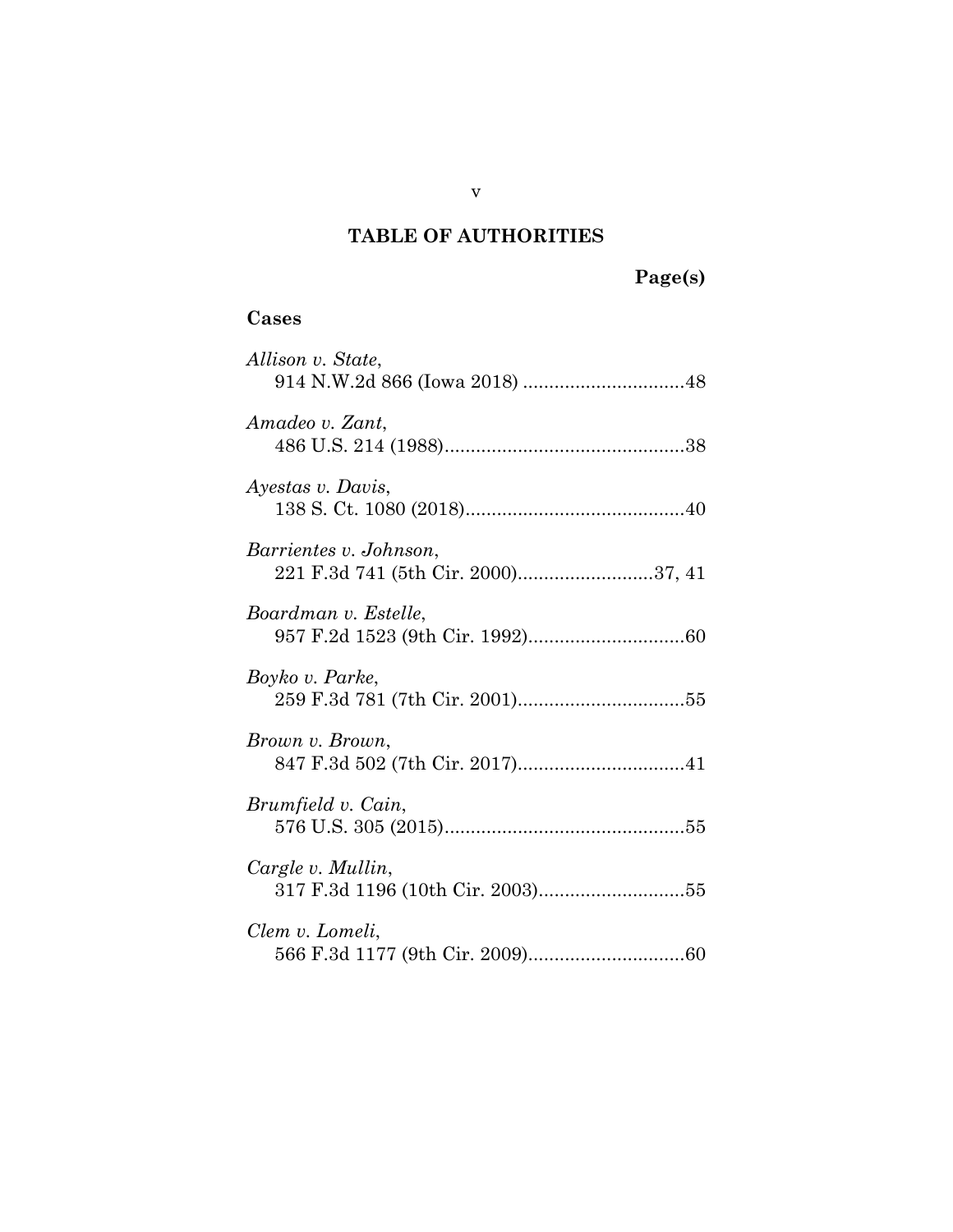# **TABLE OF AUTHORITIES**

# **Cases**

| Allison v. State,                                            |
|--------------------------------------------------------------|
| Amadeo v. Zant,                                              |
| Ayestas v. Davis,                                            |
| Barrientes v. Johnson,<br>221 F.3d 741 (5th Cir. 2000)37, 41 |
| Boardman v. Estelle,                                         |
| Boyko v. Parke,                                              |
| Brown v. Brown,                                              |
| Brumfield v. Cain,                                           |
| Cargle v. Mullin,                                            |
| Clem v. Lomeli,                                              |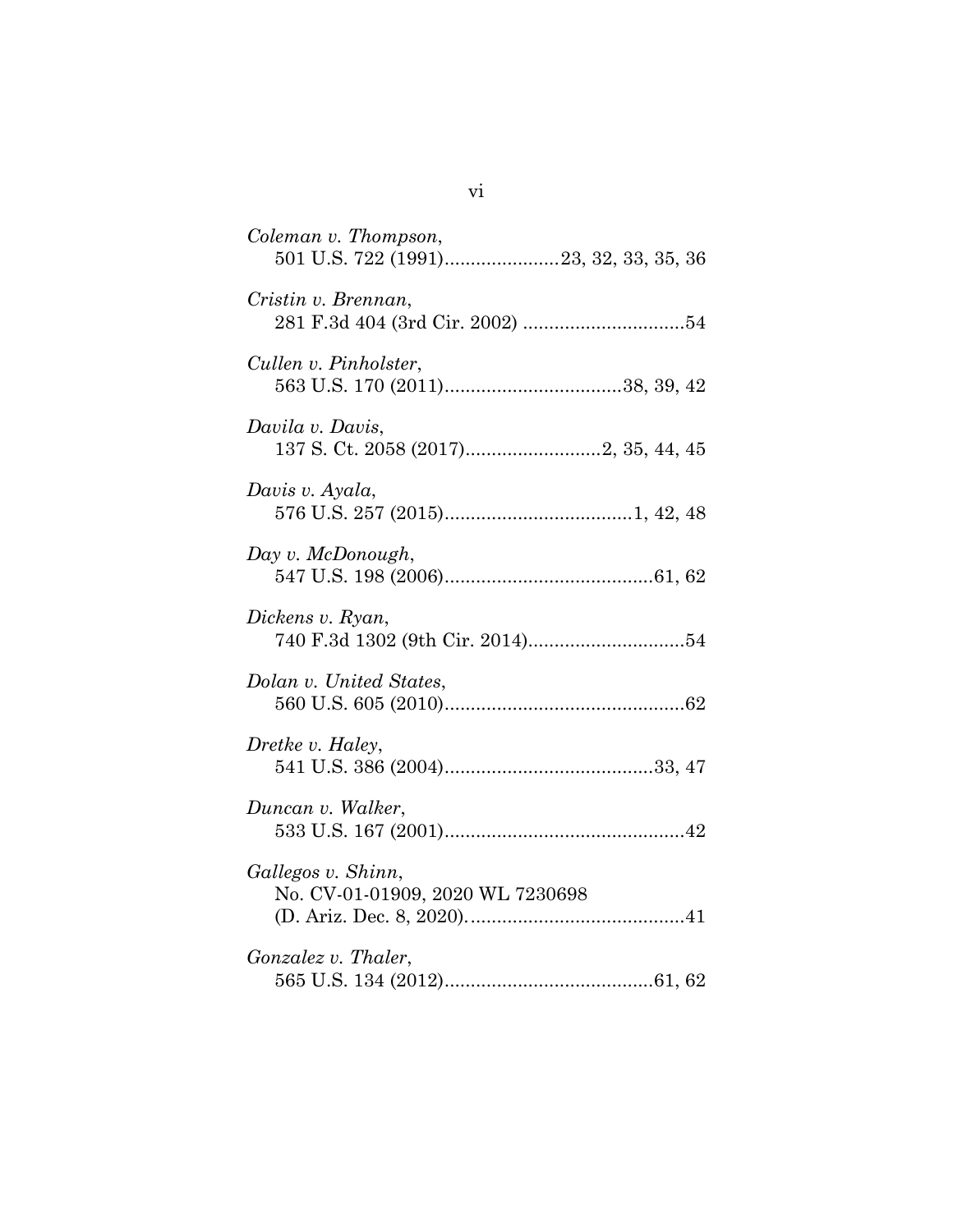| Coleman v. Thompson,<br>501 U.S. 722 (1991)23, 32, 33, 35, 36 |
|---------------------------------------------------------------|
| Cristin v. Brennan,                                           |
| Cullen v. Pinholster,                                         |
| Davila v. Davis,                                              |
| Davis v. Ayala,                                               |
| Day v. McDonough,                                             |
| Dickens v. Ryan,                                              |
| Dolan v. United States,                                       |
| Dretke v. Haley,                                              |
| Duncan v. Walker,                                             |
| Gallegos v. Shinn,<br>No. CV-01-01909, 2020 WL 7230698        |
| Gonzalez v. Thaler,                                           |

vi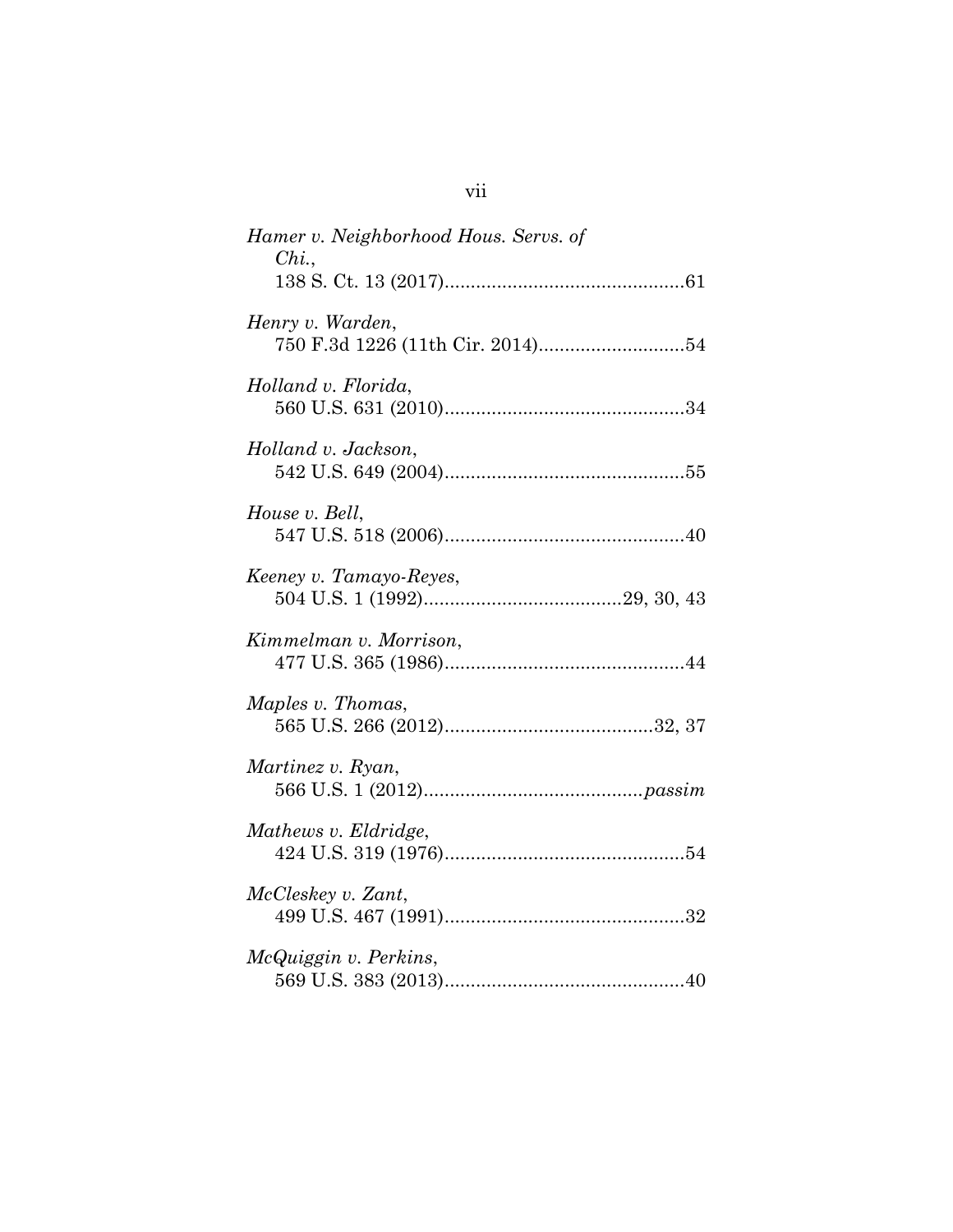| Hamer v. Neighborhood Hous. Servs. of<br>Chi. |
|-----------------------------------------------|
| Henry v. Warden,                              |
| Holland v. Florida,                           |
| Holland v. Jackson,                           |
| House v. Bell,                                |
| Keeney v. Tamayo-Reyes,                       |
| Kimmelman v. Morrison,                        |
| Maples v. Thomas,                             |
| Martinez v. Ryan,                             |
| Mathews v. Eldridge,                          |
| McCleskey v. Zant,                            |
| McQuiggin v. Perkins,                         |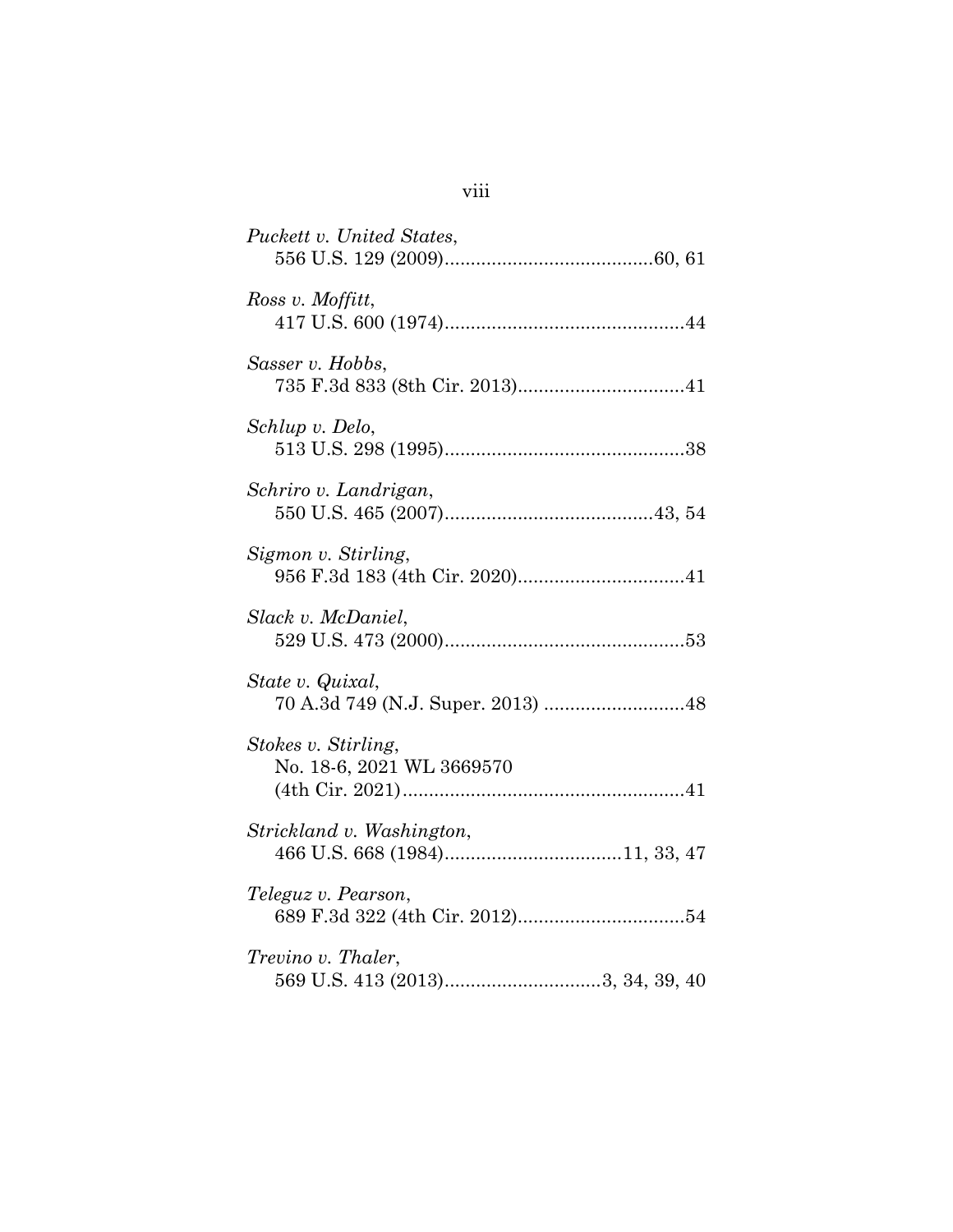| Puckett v. United States,                        |
|--------------------------------------------------|
| Ross v. Moffitt,                                 |
| Sasser v. Hobbs,                                 |
| Schlup v. Delo,                                  |
| Schriro v. Landrigan,                            |
| Sigmon v. Stirling,                              |
| Slack v. McDaniel,                               |
| State v. Quixal,                                 |
| Stokes v. Stirling,<br>No. 18-6, 2021 WL 3669570 |
| Strickland v. Washington,                        |
| Teleguz v. Pearson,                              |
| Trevino v. Thaler,                               |

# viii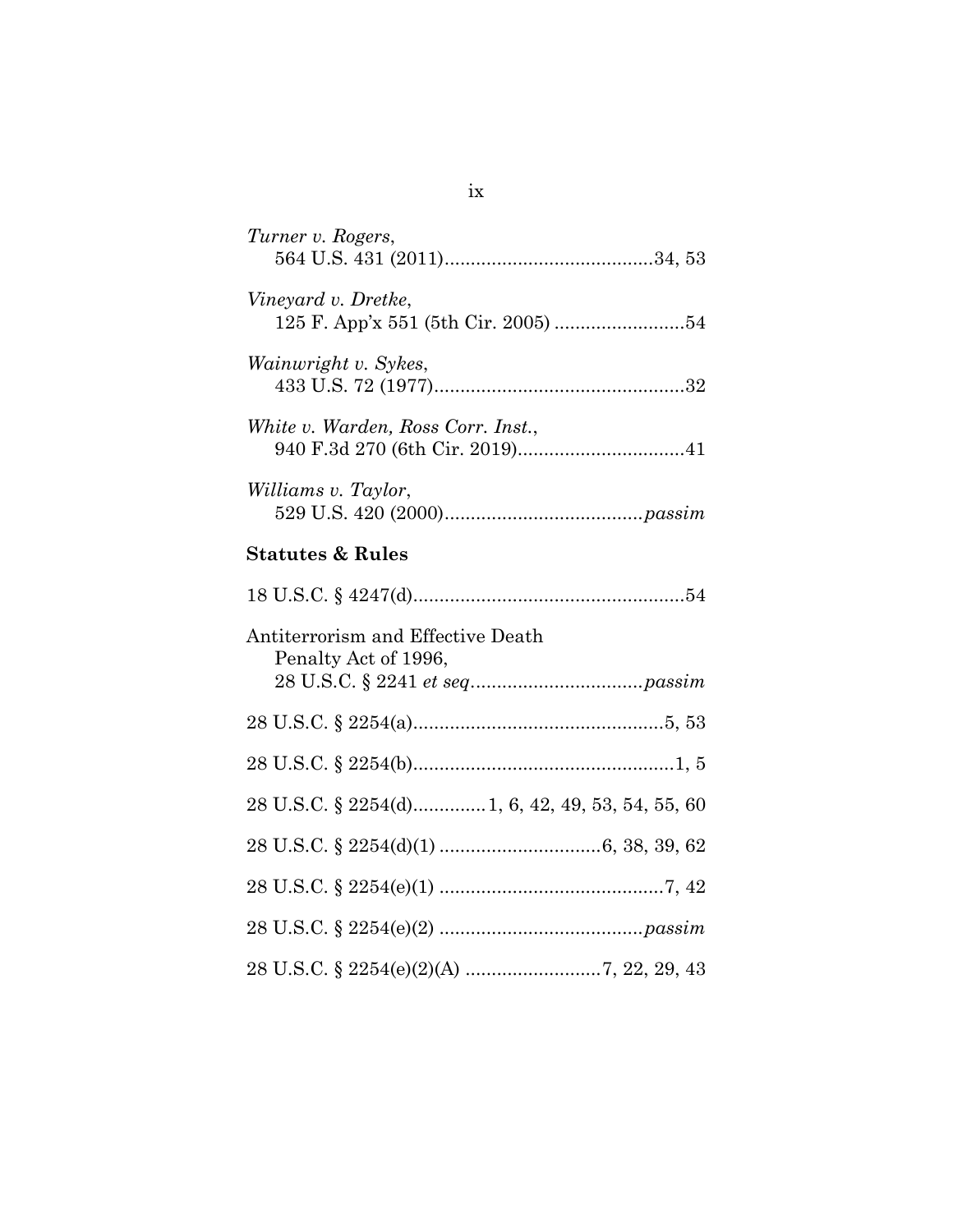| Turner v. Rogers,                                         |
|-----------------------------------------------------------|
| Vineyard v. Dretke,                                       |
| Wainwright v. Sykes,                                      |
| White v. Warden, Ross Corr. Inst.,                        |
| Williams v. Taylor,                                       |
| <b>Statutes &amp; Rules</b>                               |
|                                                           |
| Antiterrorism and Effective Death<br>Penalty Act of 1996, |
|                                                           |
|                                                           |
| 28 U.S.C. § 2254(d) 1, 6, 42, 49, 53, 54, 55, 60          |
|                                                           |
|                                                           |
|                                                           |
|                                                           |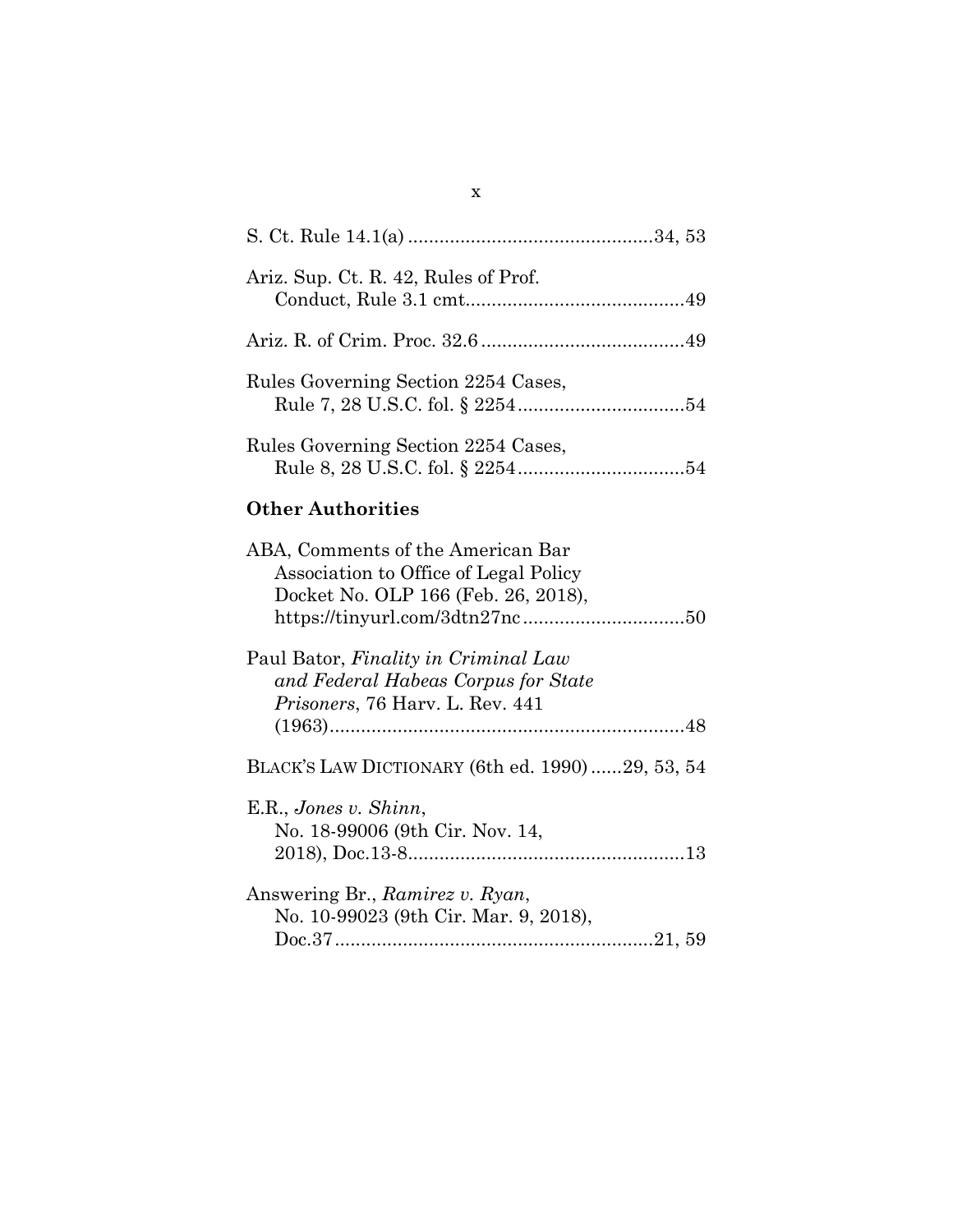| Ariz. Sup. Ct. R. 42, Rules of Prof. |  |
|--------------------------------------|--|
|                                      |  |
| Rules Governing Section 2254 Cases,  |  |
| Rules Governing Section 2254 Cases,  |  |

# **Other Authorities**

| ABA, Comments of the American Bar               |
|-------------------------------------------------|
| Association to Office of Legal Policy           |
| Docket No. OLP 166 (Feb. 26, 2018),             |
|                                                 |
| Paul Bator, Finality in Criminal Law            |
| and Federal Habeas Corpus for State             |
| <i>Prisoners, 76 Harv. L. Rev. 441</i>          |
|                                                 |
| BLACK'S LAW DICTIONARY (6th ed. 1990)29, 53, 54 |
| E.R., Jones v. Shinn,                           |
| No. 18-99006 (9th Cir. Nov. 14,                 |
|                                                 |
| Answering Br., Ramirez v. Ryan,                 |
| No. 10-99023 (9th Cir. Mar. 9, 2018),           |
|                                                 |

## x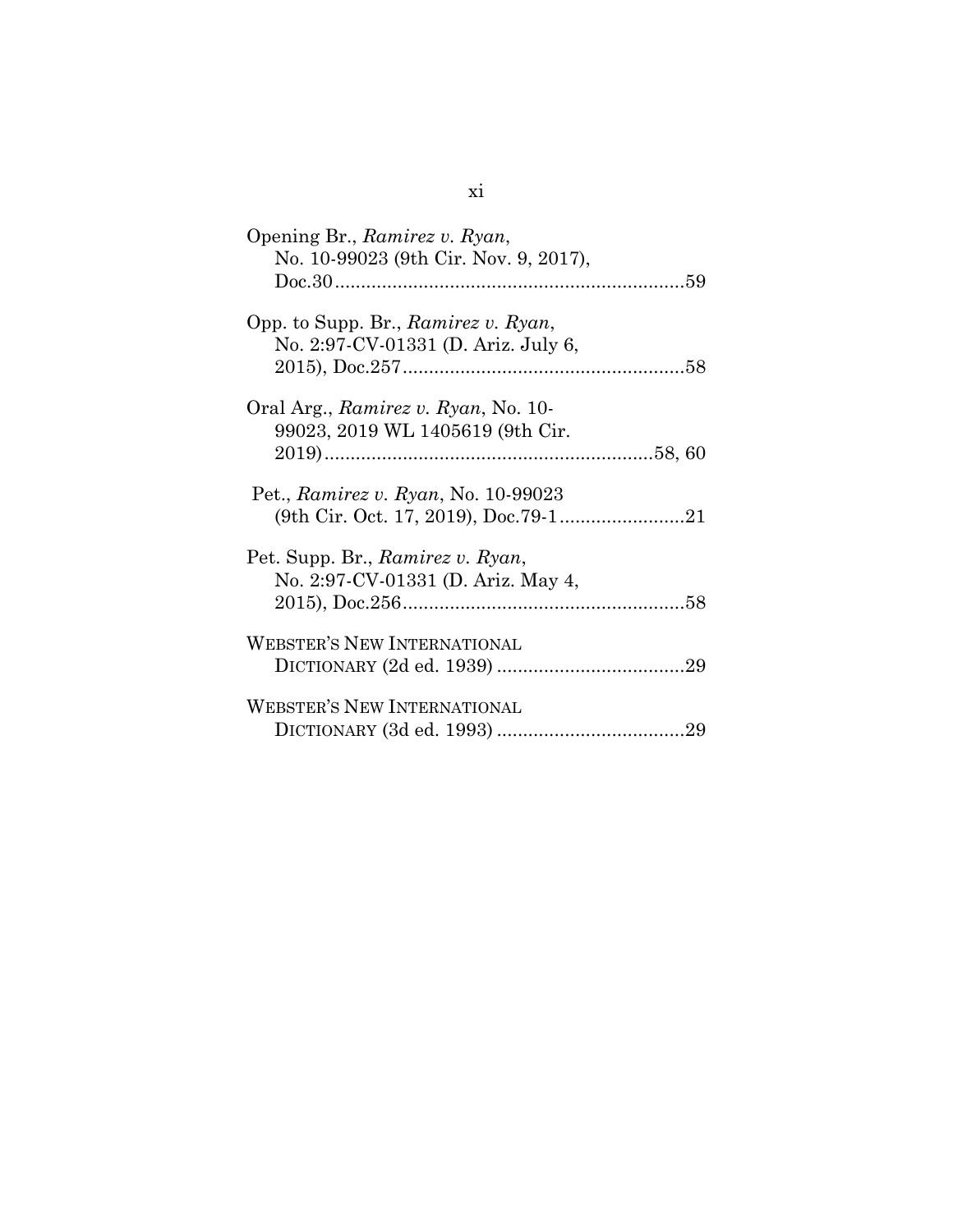| Opening Br., Ramirez v. Ryan,<br>No. 10-99023 (9th Cir. Nov. 9, 2017),     |  |
|----------------------------------------------------------------------------|--|
| Opp. to Supp. Br., Ramirez v. Ryan,<br>No. 2:97-CV-01331 (D. Ariz. July 6, |  |
| Oral Arg., Ramirez v. Ryan, No. 10-<br>99023, 2019 WL 1405619 (9th Cir.    |  |
| Pet., Ramirez v. Ryan, No. 10-99023                                        |  |
| Pet. Supp. Br., Ramirez v. Ryan,<br>No. 2:97-CV-01331 (D. Ariz. May 4,     |  |
| <b>WEBSTER'S NEW INTERNATIONAL</b>                                         |  |
| <b>WEBSTER'S NEW INTERNATIONAL</b>                                         |  |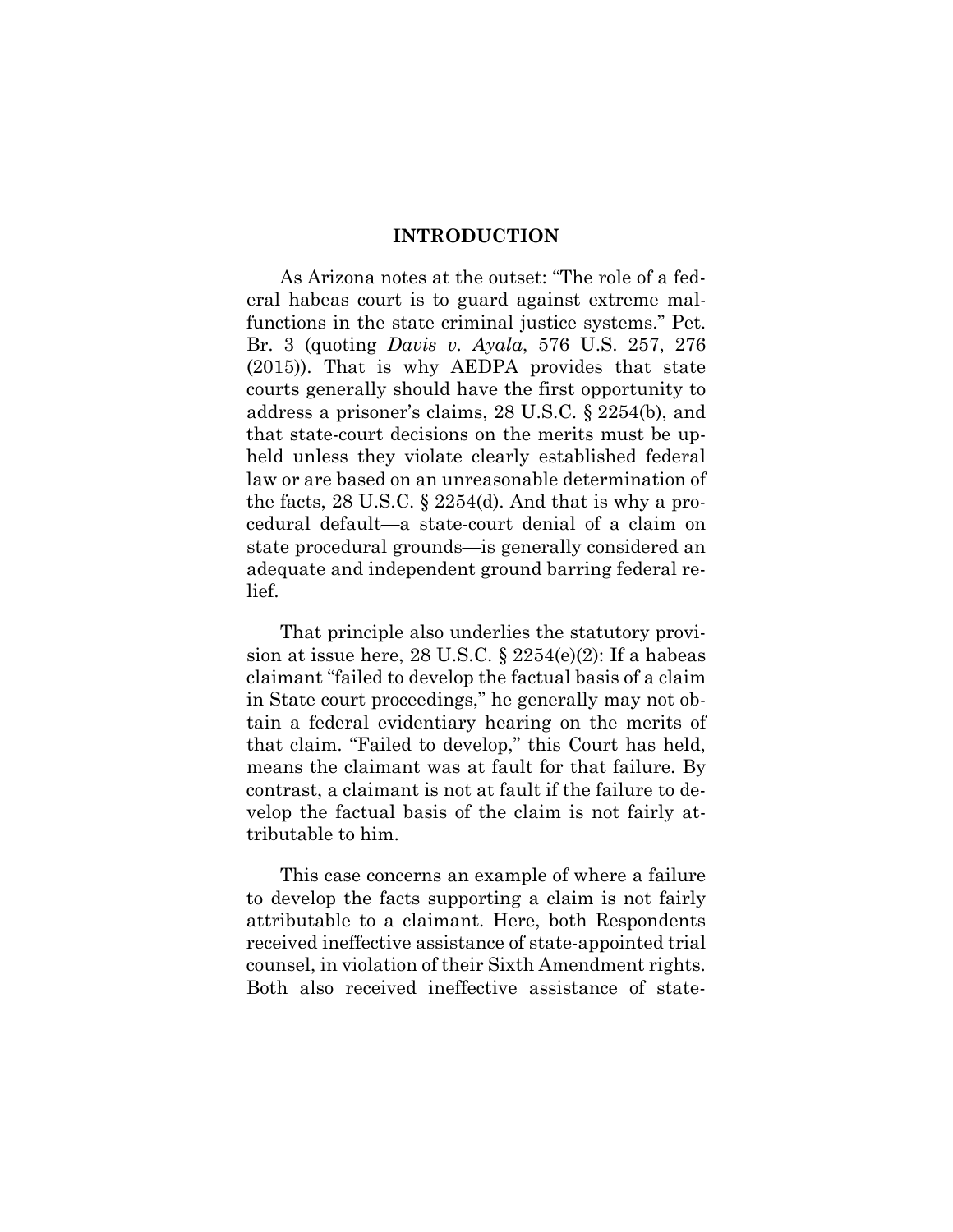#### **INTRODUCTION**

As Arizona notes at the outset: "The role of a federal habeas court is to guard against extreme malfunctions in the state criminal justice systems." Pet. Br. 3 (quoting *Davis v. Ayala*, 576 U.S. 257, 276 (2015)). That is why AEDPA provides that state courts generally should have the first opportunity to address a prisoner's claims, 28 U.S.C. § 2254(b), and that state-court decisions on the merits must be upheld unless they violate clearly established federal law or are based on an unreasonable determination of the facts, 28 U.S.C. § 2254(d). And that is why a procedural default—a state-court denial of a claim on state procedural grounds—is generally considered an adequate and independent ground barring federal relief.

That principle also underlies the statutory provision at issue here, 28 U.S.C.  $\S$  2254(e)(2): If a habeas claimant "failed to develop the factual basis of a claim in State court proceedings," he generally may not obtain a federal evidentiary hearing on the merits of that claim. "Failed to develop," this Court has held, means the claimant was at fault for that failure. By contrast, a claimant is not at fault if the failure to develop the factual basis of the claim is not fairly attributable to him.

This case concerns an example of where a failure to develop the facts supporting a claim is not fairly attributable to a claimant. Here, both Respondents received ineffective assistance of state-appointed trial counsel, in violation of their Sixth Amendment rights. Both also received ineffective assistance of state-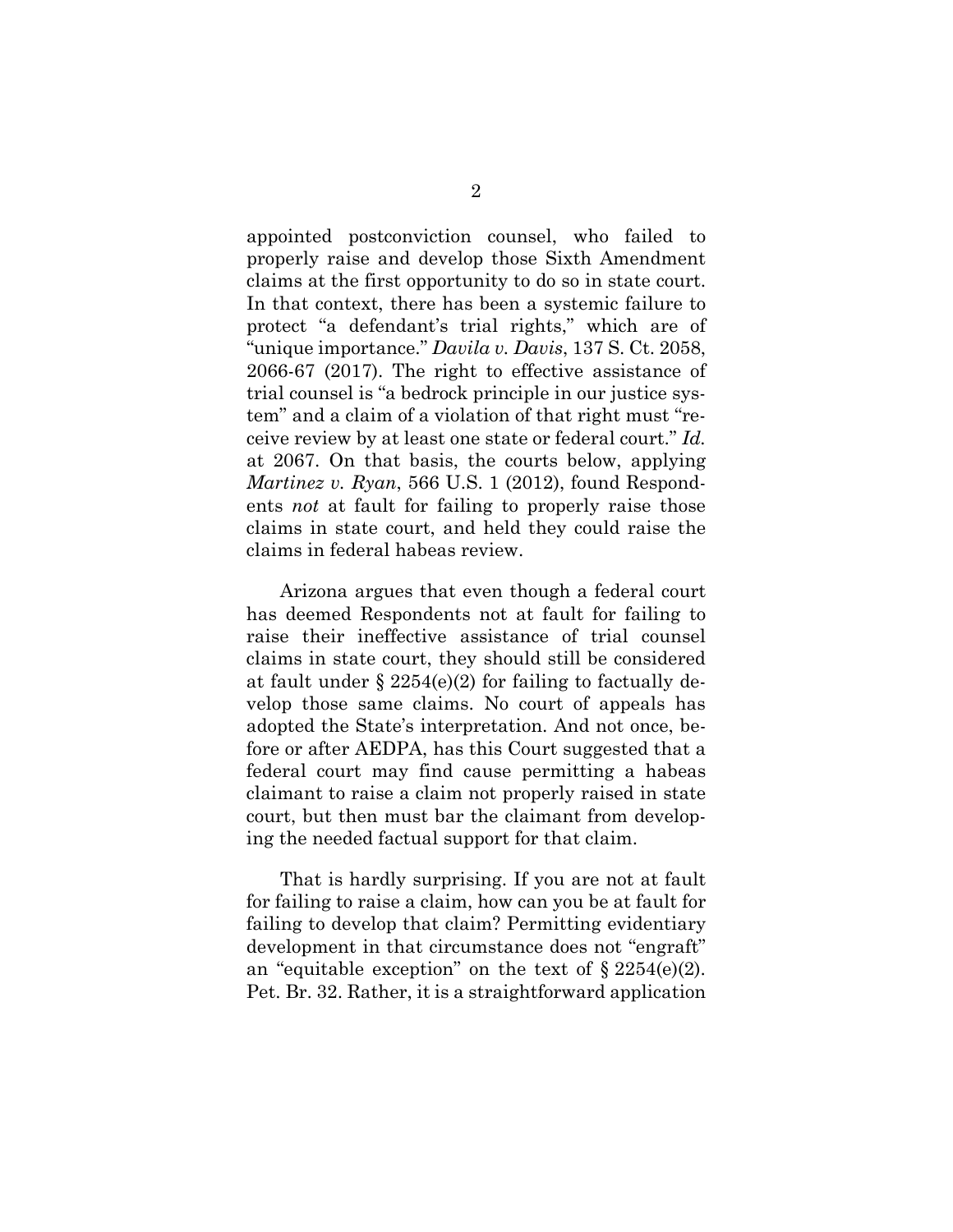appointed postconviction counsel, who failed to properly raise and develop those Sixth Amendment claims at the first opportunity to do so in state court. In that context, there has been a systemic failure to protect "a defendant's trial rights," which are of "unique importance." *Davila v. Davis*, 137 S. Ct. 2058, 2066-67 (2017). The right to effective assistance of trial counsel is "a bedrock principle in our justice system" and a claim of a violation of that right must "receive review by at least one state or federal court." *Id.* at 2067. On that basis, the courts below, applying *Martinez v. Ryan*, 566 U.S. 1 (2012), found Respondents *not* at fault for failing to properly raise those claims in state court, and held they could raise the claims in federal habeas review.

Arizona argues that even though a federal court has deemed Respondents not at fault for failing to raise their ineffective assistance of trial counsel claims in state court, they should still be considered at fault under  $\S 2254(e)(2)$  for failing to factually develop those same claims. No court of appeals has adopted the State's interpretation. And not once, before or after AEDPA, has this Court suggested that a federal court may find cause permitting a habeas claimant to raise a claim not properly raised in state court, but then must bar the claimant from developing the needed factual support for that claim.

That is hardly surprising. If you are not at fault for failing to raise a claim, how can you be at fault for failing to develop that claim? Permitting evidentiary development in that circumstance does not "engraft" an "equitable exception" on the text of  $\S 2254(e)(2)$ . Pet. Br. 32. Rather, it is a straightforward application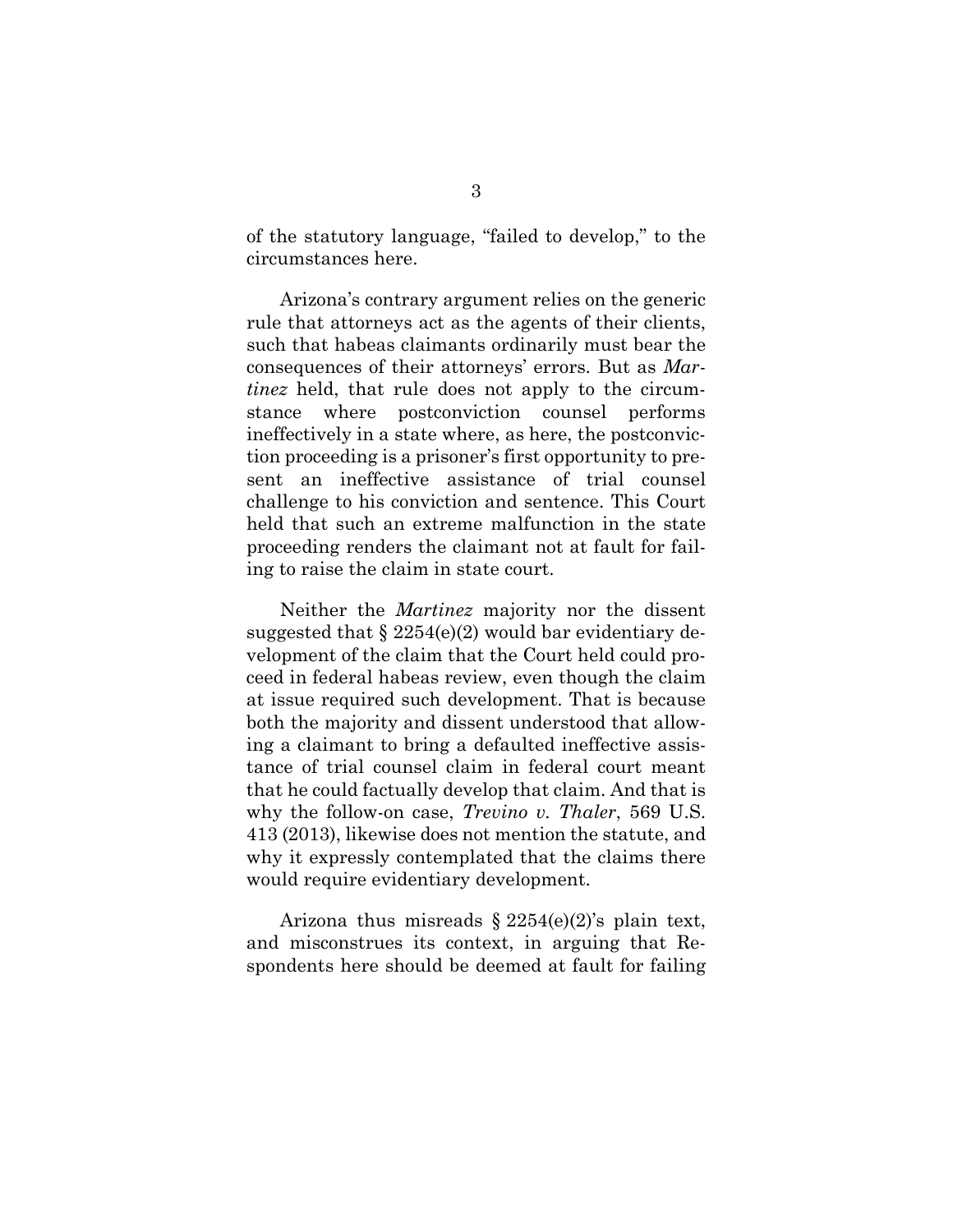of the statutory language, "failed to develop," to the circumstances here.

Arizona's contrary argument relies on the generic rule that attorneys act as the agents of their clients, such that habeas claimants ordinarily must bear the consequences of their attorneys' errors. But as *Martinez* held, that rule does not apply to the circumstance where postconviction counsel performs ineffectively in a state where, as here, the postconviction proceeding is a prisoner's first opportunity to present an ineffective assistance of trial counsel challenge to his conviction and sentence. This Court held that such an extreme malfunction in the state proceeding renders the claimant not at fault for failing to raise the claim in state court.

Neither the *Martinez* majority nor the dissent suggested that  $\S 2254(e)(2)$  would bar evidentiary development of the claim that the Court held could proceed in federal habeas review, even though the claim at issue required such development. That is because both the majority and dissent understood that allowing a claimant to bring a defaulted ineffective assistance of trial counsel claim in federal court meant that he could factually develop that claim. And that is why the follow-on case, *Trevino v. Thaler*, 569 U.S. 413 (2013), likewise does not mention the statute, and why it expressly contemplated that the claims there would require evidentiary development.

Arizona thus misreads  $\S 2254(e)(2)$ 's plain text, and misconstrues its context, in arguing that Respondents here should be deemed at fault for failing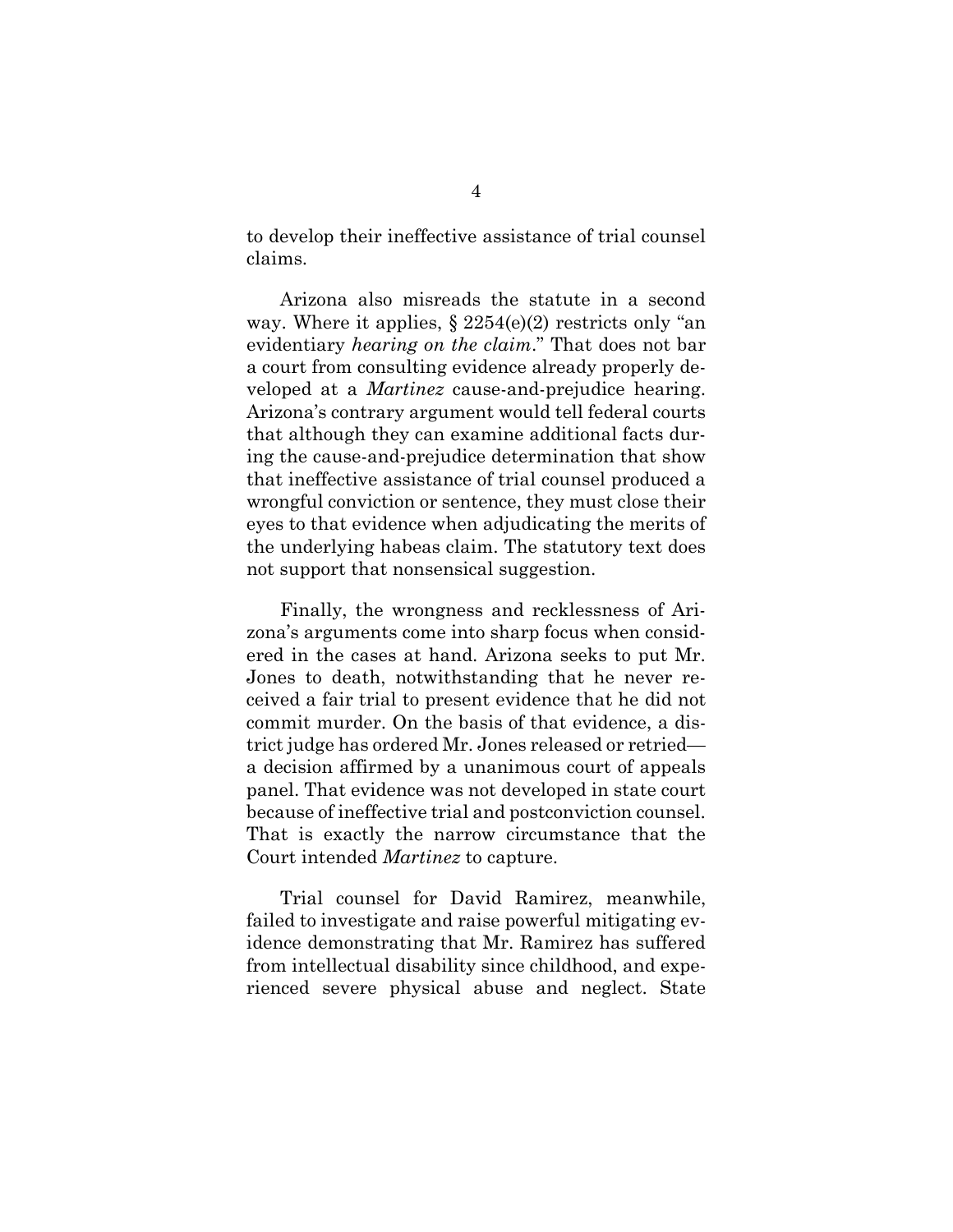to develop their ineffective assistance of trial counsel claims.

Arizona also misreads the statute in a second way. Where it applies,  $\S 2254(e)(2)$  restricts only "an evidentiary *hearing on the claim*." That does not bar a court from consulting evidence already properly developed at a *Martinez* cause-and-prejudice hearing. Arizona's contrary argument would tell federal courts that although they can examine additional facts during the cause-and-prejudice determination that show that ineffective assistance of trial counsel produced a wrongful conviction or sentence, they must close their eyes to that evidence when adjudicating the merits of the underlying habeas claim. The statutory text does not support that nonsensical suggestion.

Finally, the wrongness and recklessness of Arizona's arguments come into sharp focus when considered in the cases at hand. Arizona seeks to put Mr. Jones to death, notwithstanding that he never received a fair trial to present evidence that he did not commit murder. On the basis of that evidence, a district judge has ordered Mr. Jones released or retried a decision affirmed by a unanimous court of appeals panel. That evidence was not developed in state court because of ineffective trial and postconviction counsel. That is exactly the narrow circumstance that the Court intended *Martinez* to capture.

Trial counsel for David Ramirez, meanwhile, failed to investigate and raise powerful mitigating evidence demonstrating that Mr. Ramirez has suffered from intellectual disability since childhood, and experienced severe physical abuse and neglect. State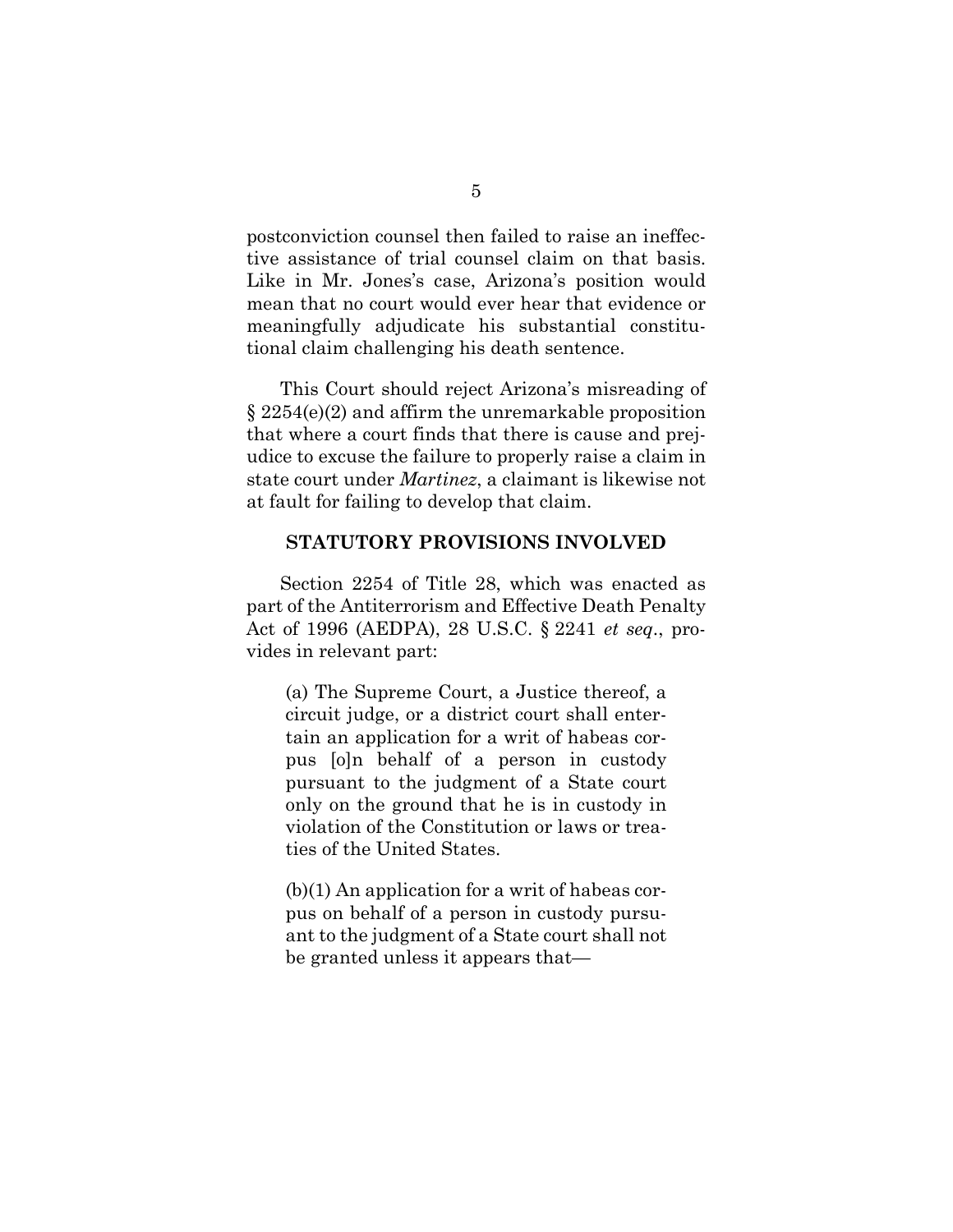postconviction counsel then failed to raise an ineffective assistance of trial counsel claim on that basis. Like in Mr. Jones's case, Arizona's position would mean that no court would ever hear that evidence or meaningfully adjudicate his substantial constitutional claim challenging his death sentence.

This Court should reject Arizona's misreading of § 2254(e)(2) and affirm the unremarkable proposition that where a court finds that there is cause and prejudice to excuse the failure to properly raise a claim in state court under *Martinez*, a claimant is likewise not at fault for failing to develop that claim.

## **STATUTORY PROVISIONS INVOLVED**

Section 2254 of Title 28, which was enacted as part of the Antiterrorism and Effective Death Penalty Act of 1996 (AEDPA), 28 U.S.C. § 2241 *et seq*., provides in relevant part:

(a) The Supreme Court, a Justice thereof, a circuit judge, or a district court shall entertain an application for a writ of habeas corpus [o]n behalf of a person in custody pursuant to the judgment of a State court only on the ground that he is in custody in violation of the Constitution or laws or treaties of the United States.

(b)(1) An application for a writ of habeas corpus on behalf of a person in custody pursuant to the judgment of a State court shall not be granted unless it appears that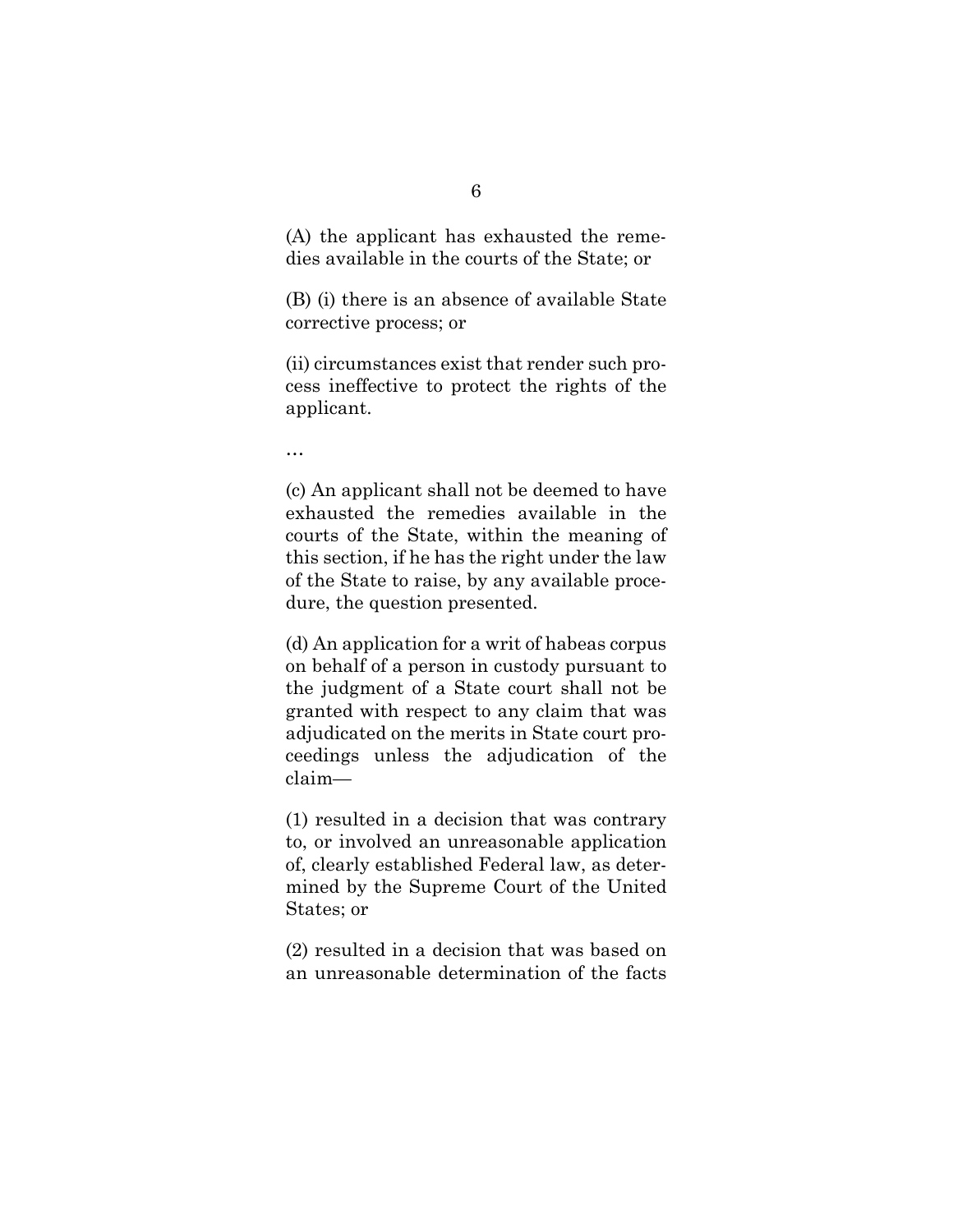(A) the applicant has exhausted the remedies available in the courts of the State; or

(B) (i) there is an absence of available State corrective process; or

(ii) circumstances exist that render such process ineffective to protect the rights of the applicant.

…

(c) An applicant shall not be deemed to have exhausted the remedies available in the courts of the State, within the meaning of this section, if he has the right under the law of the State to raise, by any available procedure, the question presented.

(d) An application for a writ of habeas corpus on behalf of a person in custody pursuant to the judgment of a State court shall not be granted with respect to any claim that was adjudicated on the merits in State court proceedings unless the adjudication of the claim—

(1) resulted in a decision that was contrary to, or involved an unreasonable application of, clearly established Federal law, as determined by the Supreme Court of the United States; or

(2) resulted in a decision that was based on an unreasonable determination of the facts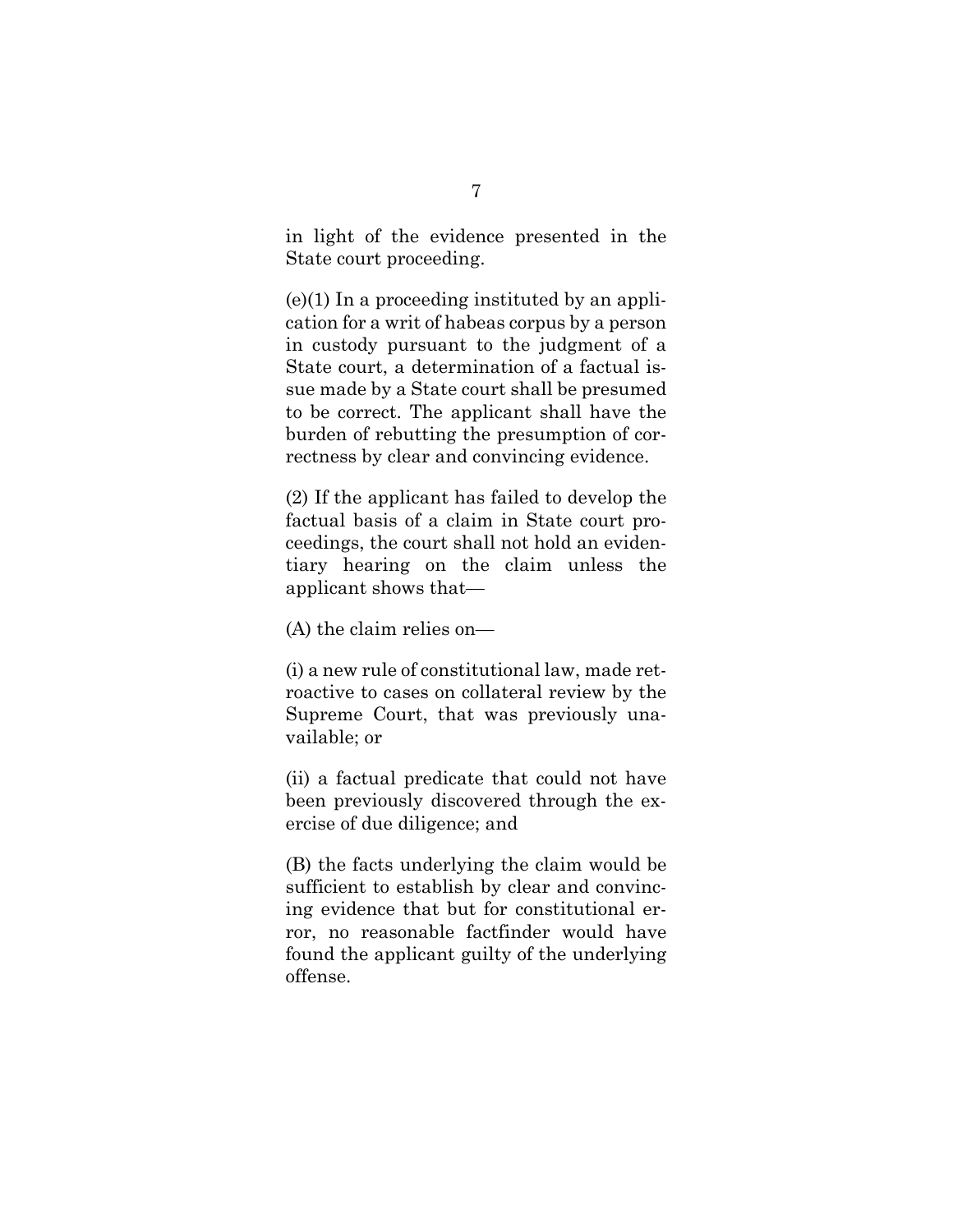in light of the evidence presented in the State court proceeding.

 $(e)(1)$  In a proceeding instituted by an application for a writ of habeas corpus by a person in custody pursuant to the judgment of a State court, a determination of a factual issue made by a State court shall be presumed to be correct. The applicant shall have the burden of rebutting the presumption of correctness by clear and convincing evidence.

(2) If the applicant has failed to develop the factual basis of a claim in State court proceedings, the court shall not hold an evidentiary hearing on the claim unless the applicant shows that—

(A) the claim relies on—

(i) a new rule of constitutional law, made retroactive to cases on collateral review by the Supreme Court, that was previously unavailable; or

(ii) a factual predicate that could not have been previously discovered through the exercise of due diligence; and

(B) the facts underlying the claim would be sufficient to establish by clear and convincing evidence that but for constitutional error, no reasonable factfinder would have found the applicant guilty of the underlying offense.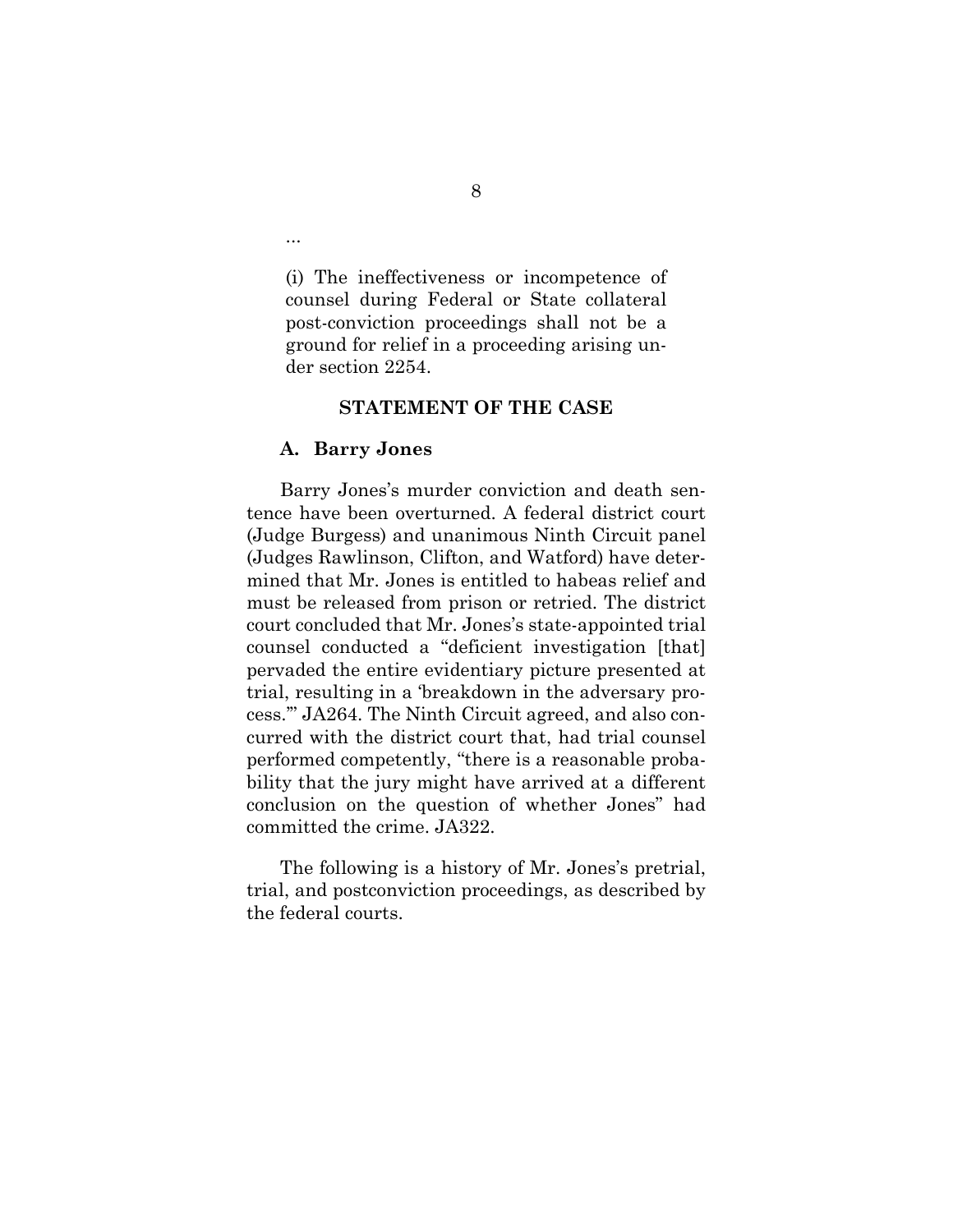(i) The ineffectiveness or incompetence of counsel during Federal or State collateral post-conviction proceedings shall not be a ground for relief in a proceeding arising under section 2254.

#### **STATEMENT OF THE CASE**

#### **A. Barry Jones**

...

Barry Jones's murder conviction and death sentence have been overturned. A federal district court (Judge Burgess) and unanimous Ninth Circuit panel (Judges Rawlinson, Clifton, and Watford) have determined that Mr. Jones is entitled to habeas relief and must be released from prison or retried. The district court concluded that Mr. Jones's state-appointed trial counsel conducted a "deficient investigation [that] pervaded the entire evidentiary picture presented at trial, resulting in a 'breakdown in the adversary process.'" JA264. The Ninth Circuit agreed, and also concurred with the district court that, had trial counsel performed competently, "there is a reasonable probability that the jury might have arrived at a different conclusion on the question of whether Jones" had committed the crime. JA322.

The following is a history of Mr. Jones's pretrial, trial, and postconviction proceedings, as described by the federal courts.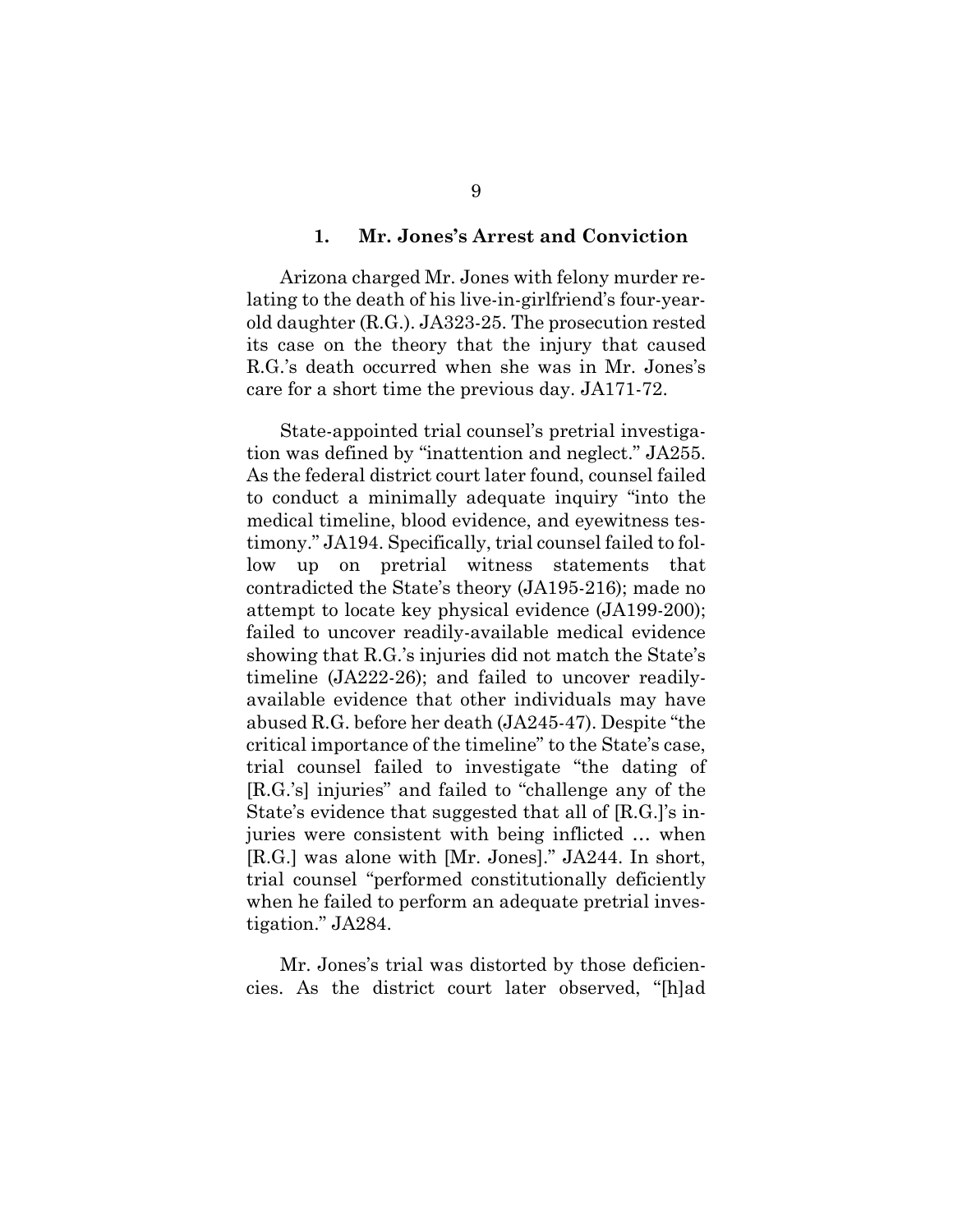#### **1. Mr. Jones's Arrest and Conviction**

Arizona charged Mr. Jones with felony murder relating to the death of his live-in-girlfriend's four-yearold daughter (R.G.). JA323-25. The prosecution rested its case on the theory that the injury that caused R.G.'s death occurred when she was in Mr. Jones's care for a short time the previous day. JA171-72.

State-appointed trial counsel's pretrial investigation was defined by "inattention and neglect." JA255. As the federal district court later found, counsel failed to conduct a minimally adequate inquiry "into the medical timeline, blood evidence, and eyewitness testimony." JA194. Specifically, trial counsel failed to follow up on pretrial witness statements that contradicted the State's theory (JA195-216); made no attempt to locate key physical evidence (JA199-200); failed to uncover readily-available medical evidence showing that R.G.'s injuries did not match the State's timeline (JA222-26); and failed to uncover readilyavailable evidence that other individuals may have abused R.G. before her death (JA245-47). Despite "the critical importance of the timeline" to the State's case, trial counsel failed to investigate "the dating of [R.G.'s] injuries" and failed to "challenge any of the State's evidence that suggested that all of [R.G.]'s injuries were consistent with being inflicted … when [R.G.] was alone with [Mr. Jones]." JA244. In short, trial counsel "performed constitutionally deficiently when he failed to perform an adequate pretrial investigation." JA284.

Mr. Jones's trial was distorted by those deficiencies. As the district court later observed, "[h]ad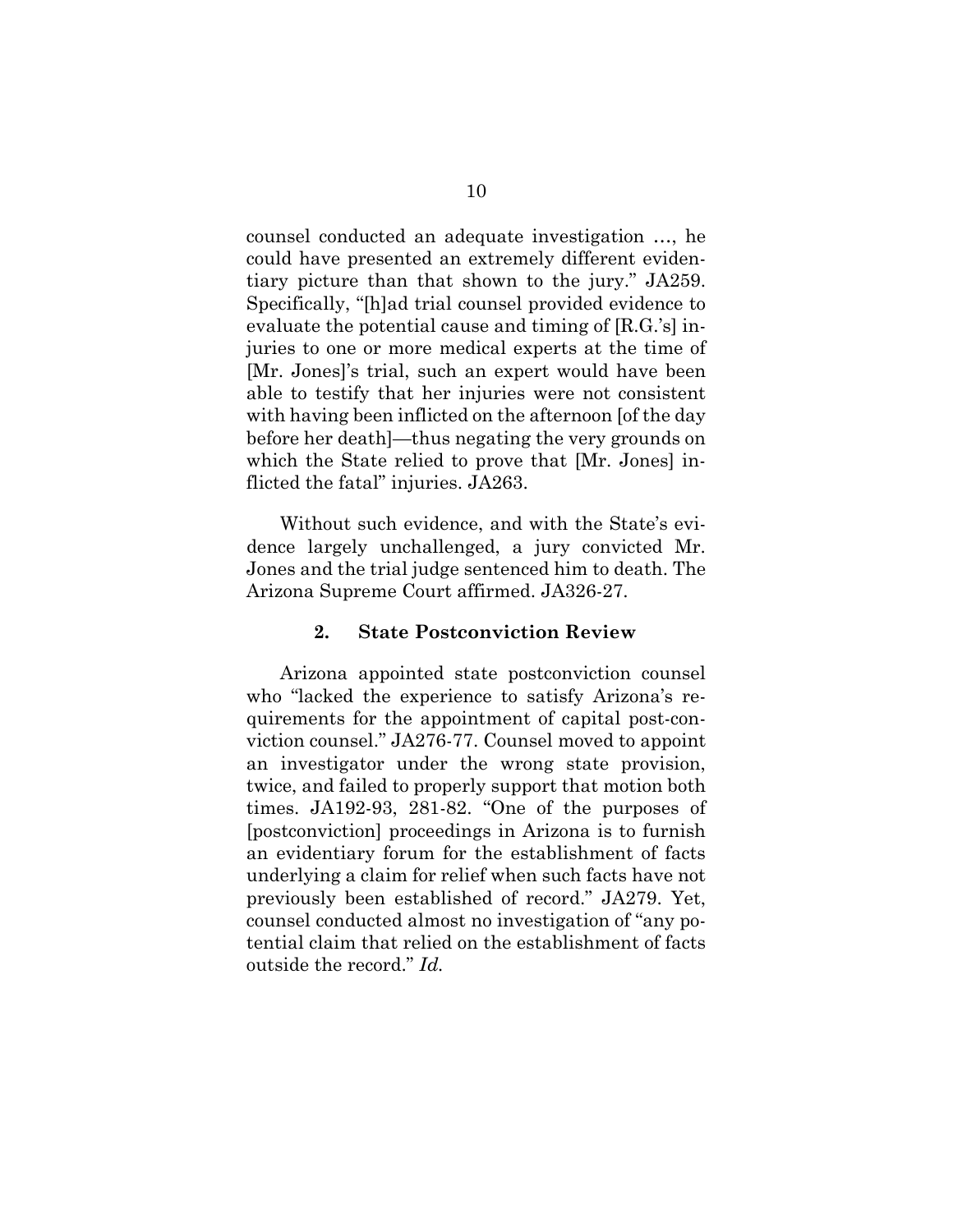counsel conducted an adequate investigation …, he could have presented an extremely different evidentiary picture than that shown to the jury." JA259. Specifically, "[h]ad trial counsel provided evidence to evaluate the potential cause and timing of [R.G.'s] injuries to one or more medical experts at the time of [Mr. Jones]'s trial, such an expert would have been able to testify that her injuries were not consistent with having been inflicted on the afternoon [of the day before her death]—thus negating the very grounds on which the State relied to prove that [Mr. Jones] inflicted the fatal" injuries. JA263.

Without such evidence, and with the State's evidence largely unchallenged, a jury convicted Mr. Jones and the trial judge sentenced him to death. The Arizona Supreme Court affirmed. JA326-27.

## **2. State Postconviction Review**

Arizona appointed state postconviction counsel who "lacked the experience to satisfy Arizona's requirements for the appointment of capital post-conviction counsel." JA276-77. Counsel moved to appoint an investigator under the wrong state provision, twice, and failed to properly support that motion both times. JA192-93, 281-82. "One of the purposes of [postconviction] proceedings in Arizona is to furnish an evidentiary forum for the establishment of facts underlying a claim for relief when such facts have not previously been established of record." JA279. Yet, counsel conducted almost no investigation of "any potential claim that relied on the establishment of facts outside the record." *Id.*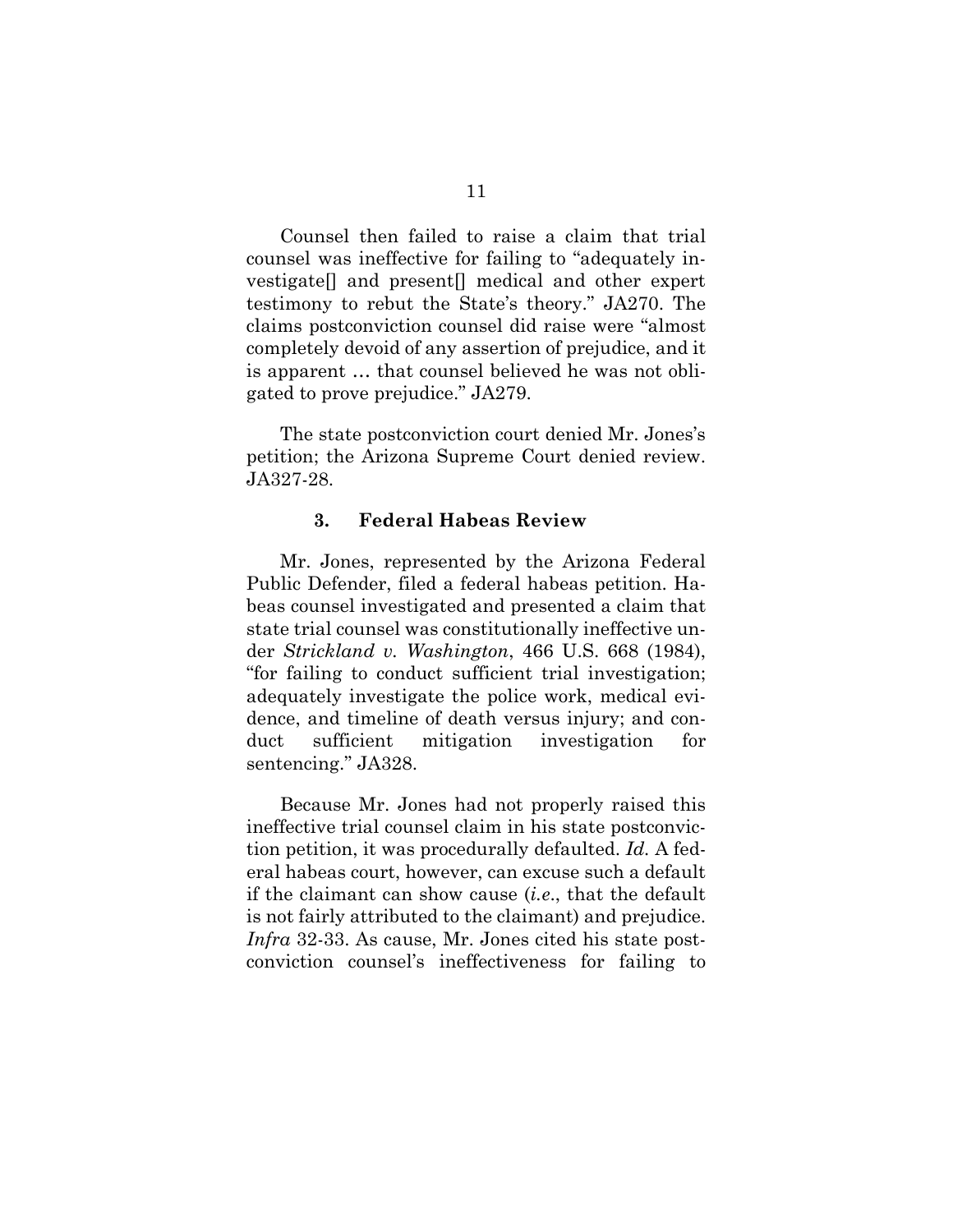Counsel then failed to raise a claim that trial counsel was ineffective for failing to "adequately investigate[] and present[] medical and other expert testimony to rebut the State's theory." JA270. The claims postconviction counsel did raise were "almost completely devoid of any assertion of prejudice, and it is apparent … that counsel believed he was not obligated to prove prejudice." JA279.

The state postconviction court denied Mr. Jones's petition; the Arizona Supreme Court denied review. JA327-28.

#### **3. Federal Habeas Review**

Mr. Jones, represented by the Arizona Federal Public Defender, filed a federal habeas petition. Habeas counsel investigated and presented a claim that state trial counsel was constitutionally ineffective under *Strickland v. Washington*, 466 U.S. 668 (1984), "for failing to conduct sufficient trial investigation; adequately investigate the police work, medical evidence, and timeline of death versus injury; and conduct sufficient mitigation investigation for sentencing." JA328.

Because Mr. Jones had not properly raised this ineffective trial counsel claim in his state postconviction petition, it was procedurally defaulted. *Id.* A federal habeas court, however, can excuse such a default if the claimant can show cause (*i.e*., that the default is not fairly attributed to the claimant) and prejudice. *Infra* 32-33. As cause, Mr. Jones cited his state postconviction counsel's ineffectiveness for failing to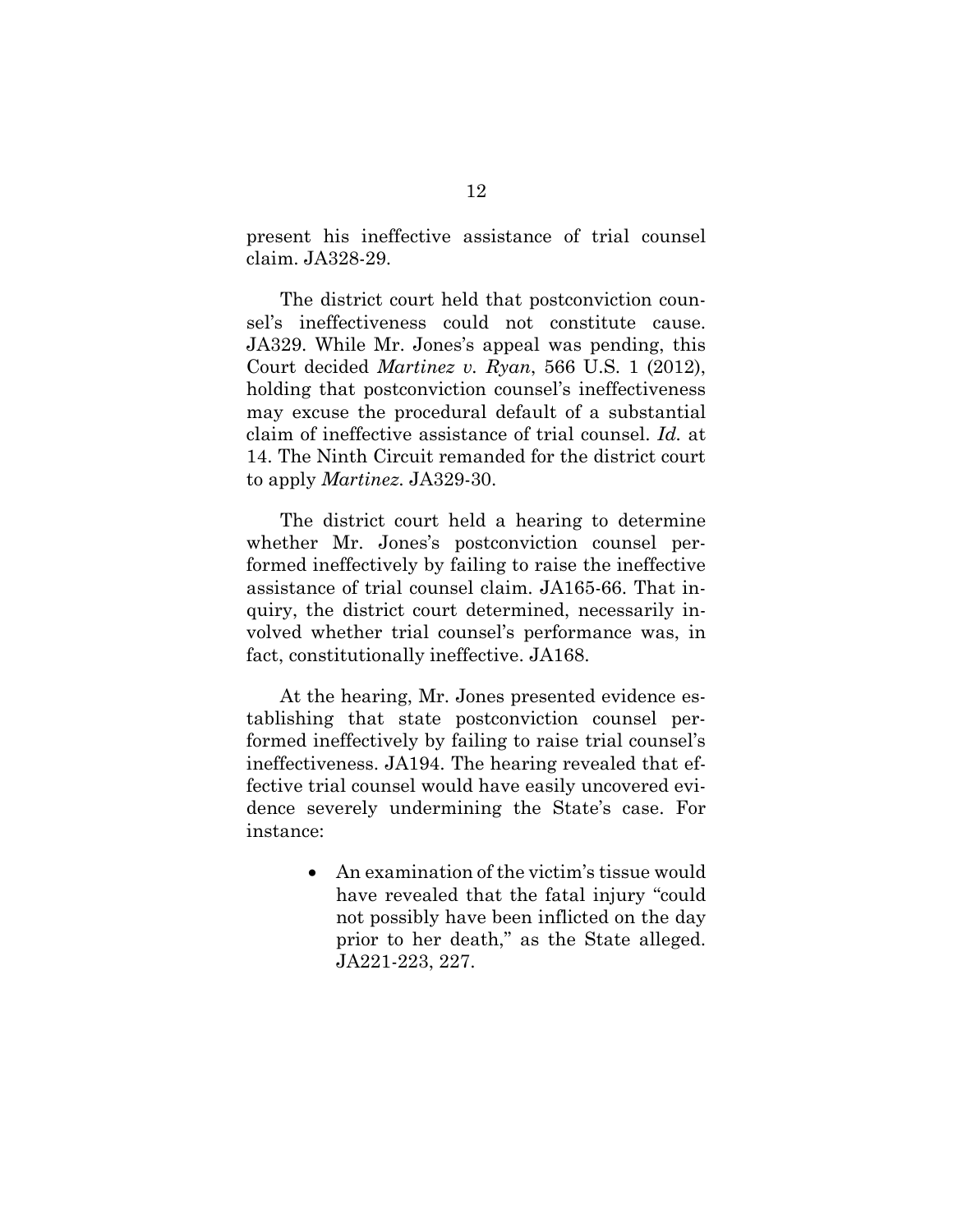present his ineffective assistance of trial counsel claim. JA328-29.

The district court held that postconviction counsel's ineffectiveness could not constitute cause. JA329. While Mr. Jones's appeal was pending, this Court decided *Martinez v. Ryan*, 566 U.S. 1 (2012), holding that postconviction counsel's ineffectiveness may excuse the procedural default of a substantial claim of ineffective assistance of trial counsel. *Id.* at 14. The Ninth Circuit remanded for the district court to apply *Martinez*. JA329-30.

The district court held a hearing to determine whether Mr. Jones's postconviction counsel performed ineffectively by failing to raise the ineffective assistance of trial counsel claim. JA165-66. That inquiry, the district court determined, necessarily involved whether trial counsel's performance was, in fact, constitutionally ineffective. JA168.

At the hearing, Mr. Jones presented evidence establishing that state postconviction counsel performed ineffectively by failing to raise trial counsel's ineffectiveness. JA194. The hearing revealed that effective trial counsel would have easily uncovered evidence severely undermining the State's case. For instance:

> • An examination of the victim's tissue would have revealed that the fatal injury "could not possibly have been inflicted on the day prior to her death," as the State alleged. JA221-223, 227.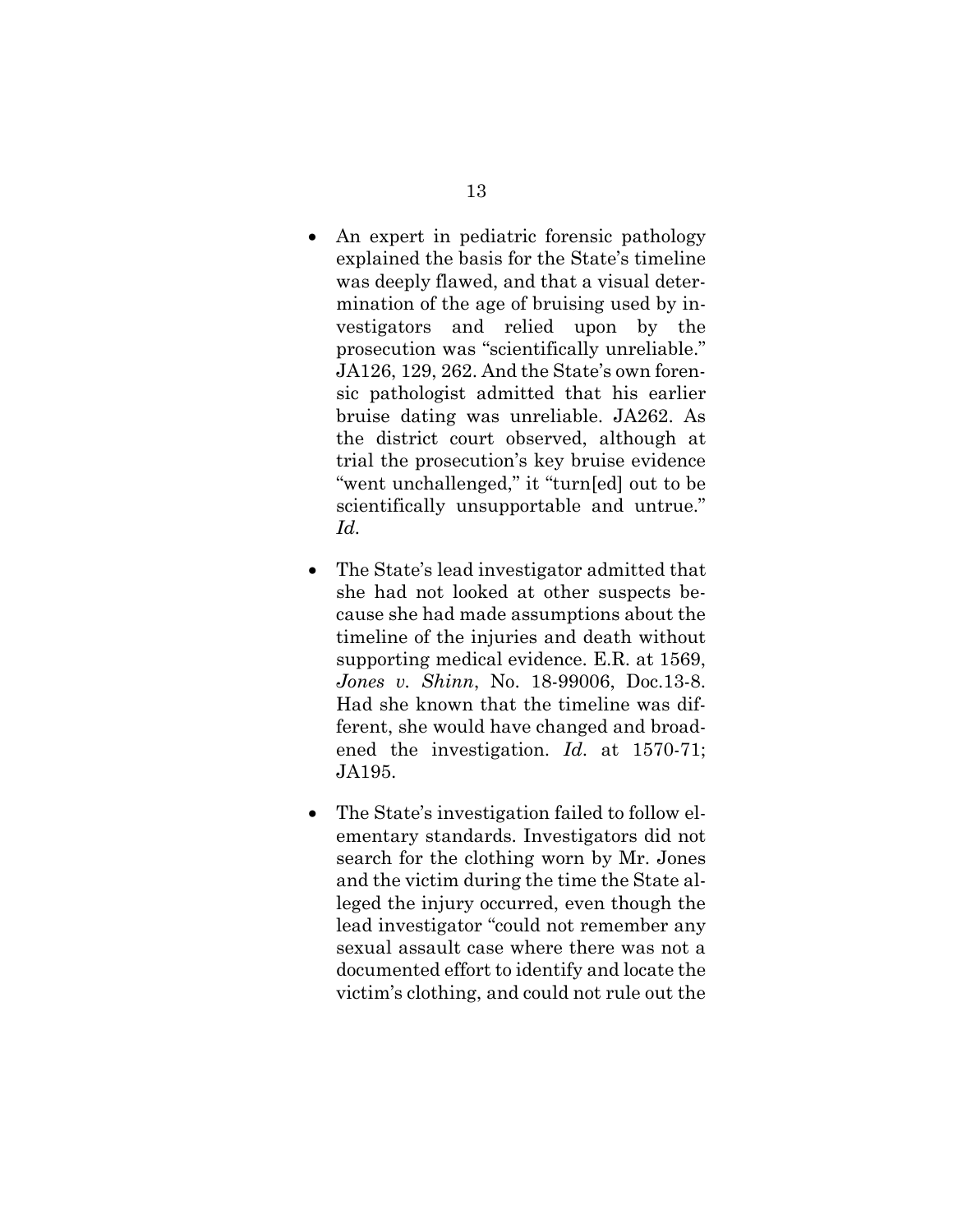- An expert in pediatric forensic pathology explained the basis for the State's timeline was deeply flawed, and that a visual determination of the age of bruising used by investigators and relied upon by the prosecution was "scientifically unreliable." JA126, 129, 262. And the State's own forensic pathologist admitted that his earlier bruise dating was unreliable. JA262. As the district court observed, although at trial the prosecution's key bruise evidence "went unchallenged," it "turn[ed] out to be scientifically unsupportable and untrue." *Id.*
- The State's lead investigator admitted that she had not looked at other suspects because she had made assumptions about the timeline of the injuries and death without supporting medical evidence. E.R. at 1569, *Jones v. Shinn*, No. 18-99006, Doc.13-8. Had she known that the timeline was different, she would have changed and broadened the investigation. *Id*. at 1570-71; JA195.
- The State's investigation failed to follow elementary standards. Investigators did not search for the clothing worn by Mr. Jones and the victim during the time the State alleged the injury occurred, even though the lead investigator "could not remember any sexual assault case where there was not a documented effort to identify and locate the victim's clothing, and could not rule out the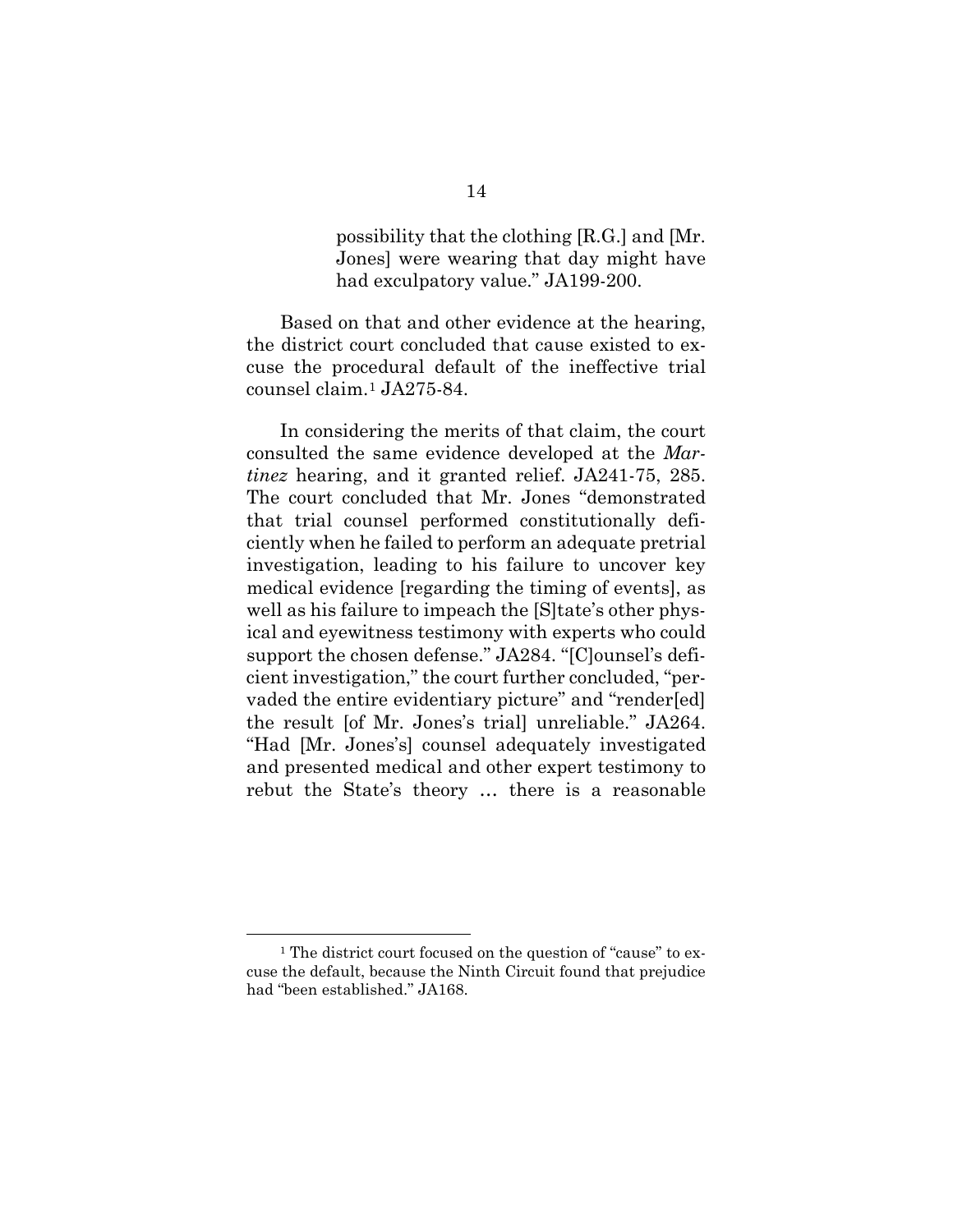possibility that the clothing [R.G.] and [Mr. Jones] were wearing that day might have had exculpatory value." JA199-200.

Based on that and other evidence at the hearing, the district court concluded that cause existed to excuse the procedural default of the ineffective trial counsel claim.1 JA275-84.

In considering the merits of that claim, the court consulted the same evidence developed at the *Martinez* hearing, and it granted relief. JA241-75, 285. The court concluded that Mr. Jones "demonstrated that trial counsel performed constitutionally deficiently when he failed to perform an adequate pretrial investigation, leading to his failure to uncover key medical evidence [regarding the timing of events], as well as his failure to impeach the [S]tate's other physical and eyewitness testimony with experts who could support the chosen defense." JA284. "[C]ounsel's deficient investigation," the court further concluded, "pervaded the entire evidentiary picture" and "render[ed] the result [of Mr. Jones's trial] unreliable." JA264. "Had [Mr. Jones's] counsel adequately investigated and presented medical and other expert testimony to rebut the State's theory … there is a reasonable

<sup>&</sup>lt;sup>1</sup> The district court focused on the question of "cause" to excuse the default, because the Ninth Circuit found that prejudice had "been established." JA168.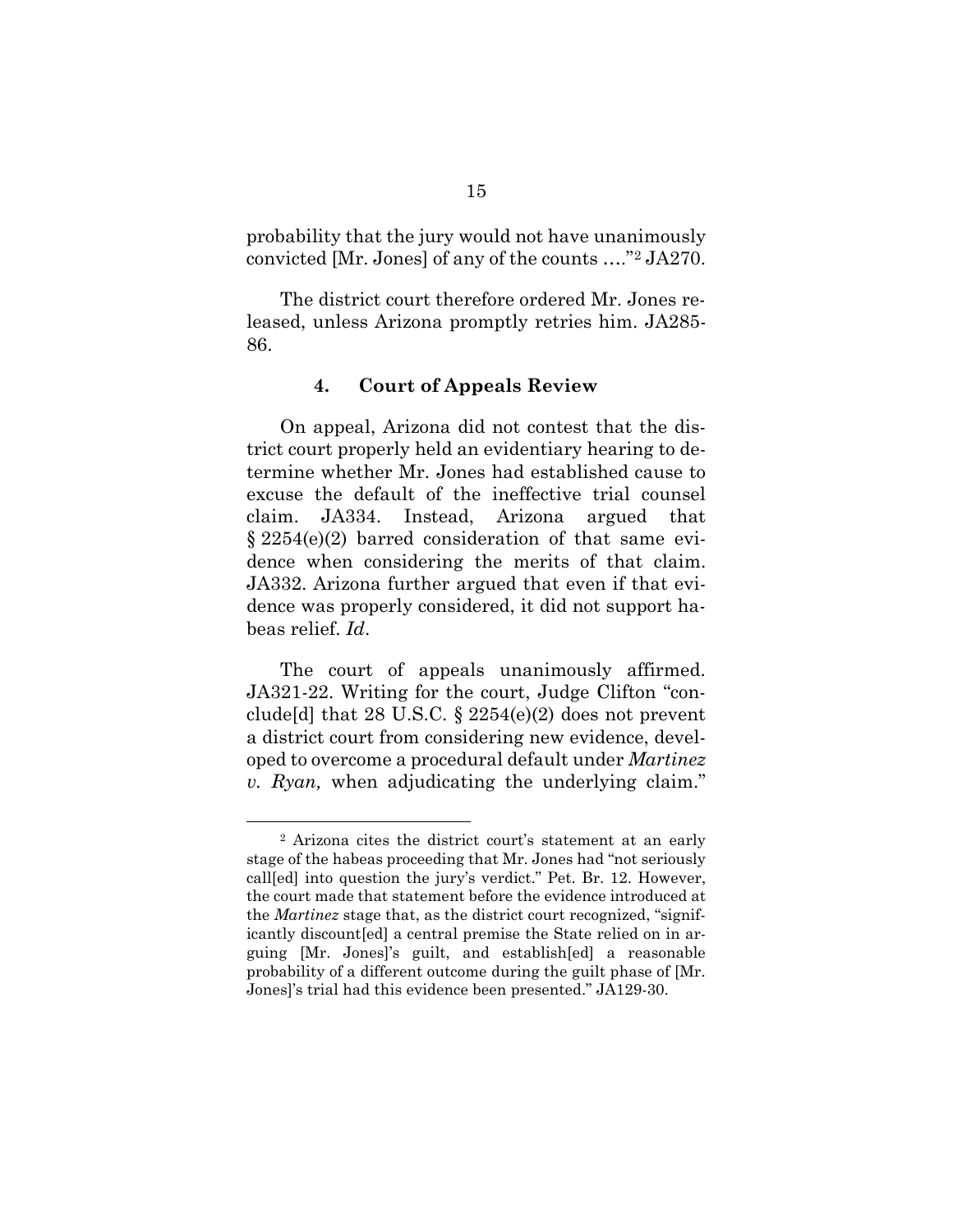probability that the jury would not have unanimously convicted [Mr. Jones] of any of the counts …."2 JA270.

The district court therefore ordered Mr. Jones released, unless Arizona promptly retries him. JA285- 86.

### **4. Court of Appeals Review**

On appeal, Arizona did not contest that the district court properly held an evidentiary hearing to determine whether Mr. Jones had established cause to excuse the default of the ineffective trial counsel claim. JA334. Instead, Arizona argued that § 2254(e)(2) barred consideration of that same evidence when considering the merits of that claim. JA332. Arizona further argued that even if that evidence was properly considered, it did not support habeas relief. *Id*.

The court of appeals unanimously affirmed. JA321-22. Writing for the court, Judge Clifton "conclude [d] that 28 U.S.C.  $\S 2254(e)(2)$  does not prevent a district court from considering new evidence, developed to overcome a procedural default under *Martinez v. Ryan,* when adjudicating the underlying claim."

<sup>2</sup> Arizona cites the district court's statement at an early stage of the habeas proceeding that Mr. Jones had "not seriously call[ed] into question the jury's verdict." Pet. Br. 12. However, the court made that statement before the evidence introduced at the *Martinez* stage that, as the district court recognized, "significantly discount[ed] a central premise the State relied on in arguing [Mr. Jones]'s guilt, and establish[ed] a reasonable probability of a different outcome during the guilt phase of [Mr. Jones]'s trial had this evidence been presented." JA129-30.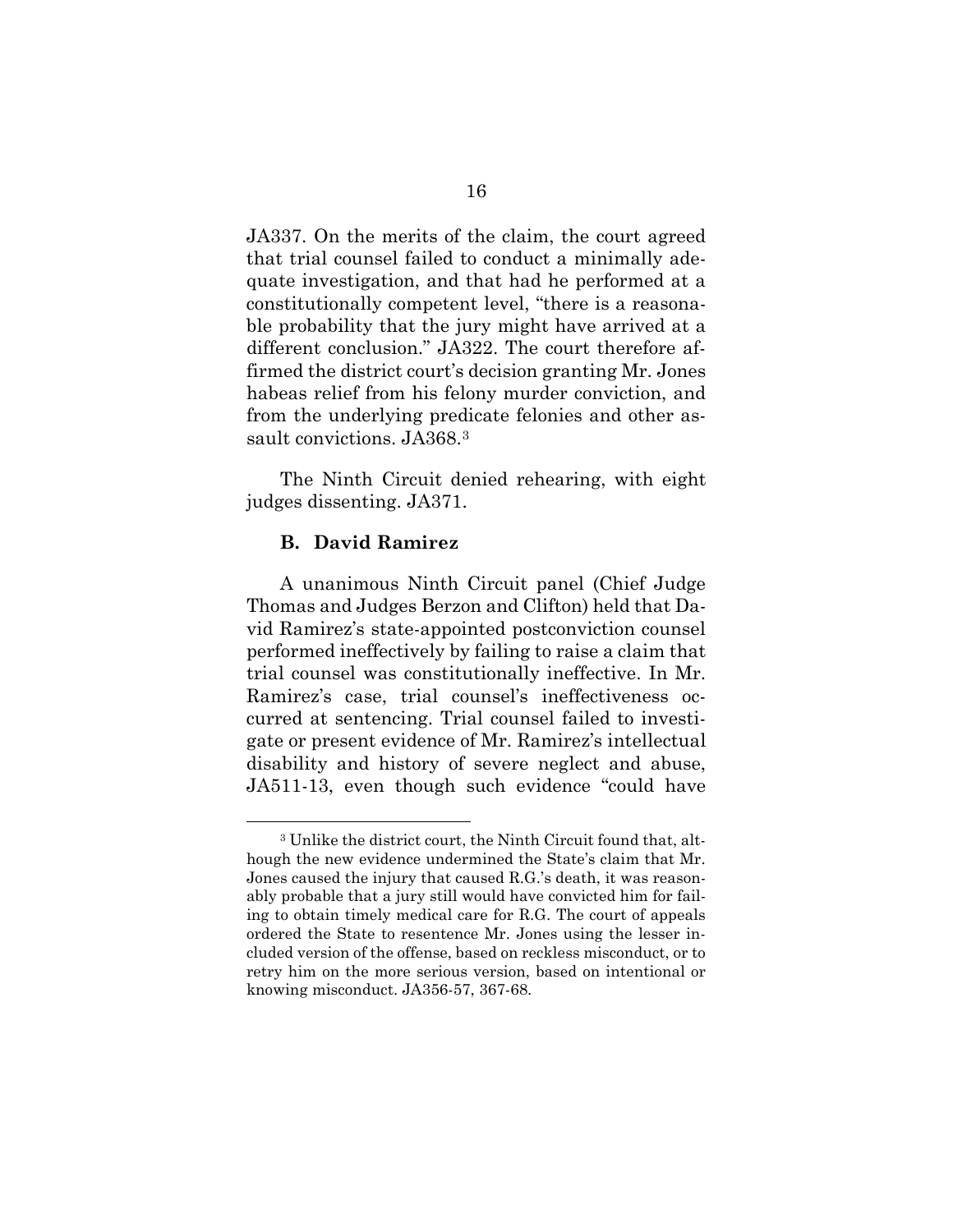JA337. On the merits of the claim, the court agreed that trial counsel failed to conduct a minimally adequate investigation, and that had he performed at a constitutionally competent level, "there is a reasonable probability that the jury might have arrived at a different conclusion." JA322. The court therefore affirmed the district court's decision granting Mr. Jones habeas relief from his felony murder conviction, and from the underlying predicate felonies and other assault convictions. JA368.<sup>3</sup>

The Ninth Circuit denied rehearing, with eight judges dissenting. JA371.

## **B. David Ramirez**

A unanimous Ninth Circuit panel (Chief Judge Thomas and Judges Berzon and Clifton) held that David Ramirez's state-appointed postconviction counsel performed ineffectively by failing to raise a claim that trial counsel was constitutionally ineffective. In Mr. Ramirez's case, trial counsel's ineffectiveness occurred at sentencing. Trial counsel failed to investigate or present evidence of Mr. Ramirez's intellectual disability and history of severe neglect and abuse, JA511-13, even though such evidence "could have

<sup>3</sup> Unlike the district court, the Ninth Circuit found that, although the new evidence undermined the State's claim that Mr. Jones caused the injury that caused R.G.'s death, it was reasonably probable that a jury still would have convicted him for failing to obtain timely medical care for R.G. The court of appeals ordered the State to resentence Mr. Jones using the lesser included version of the offense, based on reckless misconduct, or to retry him on the more serious version, based on intentional or knowing misconduct. JA356-57, 367-68.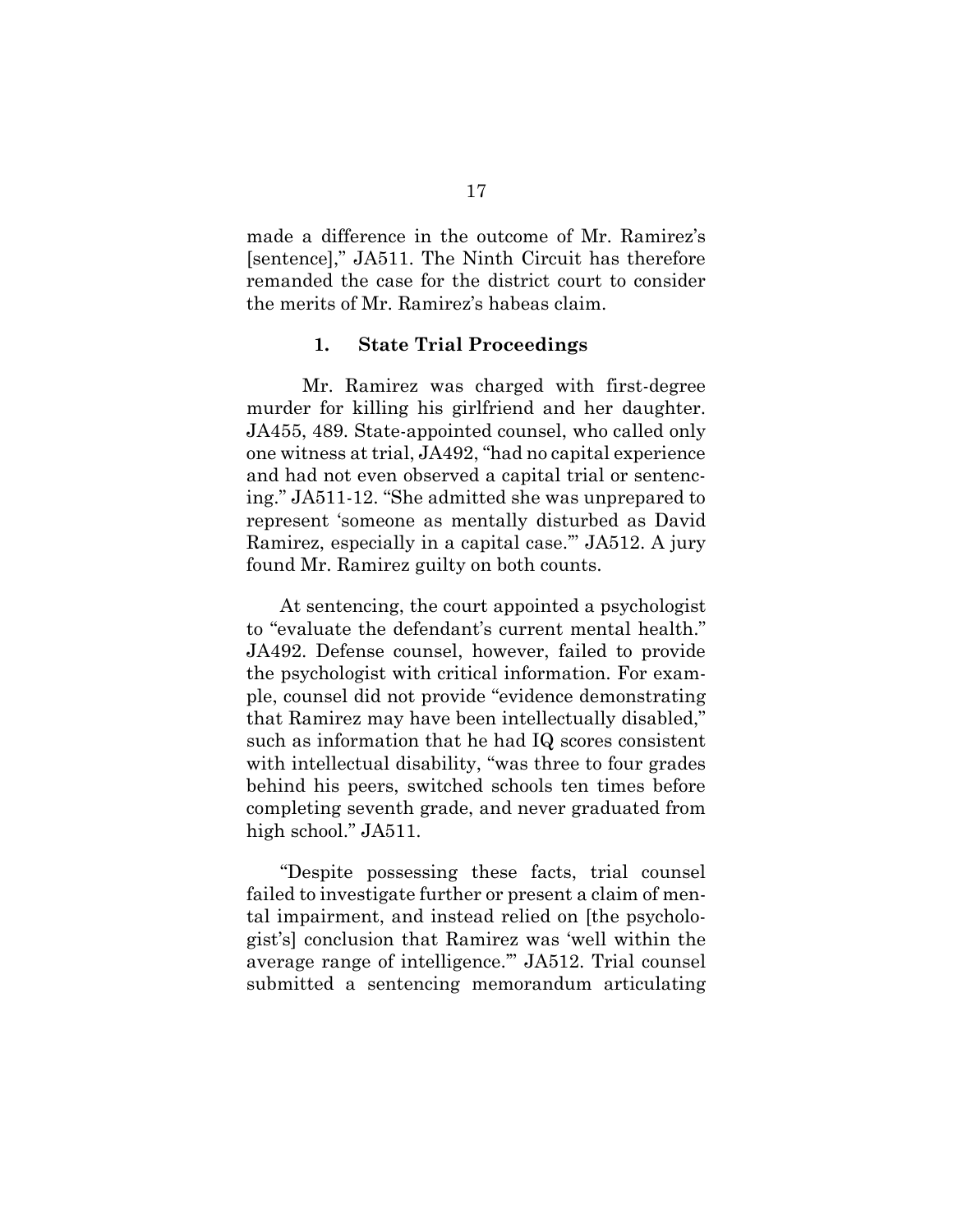made a difference in the outcome of Mr. Ramirez's [sentence]," JA511. The Ninth Circuit has therefore remanded the case for the district court to consider the merits of Mr. Ramirez's habeas claim.

### **1. State Trial Proceedings**

Mr. Ramirez was charged with first-degree murder for killing his girlfriend and her daughter. JA455, 489. State-appointed counsel, who called only one witness at trial, JA492, "had no capital experience and had not even observed a capital trial or sentencing." JA511-12. "She admitted she was unprepared to represent 'someone as mentally disturbed as David Ramirez, especially in a capital case.'" JA512. A jury found Mr. Ramirez guilty on both counts.

At sentencing, the court appointed a psychologist to "evaluate the defendant's current mental health." JA492. Defense counsel, however, failed to provide the psychologist with critical information. For example, counsel did not provide "evidence demonstrating that Ramirez may have been intellectually disabled," such as information that he had IQ scores consistent with intellectual disability, "was three to four grades behind his peers, switched schools ten times before completing seventh grade, and never graduated from high school." JA511.

"Despite possessing these facts, trial counsel failed to investigate further or present a claim of mental impairment, and instead relied on [the psychologist's] conclusion that Ramirez was 'well within the average range of intelligence.'" JA512. Trial counsel submitted a sentencing memorandum articulating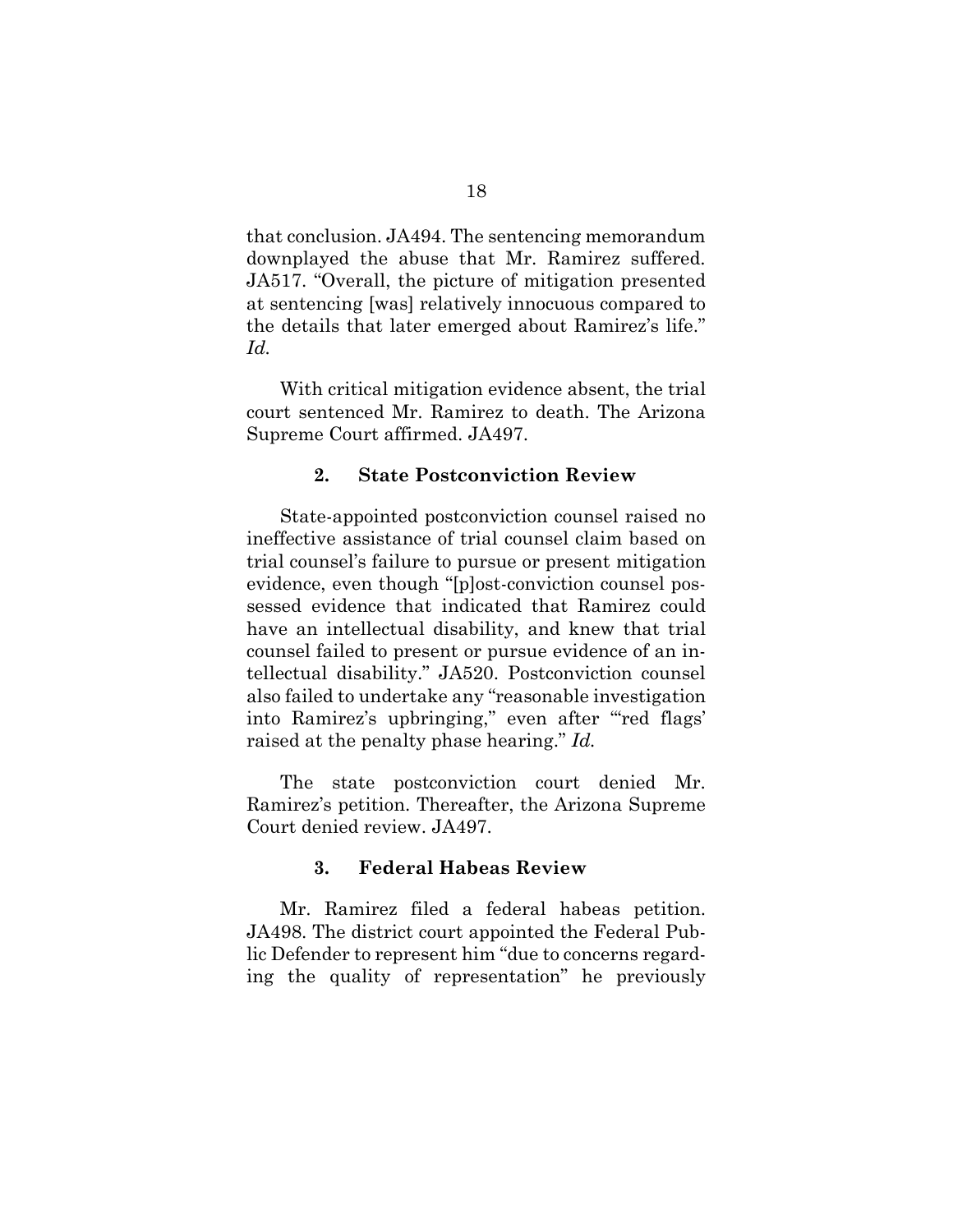that conclusion. JA494. The sentencing memorandum downplayed the abuse that Mr. Ramirez suffered. JA517. "Overall, the picture of mitigation presented at sentencing [was] relatively innocuous compared to the details that later emerged about Ramirez's life." *Id.*

With critical mitigation evidence absent, the trial court sentenced Mr. Ramirez to death. The Arizona Supreme Court affirmed. JA497.

### **2. State Postconviction Review**

State-appointed postconviction counsel raised no ineffective assistance of trial counsel claim based on trial counsel's failure to pursue or present mitigation evidence, even though "[p]ost-conviction counsel possessed evidence that indicated that Ramirez could have an intellectual disability, and knew that trial counsel failed to present or pursue evidence of an intellectual disability." JA520. Postconviction counsel also failed to undertake any "reasonable investigation into Ramirez's upbringing," even after "red flags" raised at the penalty phase hearing." *Id.*

The state postconviction court denied Mr. Ramirez's petition. Thereafter, the Arizona Supreme Court denied review. JA497.

### **3. Federal Habeas Review**

Mr. Ramirez filed a federal habeas petition. JA498. The district court appointed the Federal Public Defender to represent him "due to concerns regarding the quality of representation" he previously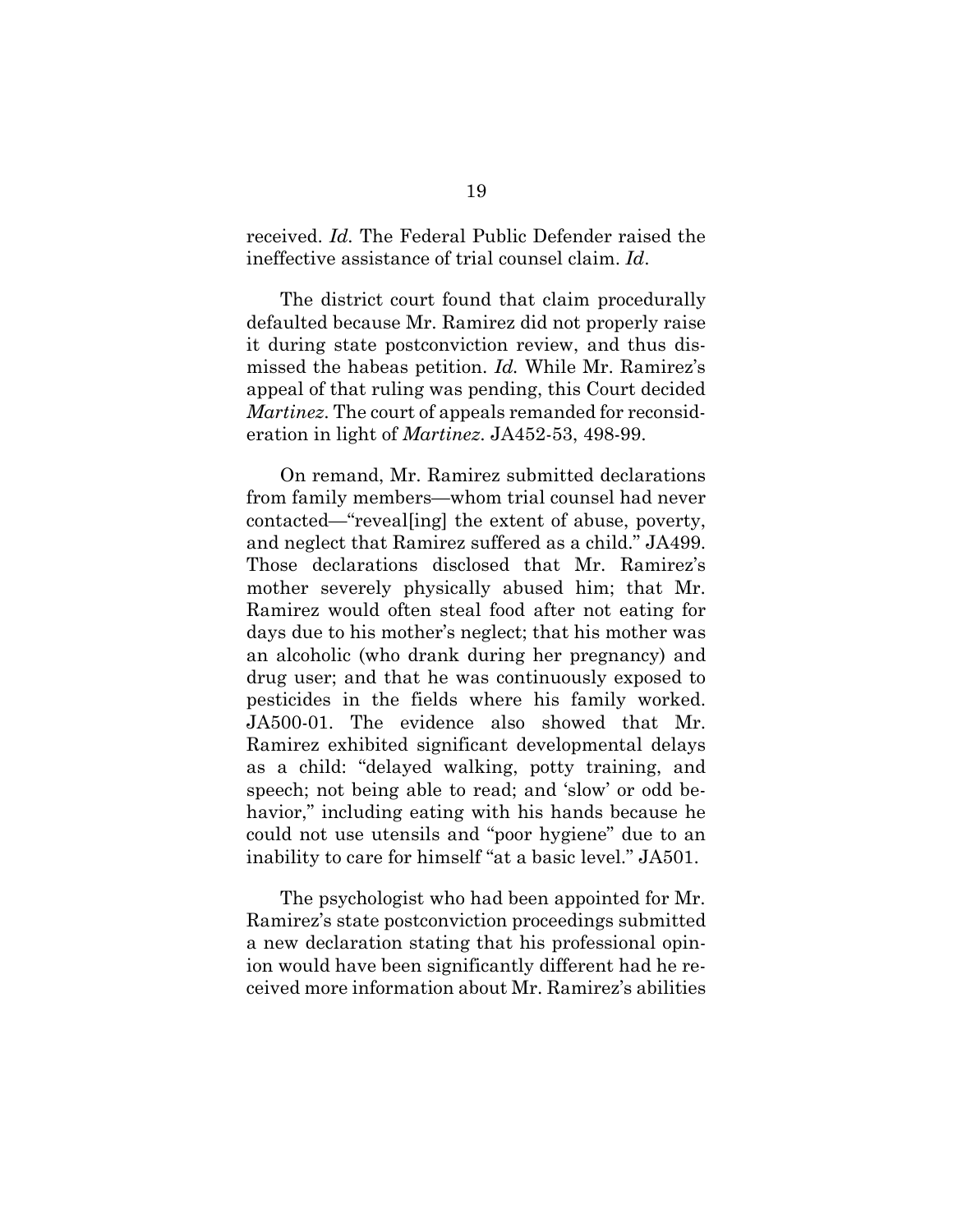received. *Id.* The Federal Public Defender raised the ineffective assistance of trial counsel claim. *Id*.

The district court found that claim procedurally defaulted because Mr. Ramirez did not properly raise it during state postconviction review, and thus dismissed the habeas petition. *Id.* While Mr. Ramirez's appeal of that ruling was pending, this Court decided *Martinez*. The court of appeals remanded for reconsideration in light of *Martinez*. JA452-53, 498-99.

On remand, Mr. Ramirez submitted declarations from family members—whom trial counsel had never contacted—"reveal[ing] the extent of abuse, poverty, and neglect that Ramirez suffered as a child." JA499. Those declarations disclosed that Mr. Ramirez's mother severely physically abused him; that Mr. Ramirez would often steal food after not eating for days due to his mother's neglect; that his mother was an alcoholic (who drank during her pregnancy) and drug user; and that he was continuously exposed to pesticides in the fields where his family worked. JA500-01. The evidence also showed that Mr. Ramirez exhibited significant developmental delays as a child: "delayed walking, potty training, and speech; not being able to read; and 'slow' or odd behavior," including eating with his hands because he could not use utensils and "poor hygiene" due to an inability to care for himself "at a basic level." JA501.

The psychologist who had been appointed for Mr. Ramirez's state postconviction proceedings submitted a new declaration stating that his professional opinion would have been significantly different had he received more information about Mr. Ramirez's abilities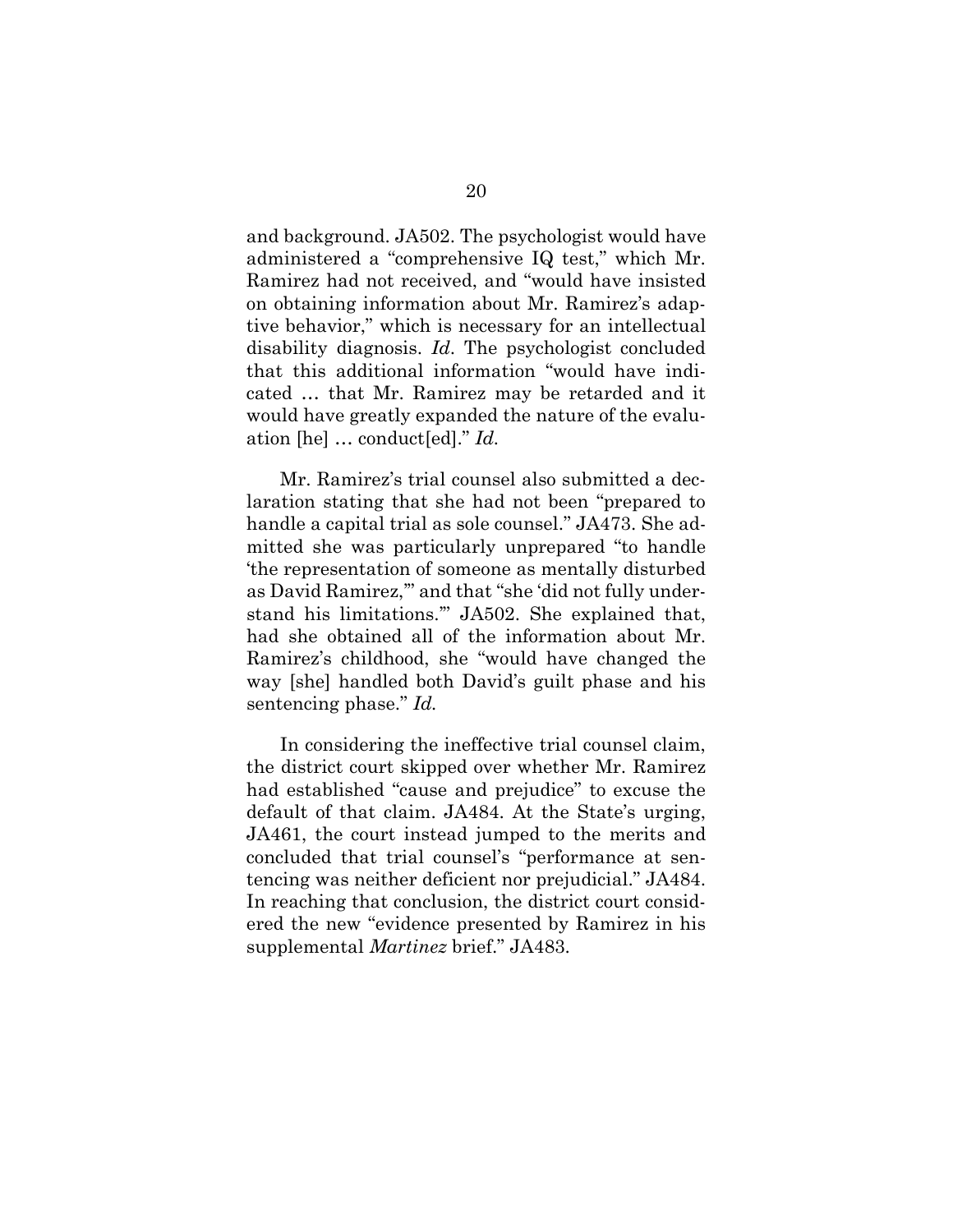and background. JA502. The psychologist would have administered a "comprehensive IQ test," which Mr. Ramirez had not received, and "would have insisted on obtaining information about Mr. Ramirez's adaptive behavior," which is necessary for an intellectual disability diagnosis. *Id*. The psychologist concluded that this additional information "would have indicated … that Mr. Ramirez may be retarded and it would have greatly expanded the nature of the evaluation [he] … conduct[ed]." *Id.*

Mr. Ramirez's trial counsel also submitted a declaration stating that she had not been "prepared to handle a capital trial as sole counsel." JA473. She admitted she was particularly unprepared "to handle 'the representation of someone as mentally disturbed as David Ramirez,'" and that "she 'did not fully understand his limitations.'" JA502. She explained that, had she obtained all of the information about Mr. Ramirez's childhood, she "would have changed the way [she] handled both David's guilt phase and his sentencing phase." *Id.*

In considering the ineffective trial counsel claim, the district court skipped over whether Mr. Ramirez had established "cause and prejudice" to excuse the default of that claim. JA484. At the State's urging, JA461, the court instead jumped to the merits and concluded that trial counsel's "performance at sentencing was neither deficient nor prejudicial." JA484. In reaching that conclusion, the district court considered the new "evidence presented by Ramirez in his supplemental *Martinez* brief." JA483.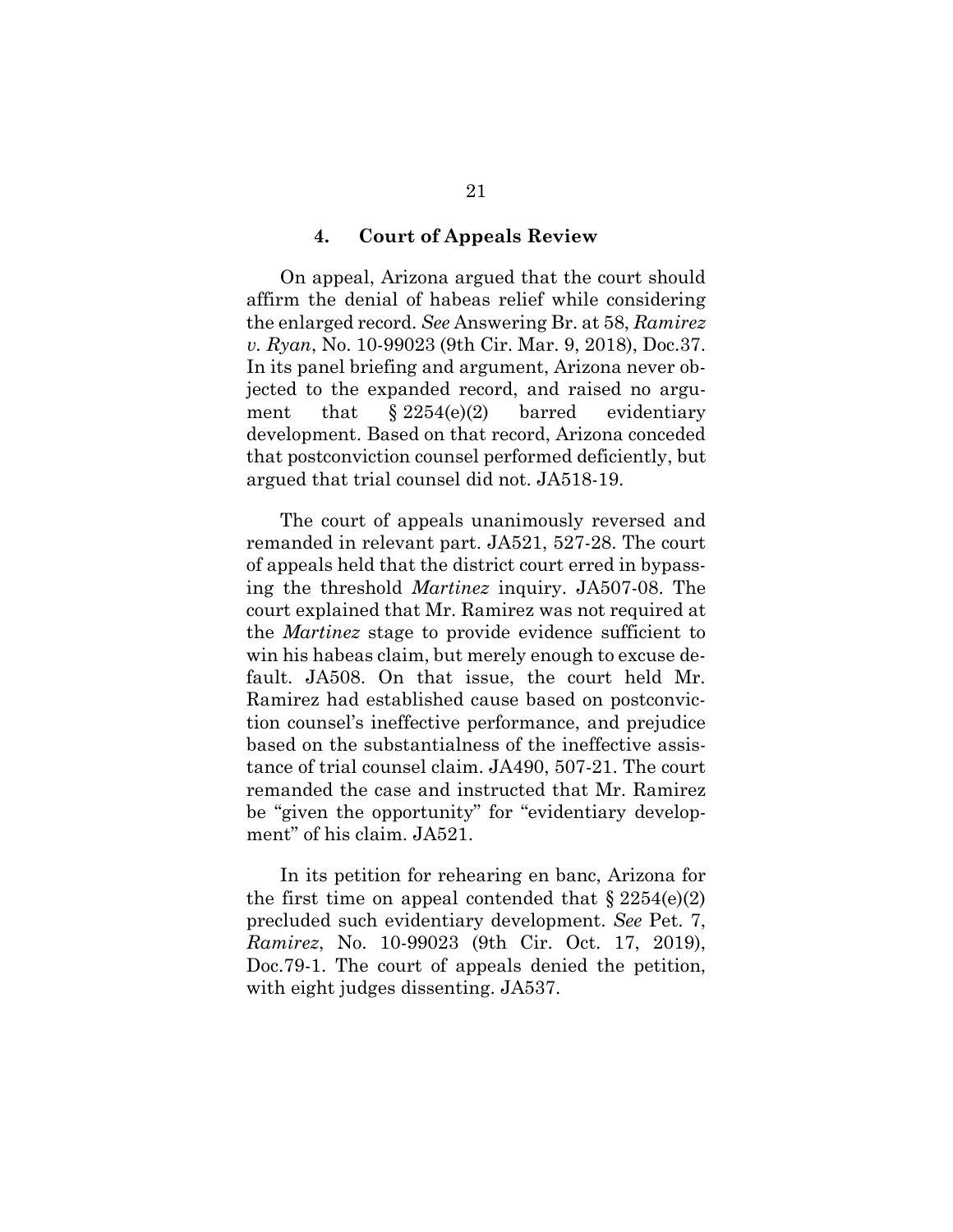#### **4. Court of Appeals Review**

On appeal, Arizona argued that the court should affirm the denial of habeas relief while considering the enlarged record. *See* Answering Br. at 58, *Ramirez v. Ryan*, No. 10-99023 (9th Cir. Mar. 9, 2018), Doc.37. In its panel briefing and argument, Arizona never objected to the expanded record, and raised no argument that  $$2254(e)(2)$  barred evidentiary development. Based on that record, Arizona conceded that postconviction counsel performed deficiently, but argued that trial counsel did not. JA518-19.

The court of appeals unanimously reversed and remanded in relevant part. JA521, 527-28. The court of appeals held that the district court erred in bypassing the threshold *Martinez* inquiry. JA507-08. The court explained that Mr. Ramirez was not required at the *Martinez* stage to provide evidence sufficient to win his habeas claim, but merely enough to excuse default. JA508. On that issue, the court held Mr. Ramirez had established cause based on postconviction counsel's ineffective performance, and prejudice based on the substantialness of the ineffective assistance of trial counsel claim. JA490, 507-21. The court remanded the case and instructed that Mr. Ramirez be "given the opportunity" for "evidentiary development" of his claim. JA521.

In its petition for rehearing en banc, Arizona for the first time on appeal contended that  $\S 2254(e)(2)$ precluded such evidentiary development. *See* Pet. 7, *Ramirez*, No. 10-99023 (9th Cir. Oct. 17, 2019), Doc.79-1. The court of appeals denied the petition, with eight judges dissenting. JA537.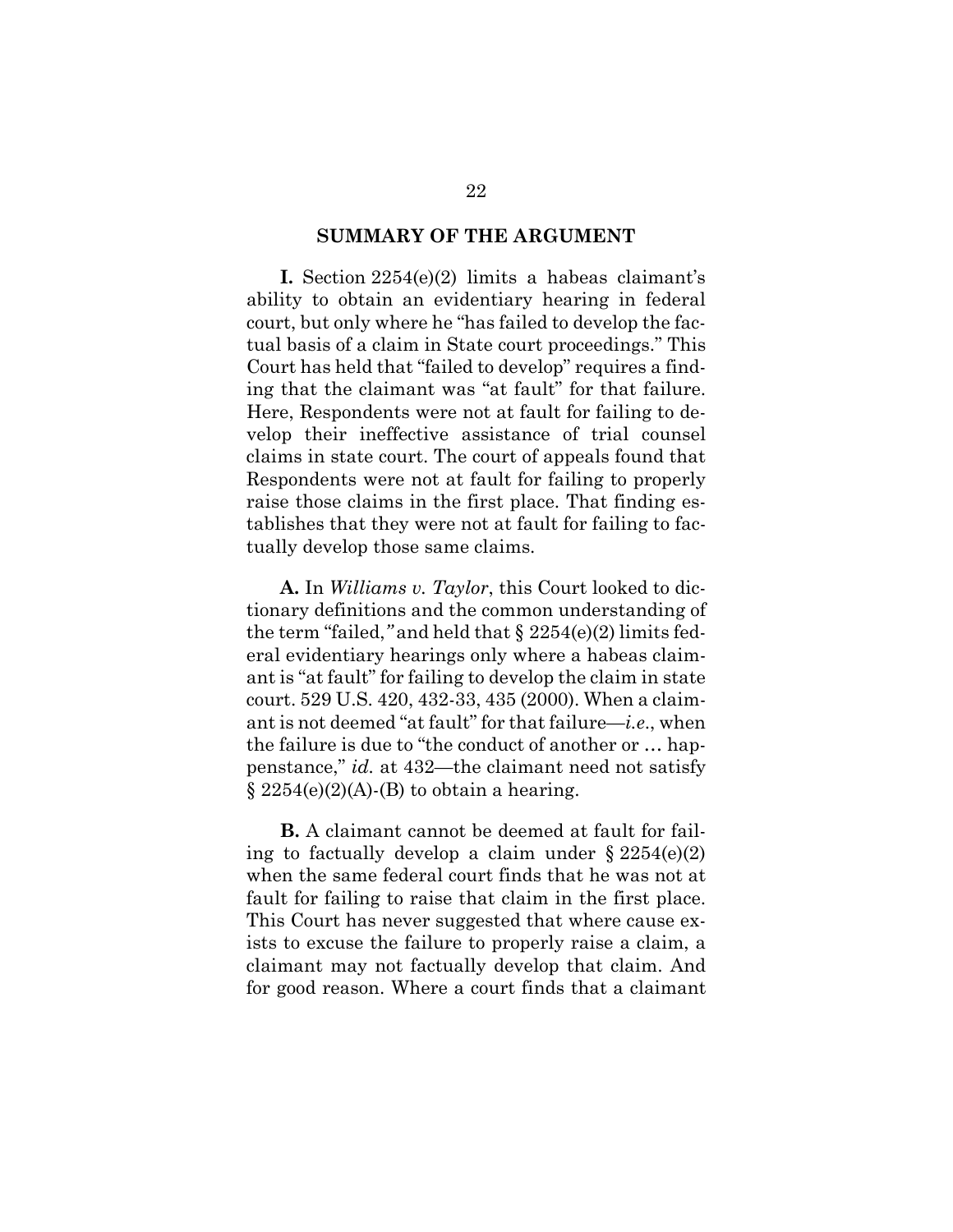#### **SUMMARY OF THE ARGUMENT**

**I.** Section 2254(e)(2) limits a habeas claimant's ability to obtain an evidentiary hearing in federal court, but only where he "has failed to develop the factual basis of a claim in State court proceedings." This Court has held that "failed to develop" requires a finding that the claimant was "at fault" for that failure. Here, Respondents were not at fault for failing to develop their ineffective assistance of trial counsel claims in state court. The court of appeals found that Respondents were not at fault for failing to properly raise those claims in the first place. That finding establishes that they were not at fault for failing to factually develop those same claims.

**A.** In *Williams v. Taylor*, this Court looked to dictionary definitions and the common understanding of the term "failed,*"* and held that § 2254(e)(2) limits federal evidentiary hearings only where a habeas claimant is "at fault" for failing to develop the claim in state court. 529 U.S. 420, 432-33, 435 (2000). When a claimant is not deemed "at fault" for that failure—*i.e*., when the failure is due to "the conduct of another or … happenstance," *id.* at 432—the claimant need not satisfy  $\S 2254(e)(2)(A)$ -(B) to obtain a hearing.

**B.** A claimant cannot be deemed at fault for failing to factually develop a claim under  $\S 2254(e)(2)$ when the same federal court finds that he was not at fault for failing to raise that claim in the first place. This Court has never suggested that where cause exists to excuse the failure to properly raise a claim, a claimant may not factually develop that claim. And for good reason. Where a court finds that a claimant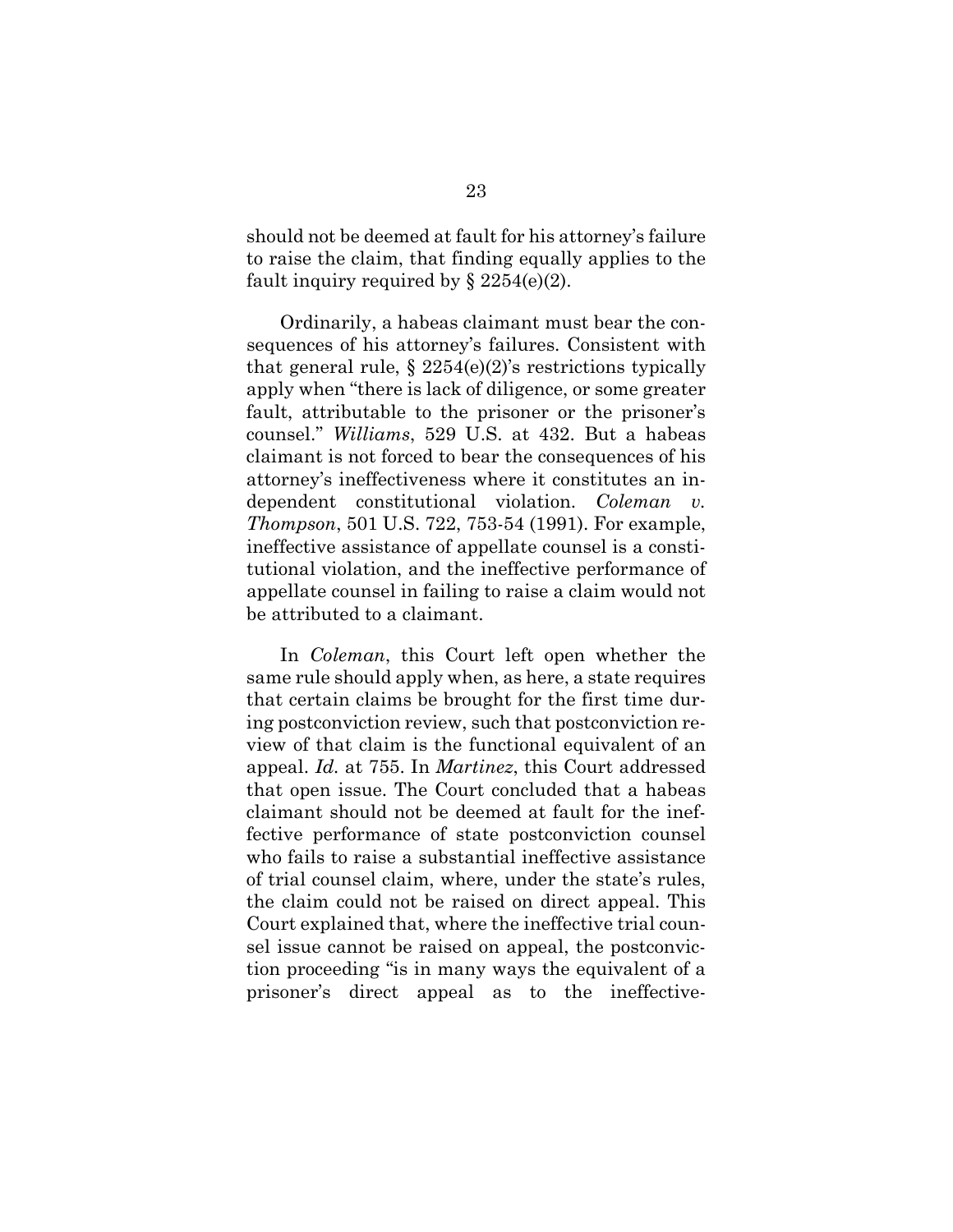should not be deemed at fault for his attorney's failure to raise the claim, that finding equally applies to the fault inquiry required by  $\S 2254(e)(2)$ .

Ordinarily, a habeas claimant must bear the consequences of his attorney's failures. Consistent with that general rule,  $\S 2254(e)(2)$ 's restrictions typically apply when "there is lack of diligence, or some greater fault, attributable to the prisoner or the prisoner's counsel." *Williams*, 529 U.S. at 432. But a habeas claimant is not forced to bear the consequences of his attorney's ineffectiveness where it constitutes an independent constitutional violation. *Coleman v. Thompson*, 501 U.S. 722, 753-54 (1991). For example, ineffective assistance of appellate counsel is a constitutional violation, and the ineffective performance of appellate counsel in failing to raise a claim would not be attributed to a claimant.

In *Coleman*, this Court left open whether the same rule should apply when, as here, a state requires that certain claims be brought for the first time during postconviction review, such that postconviction review of that claim is the functional equivalent of an appeal. *Id.* at 755. In *Martinez*, this Court addressed that open issue. The Court concluded that a habeas claimant should not be deemed at fault for the ineffective performance of state postconviction counsel who fails to raise a substantial ineffective assistance of trial counsel claim, where, under the state's rules, the claim could not be raised on direct appeal. This Court explained that, where the ineffective trial counsel issue cannot be raised on appeal, the postconviction proceeding "is in many ways the equivalent of a prisoner's direct appeal as to the ineffective-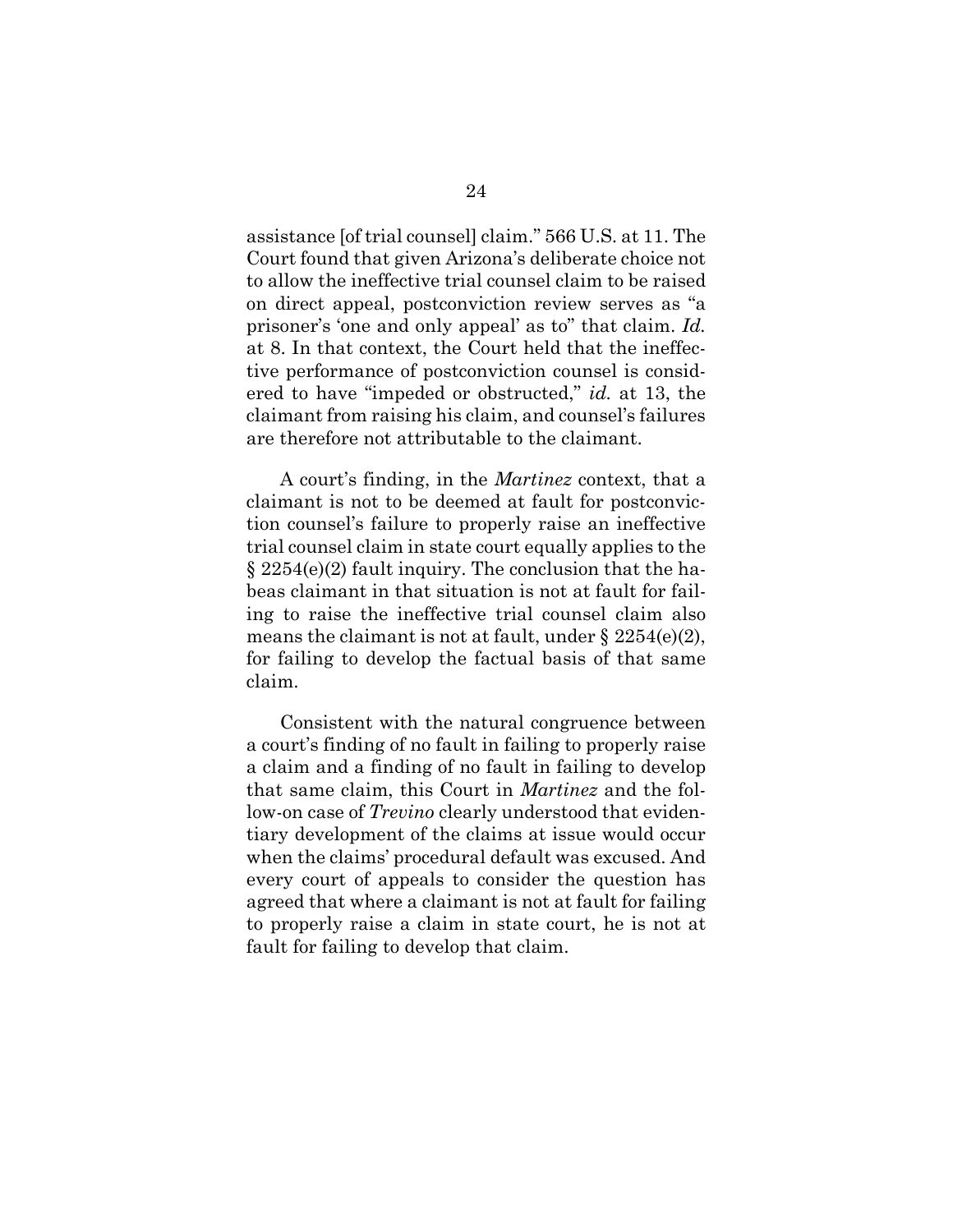assistance [of trial counsel] claim." 566 U.S. at 11. The Court found that given Arizona's deliberate choice not to allow the ineffective trial counsel claim to be raised on direct appeal, postconviction review serves as "a prisoner's 'one and only appeal' as to" that claim. *Id.*  at 8. In that context, the Court held that the ineffective performance of postconviction counsel is considered to have "impeded or obstructed," *id.* at 13, the claimant from raising his claim, and counsel's failures are therefore not attributable to the claimant.

A court's finding, in the *Martinez* context, that a claimant is not to be deemed at fault for postconviction counsel's failure to properly raise an ineffective trial counsel claim in state court equally applies to the § 2254(e)(2) fault inquiry. The conclusion that the habeas claimant in that situation is not at fault for failing to raise the ineffective trial counsel claim also means the claimant is not at fault, under  $\S 2254(e)(2)$ , for failing to develop the factual basis of that same claim.

Consistent with the natural congruence between a court's finding of no fault in failing to properly raise a claim and a finding of no fault in failing to develop that same claim, this Court in *Martinez* and the follow-on case of *Trevino* clearly understood that evidentiary development of the claims at issue would occur when the claims' procedural default was excused. And every court of appeals to consider the question has agreed that where a claimant is not at fault for failing to properly raise a claim in state court, he is not at fault for failing to develop that claim.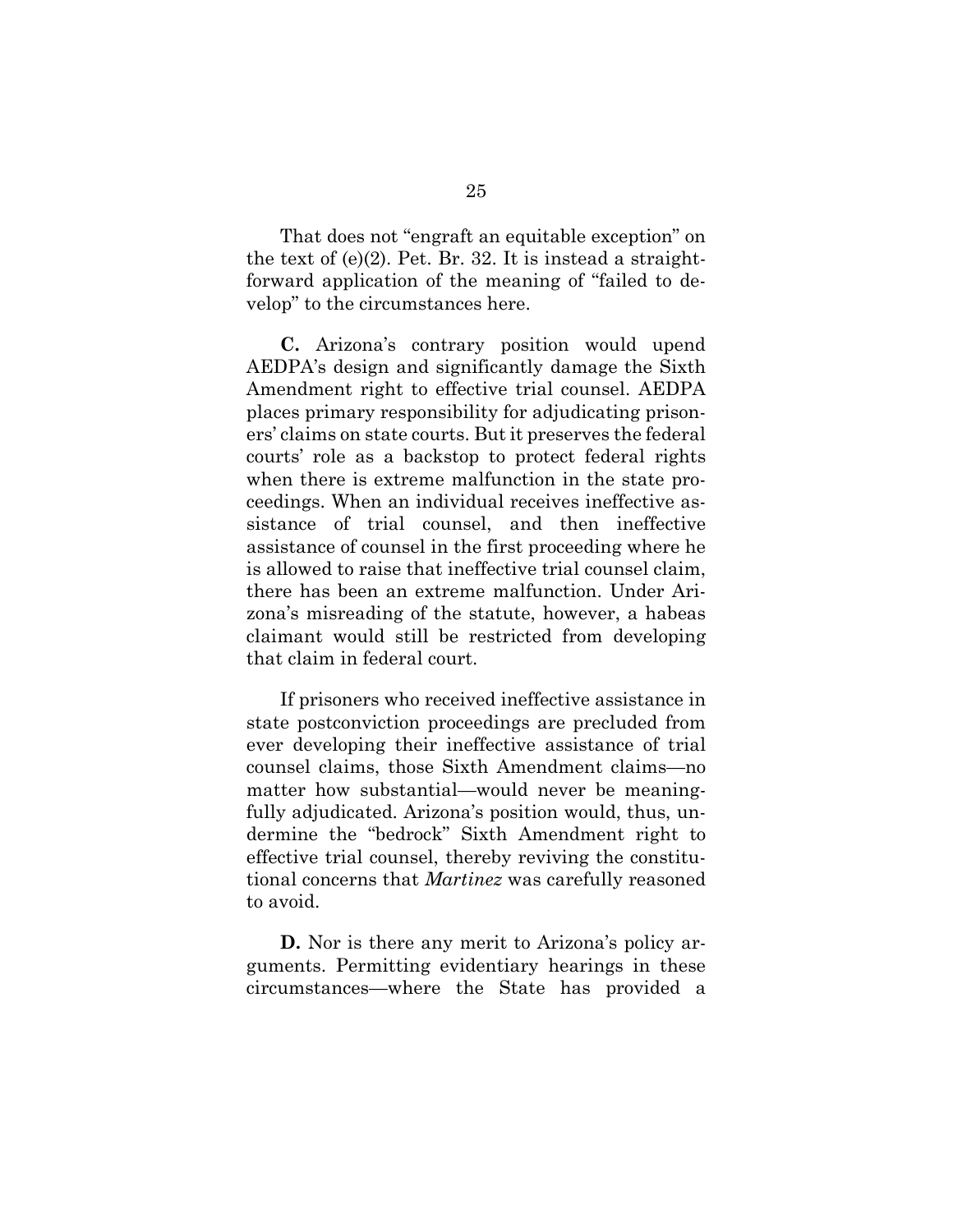That does not "engraft an equitable exception" on the text of  $(e)(2)$ . Pet. Br. 32. It is instead a straightforward application of the meaning of "failed to develop" to the circumstances here.

**C.** Arizona's contrary position would upend AEDPA's design and significantly damage the Sixth Amendment right to effective trial counsel. AEDPA places primary responsibility for adjudicating prisoners' claims on state courts. But it preserves the federal courts' role as a backstop to protect federal rights when there is extreme malfunction in the state proceedings. When an individual receives ineffective assistance of trial counsel, and then ineffective assistance of counsel in the first proceeding where he is allowed to raise that ineffective trial counsel claim, there has been an extreme malfunction. Under Arizona's misreading of the statute, however, a habeas claimant would still be restricted from developing that claim in federal court.

If prisoners who received ineffective assistance in state postconviction proceedings are precluded from ever developing their ineffective assistance of trial counsel claims, those Sixth Amendment claims—no matter how substantial—would never be meaningfully adjudicated. Arizona's position would, thus, undermine the "bedrock" Sixth Amendment right to effective trial counsel, thereby reviving the constitutional concerns that *Martinez* was carefully reasoned to avoid.

**D.** Nor is there any merit to Arizona's policy arguments. Permitting evidentiary hearings in these circumstances—where the State has provided a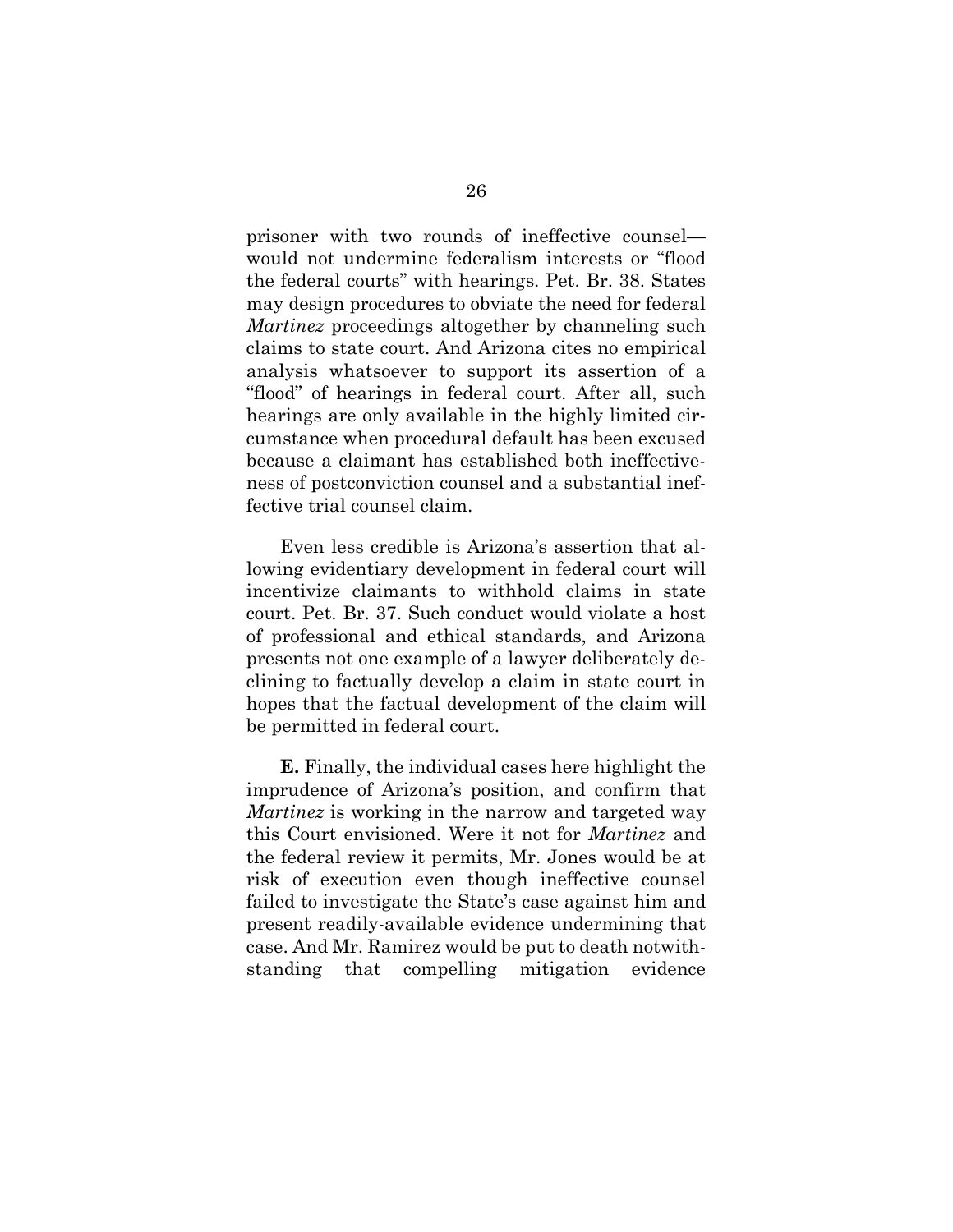prisoner with two rounds of ineffective counsel would not undermine federalism interests or "flood the federal courts" with hearings. Pet. Br. 38. States may design procedures to obviate the need for federal *Martinez* proceedings altogether by channeling such claims to state court. And Arizona cites no empirical analysis whatsoever to support its assertion of a "flood" of hearings in federal court. After all, such hearings are only available in the highly limited circumstance when procedural default has been excused because a claimant has established both ineffectiveness of postconviction counsel and a substantial ineffective trial counsel claim.

Even less credible is Arizona's assertion that allowing evidentiary development in federal court will incentivize claimants to withhold claims in state court. Pet. Br. 37. Such conduct would violate a host of professional and ethical standards, and Arizona presents not one example of a lawyer deliberately declining to factually develop a claim in state court in hopes that the factual development of the claim will be permitted in federal court.

**E.** Finally, the individual cases here highlight the imprudence of Arizona's position, and confirm that *Martinez* is working in the narrow and targeted way this Court envisioned. Were it not for *Martinez* and the federal review it permits, Mr. Jones would be at risk of execution even though ineffective counsel failed to investigate the State's case against him and present readily-available evidence undermining that case. And Mr. Ramirez would be put to death notwithstanding that compelling mitigation evidence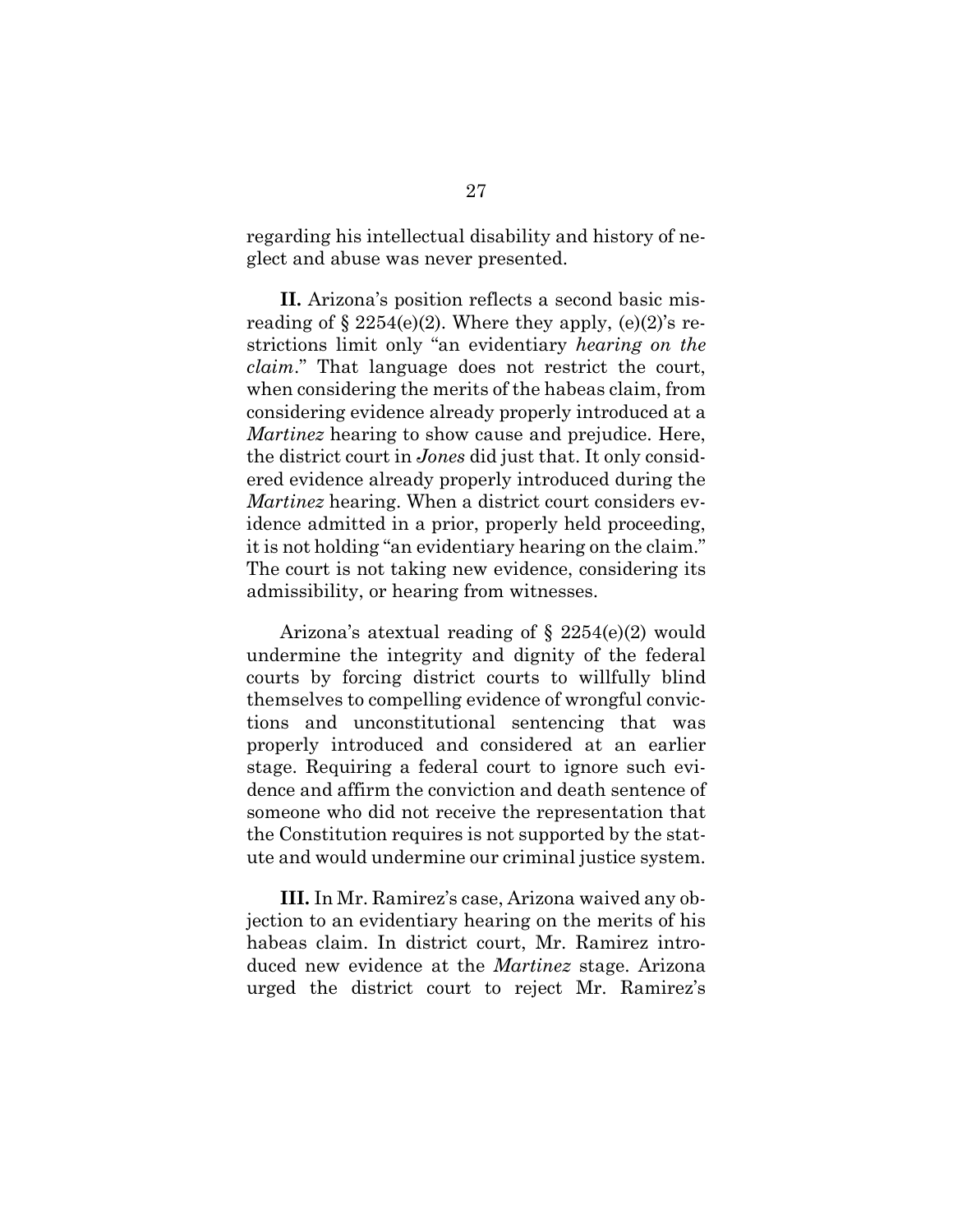regarding his intellectual disability and history of neglect and abuse was never presented.

**II.** Arizona's position reflects a second basic misreading of  $\S 2254(e)(2)$ . Where they apply,  $(e)(2)$ 's restrictions limit only "an evidentiary *hearing on the claim*." That language does not restrict the court, when considering the merits of the habeas claim, from considering evidence already properly introduced at a *Martinez* hearing to show cause and prejudice. Here, the district court in *Jones* did just that. It only considered evidence already properly introduced during the *Martinez* hearing. When a district court considers evidence admitted in a prior, properly held proceeding, it is not holding "an evidentiary hearing on the claim." The court is not taking new evidence, considering its admissibility, or hearing from witnesses.

Arizona's atextual reading of  $\S 2254(e)(2)$  would undermine the integrity and dignity of the federal courts by forcing district courts to willfully blind themselves to compelling evidence of wrongful convictions and unconstitutional sentencing that was properly introduced and considered at an earlier stage. Requiring a federal court to ignore such evidence and affirm the conviction and death sentence of someone who did not receive the representation that the Constitution requires is not supported by the statute and would undermine our criminal justice system.

**III.** In Mr. Ramirez's case, Arizona waived any objection to an evidentiary hearing on the merits of his habeas claim. In district court, Mr. Ramirez introduced new evidence at the *Martinez* stage. Arizona urged the district court to reject Mr. Ramirez's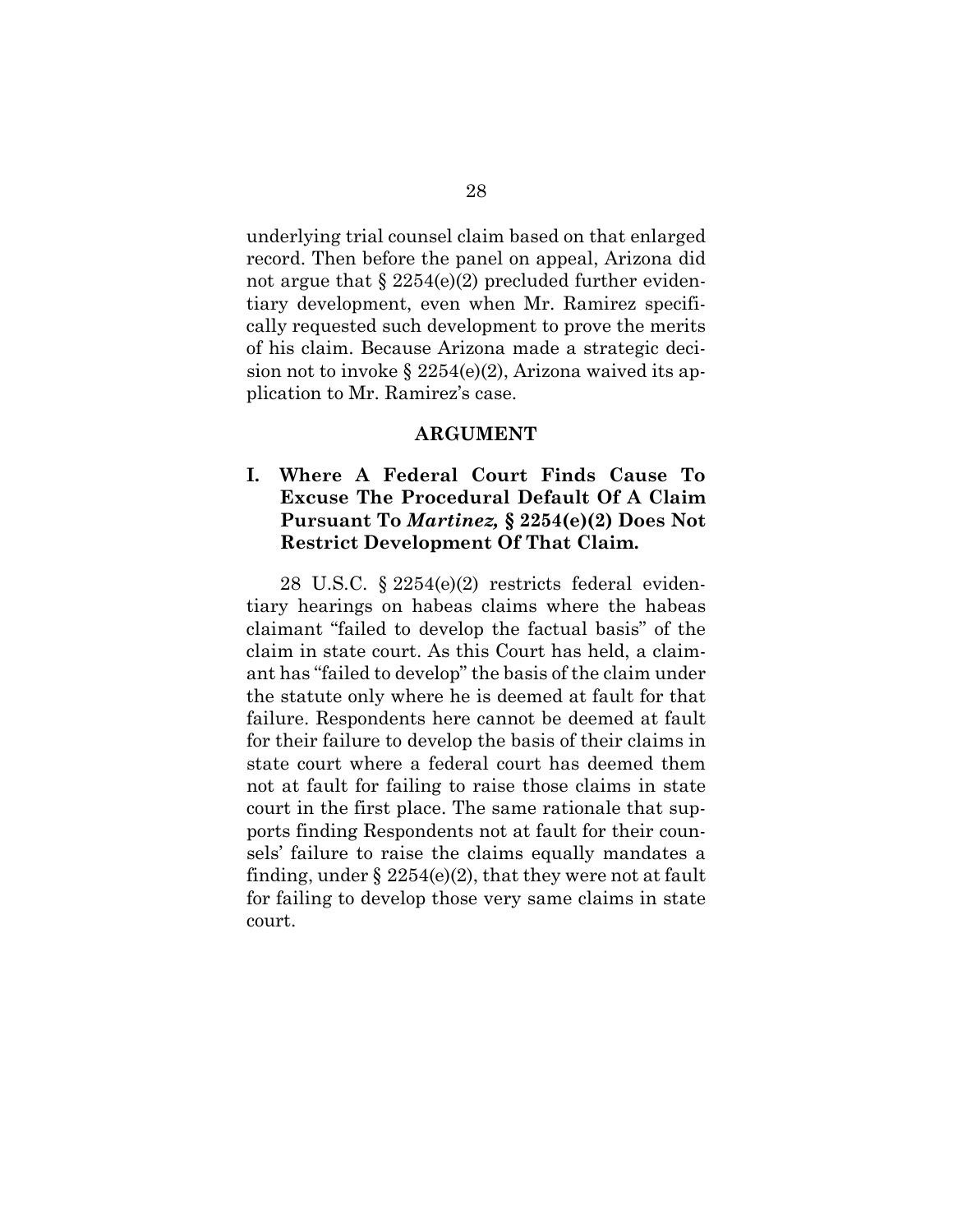underlying trial counsel claim based on that enlarged record. Then before the panel on appeal, Arizona did not argue that  $\S 2254(e)(2)$  precluded further evidentiary development, even when Mr. Ramirez specifically requested such development to prove the merits of his claim. Because Arizona made a strategic decision not to invoke  $\S 2254(e)(2)$ , Arizona waived its application to Mr. Ramirez's case.

#### **ARGUMENT**

# **I. Where A Federal Court Finds Cause To Excuse The Procedural Default Of A Claim Pursuant To** *Martinez,* **§ 2254(e)(2) Does Not Restrict Development Of That Claim.**

28 U.S.C. § 2254(e)(2) restricts federal evidentiary hearings on habeas claims where the habeas claimant "failed to develop the factual basis" of the claim in state court. As this Court has held, a claimant has "failed to develop" the basis of the claim under the statute only where he is deemed at fault for that failure. Respondents here cannot be deemed at fault for their failure to develop the basis of their claims in state court where a federal court has deemed them not at fault for failing to raise those claims in state court in the first place. The same rationale that supports finding Respondents not at fault for their counsels' failure to raise the claims equally mandates a finding, under  $\S 2254(e)(2)$ , that they were not at fault for failing to develop those very same claims in state court.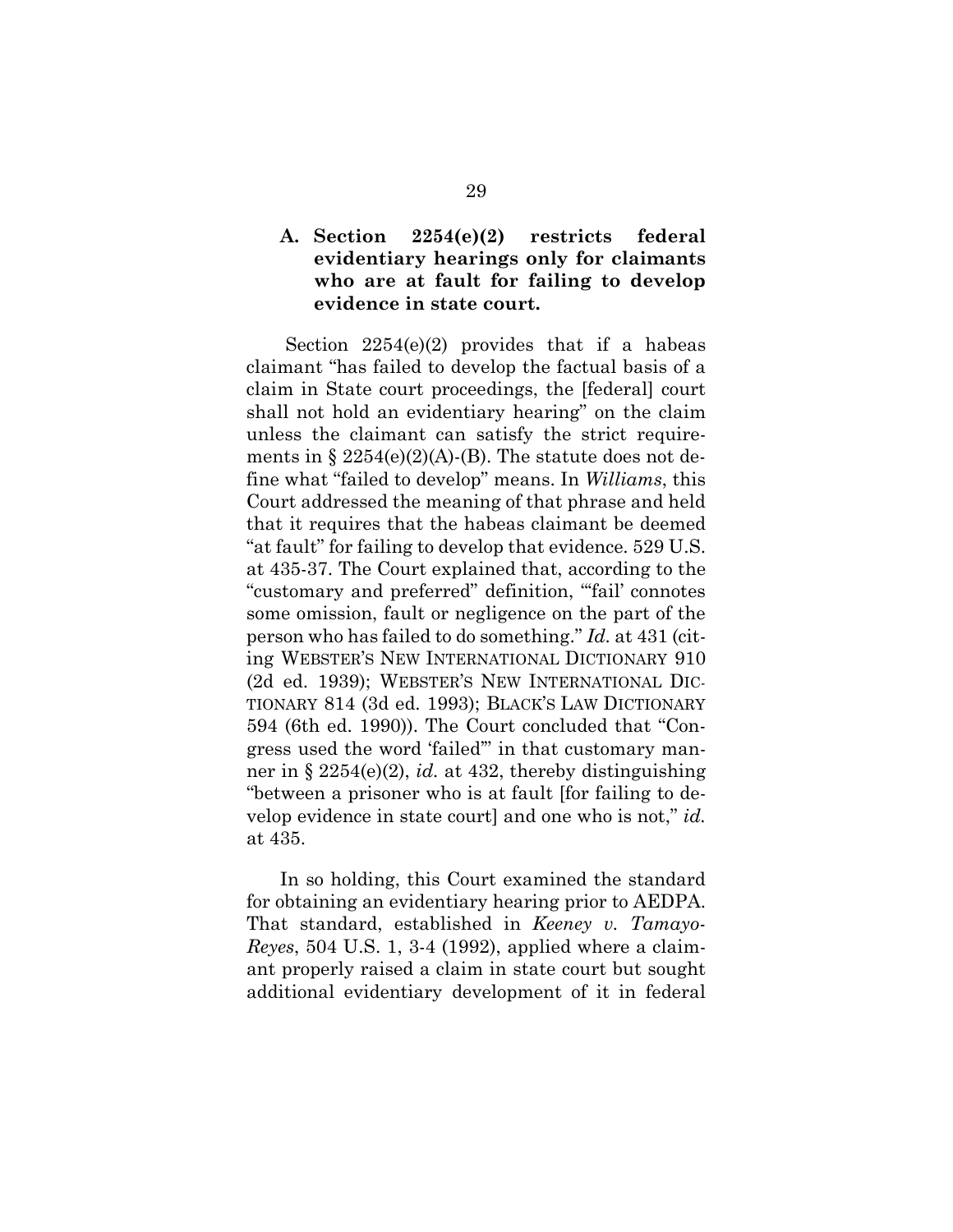## **A. Section 2254(e)(2) restricts federal evidentiary hearings only for claimants who are at fault for failing to develop evidence in state court.**

 Section 2254(e)(2) provides that if a habeas claimant "has failed to develop the factual basis of a claim in State court proceedings, the [federal] court shall not hold an evidentiary hearing" on the claim unless the claimant can satisfy the strict requirements in  $\S 2254(e)(2)(A)$ -(B). The statute does not define what "failed to develop" means. In *Williams*, this Court addressed the meaning of that phrase and held that it requires that the habeas claimant be deemed "at fault" for failing to develop that evidence. 529 U.S. at 435-37. The Court explained that, according to the "customary and preferred" definition, "'fail' connotes some omission, fault or negligence on the part of the person who has failed to do something." *Id.* at 431 (citing WEBSTER'S NEW INTERNATIONAL DICTIONARY 910 (2d ed. 1939); WEBSTER'S NEW INTERNATIONAL DIC-TIONARY 814 (3d ed. 1993); BLACK'S LAW DICTIONARY 594 (6th ed. 1990)). The Court concluded that "Congress used the word 'failed'" in that customary manner in § 2254(e)(2), *id.* at 432, thereby distinguishing "between a prisoner who is at fault [for failing to develop evidence in state court] and one who is not," *id.*  at 435.

In so holding, this Court examined the standard for obtaining an evidentiary hearing prior to AEDPA. That standard, established in *Keeney v. Tamayo-Reyes*, 504 U.S. 1, 3-4 (1992), applied where a claimant properly raised a claim in state court but sought additional evidentiary development of it in federal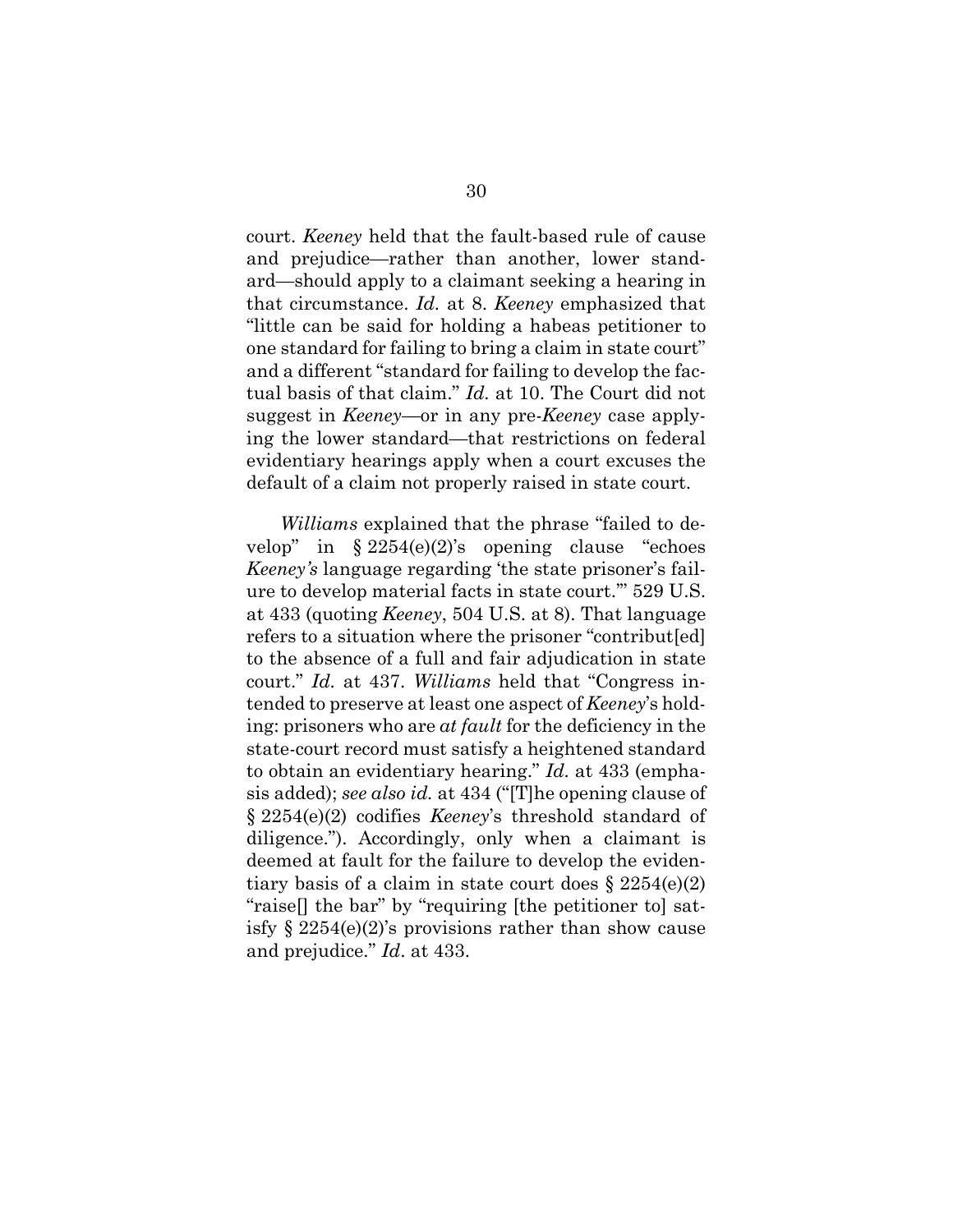court. *Keeney* held that the fault-based rule of cause and prejudice—rather than another, lower standard—should apply to a claimant seeking a hearing in that circumstance. *Id.* at 8. *Keeney* emphasized that "little can be said for holding a habeas petitioner to one standard for failing to bring a claim in state court" and a different "standard for failing to develop the factual basis of that claim." *Id.* at 10. The Court did not suggest in *Keeney*—or in any pre-*Keeney* case applying the lower standard—that restrictions on federal evidentiary hearings apply when a court excuses the default of a claim not properly raised in state court.

*Williams* explained that the phrase "failed to develop" in  $\S 2254(e)(2)$ 's opening clause "echoes" *Keeney's* language regarding 'the state prisoner's failure to develop material facts in state court.'" 529 U.S. at 433 (quoting *Keeney*, 504 U.S. at 8). That language refers to a situation where the prisoner "contribut[ed] to the absence of a full and fair adjudication in state court." *Id.* at 437. *Williams* held that "Congress intended to preserve at least one aspect of *Keeney*'s holding: prisoners who are *at fault* for the deficiency in the state-court record must satisfy a heightened standard to obtain an evidentiary hearing." *Id.* at 433 (emphasis added); *see also id.* at 434 ("[T]he opening clause of § 2254(e)(2) codifies *Keeney*'s threshold standard of diligence."). Accordingly, only when a claimant is deemed at fault for the failure to develop the evidentiary basis of a claim in state court does  $\S 2254(e)(2)$ "raise[] the bar" by "requiring [the petitioner to] satisfy  $\S 2254(e)(2)$ 's provisions rather than show cause and prejudice." *Id*. at 433.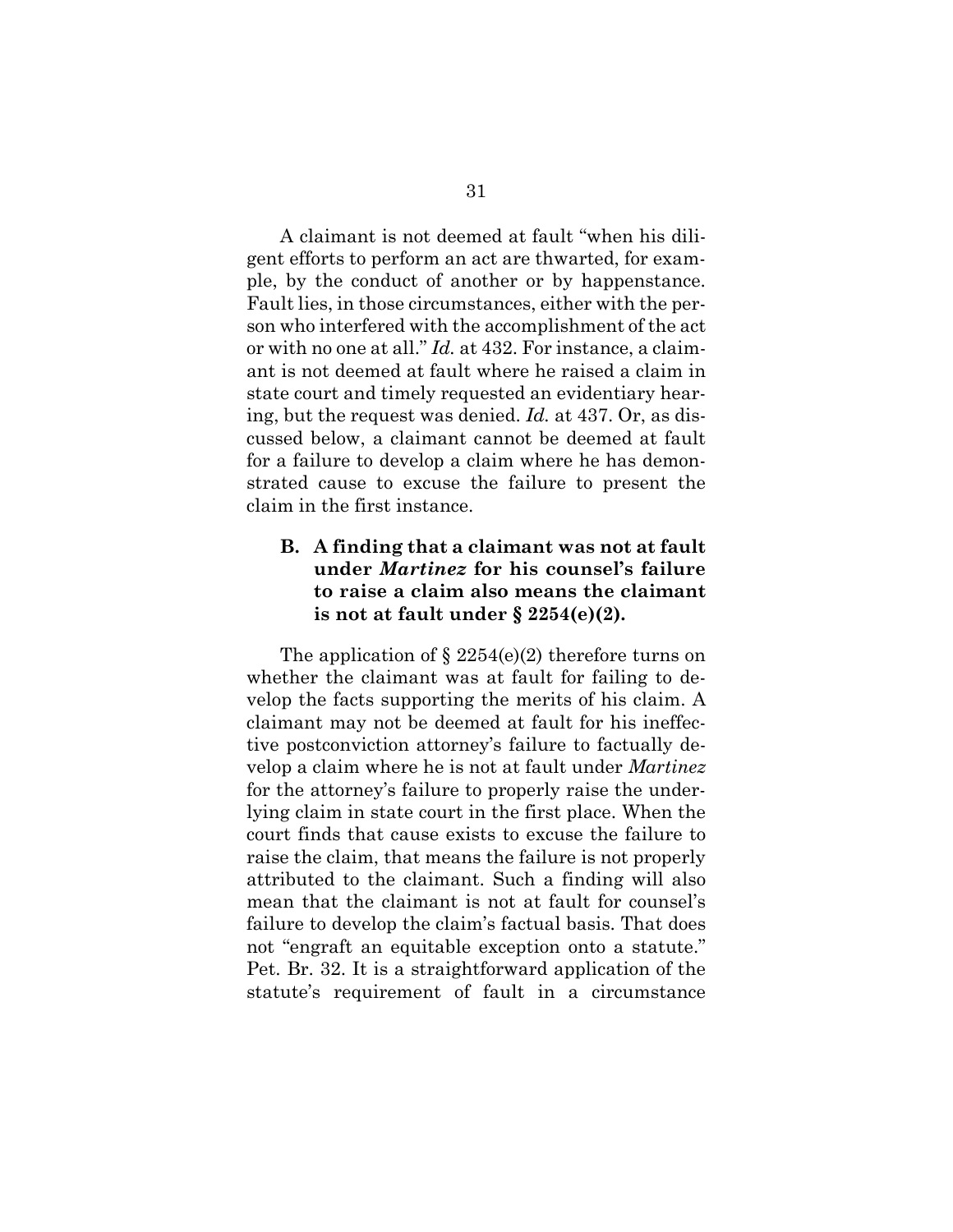A claimant is not deemed at fault "when his diligent efforts to perform an act are thwarted, for example, by the conduct of another or by happenstance. Fault lies, in those circumstances, either with the person who interfered with the accomplishment of the act or with no one at all." *Id.* at 432. For instance, a claimant is not deemed at fault where he raised a claim in state court and timely requested an evidentiary hearing, but the request was denied. *Id.* at 437. Or, as discussed below, a claimant cannot be deemed at fault for a failure to develop a claim where he has demonstrated cause to excuse the failure to present the claim in the first instance.

## **B. A finding that a claimant was not at fault under** *Martinez* **for his counsel's failure to raise a claim also means the claimant is not at fault under § 2254(e)(2).**

The application of  $\S 2254(e)(2)$  therefore turns on whether the claimant was at fault for failing to develop the facts supporting the merits of his claim. A claimant may not be deemed at fault for his ineffective postconviction attorney's failure to factually develop a claim where he is not at fault under *Martinez* for the attorney's failure to properly raise the underlying claim in state court in the first place. When the court finds that cause exists to excuse the failure to raise the claim, that means the failure is not properly attributed to the claimant. Such a finding will also mean that the claimant is not at fault for counsel's failure to develop the claim's factual basis. That does not "engraft an equitable exception onto a statute." Pet. Br. 32. It is a straightforward application of the statute's requirement of fault in a circumstance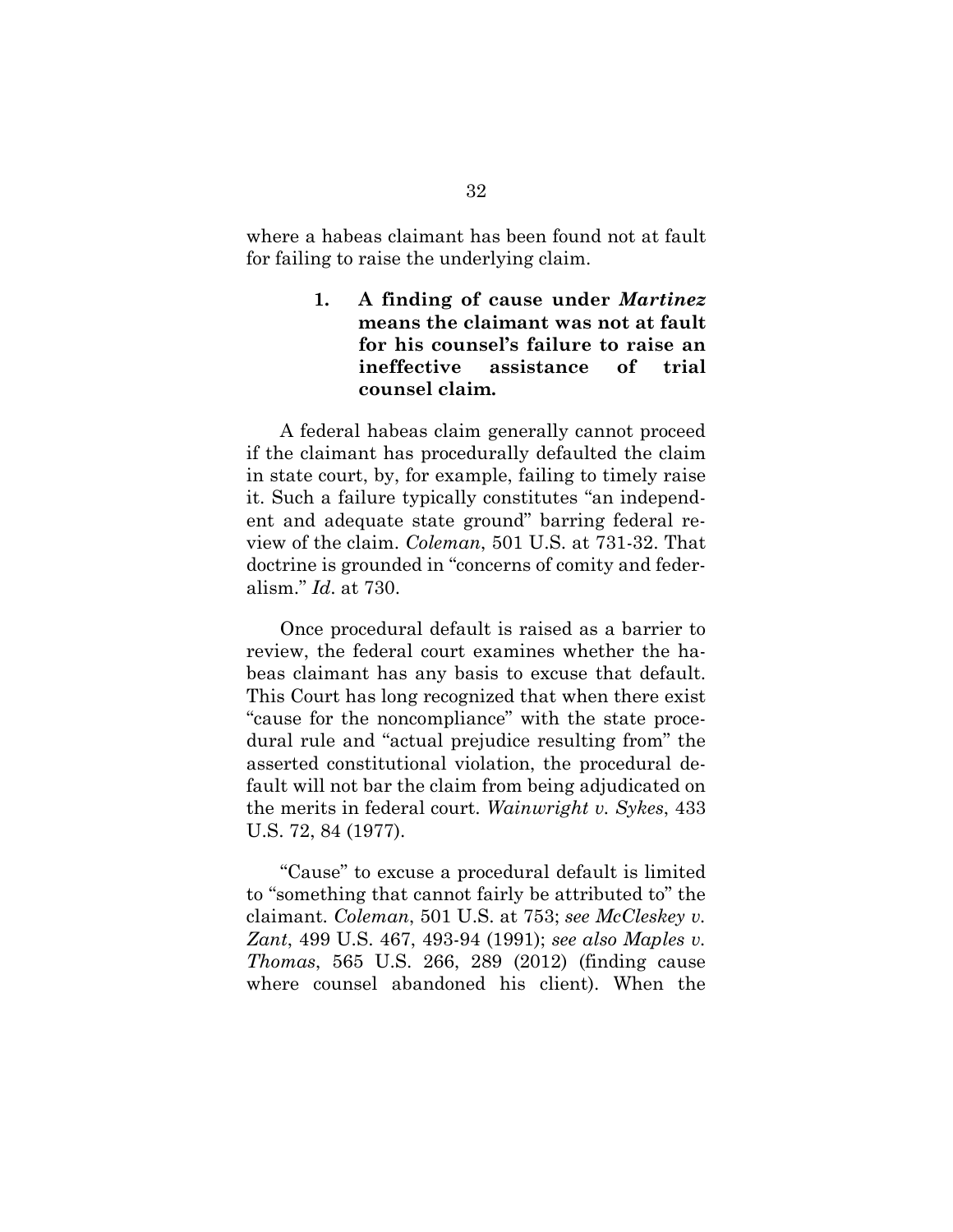where a habeas claimant has been found not at fault for failing to raise the underlying claim.

## **1. A finding of cause under** *Martinez* **means the claimant was not at fault for his counsel's failure to raise an ineffective assistance of trial counsel claim.**

A federal habeas claim generally cannot proceed if the claimant has procedurally defaulted the claim in state court, by, for example, failing to timely raise it. Such a failure typically constitutes "an independent and adequate state ground" barring federal review of the claim. *Coleman*, 501 U.S. at 731-32. That doctrine is grounded in "concerns of comity and federalism." *Id*. at 730.

Once procedural default is raised as a barrier to review, the federal court examines whether the habeas claimant has any basis to excuse that default. This Court has long recognized that when there exist "cause for the noncompliance" with the state procedural rule and "actual prejudice resulting from" the asserted constitutional violation, the procedural default will not bar the claim from being adjudicated on the merits in federal court. *Wainwright v. Sykes*, 433 U.S. 72, 84 (1977).

"Cause" to excuse a procedural default is limited to "something that cannot fairly be attributed to" the claimant. *Coleman*, 501 U.S. at 753; *see McCleskey v. Zant*, 499 U.S. 467, 493-94 (1991); *see also Maples v. Thomas*, 565 U.S. 266, 289 (2012) (finding cause where counsel abandoned his client). When the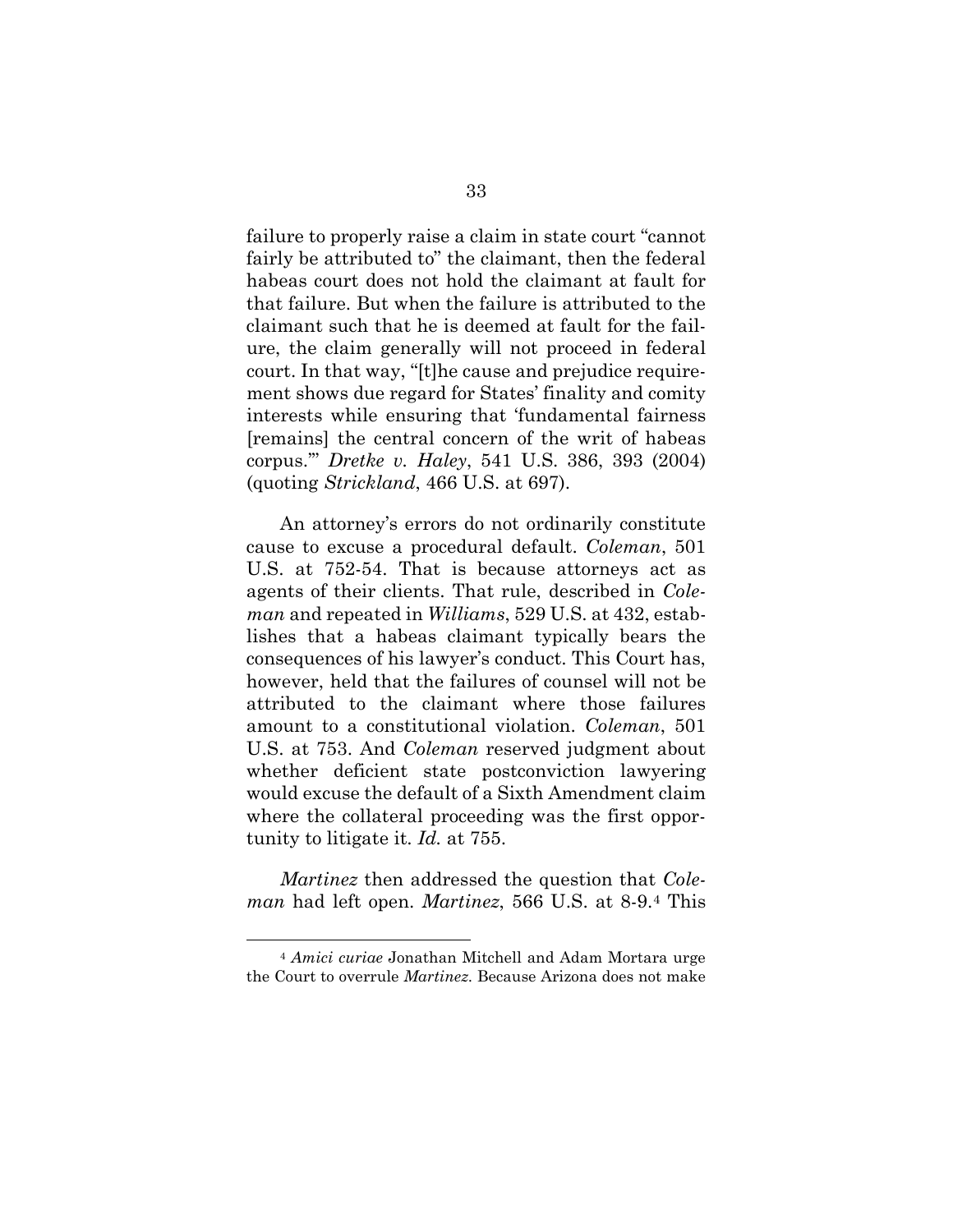failure to properly raise a claim in state court "cannot fairly be attributed to" the claimant, then the federal habeas court does not hold the claimant at fault for that failure. But when the failure is attributed to the claimant such that he is deemed at fault for the failure, the claim generally will not proceed in federal court. In that way, "[t]he cause and prejudice requirement shows due regard for States' finality and comity interests while ensuring that 'fundamental fairness [remains] the central concern of the writ of habeas corpus.'" *Dretke v. Haley*, 541 U.S. 386, 393 (2004) (quoting *Strickland*, 466 U.S. at 697).

An attorney's errors do not ordinarily constitute cause to excuse a procedural default. *Coleman*, 501 U.S. at 752-54. That is because attorneys act as agents of their clients. That rule, described in *Coleman* and repeated in *Williams*, 529 U.S. at 432, establishes that a habeas claimant typically bears the consequences of his lawyer's conduct. This Court has, however, held that the failures of counsel will not be attributed to the claimant where those failures amount to a constitutional violation. *Coleman*, 501 U.S. at 753. And *Coleman* reserved judgment about whether deficient state postconviction lawyering would excuse the default of a Sixth Amendment claim where the collateral proceeding was the first opportunity to litigate it. *Id.* at 755.

*Martinez* then addressed the question that *Coleman* had left open. *Martinez*, 566 U.S. at 8-9.4 This

<sup>4</sup> *Amici curiae* Jonathan Mitchell and Adam Mortara urge the Court to overrule *Martinez*. Because Arizona does not make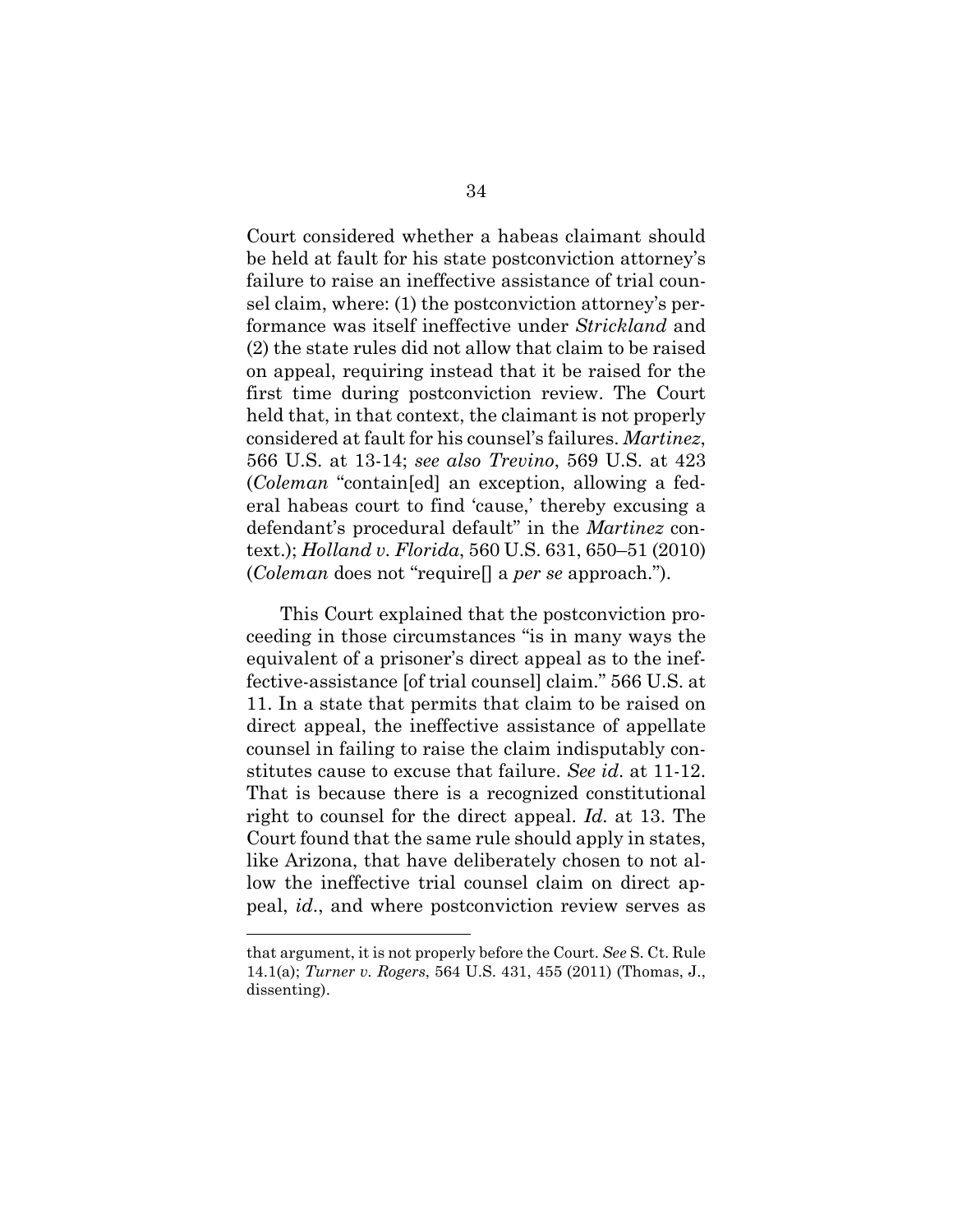Court considered whether a habeas claimant should be held at fault for his state postconviction attorney's failure to raise an ineffective assistance of trial counsel claim, where: (1) the postconviction attorney's performance was itself ineffective under *Strickland* and (2) the state rules did not allow that claim to be raised on appeal, requiring instead that it be raised for the first time during postconviction review. The Court held that, in that context, the claimant is not properly considered at fault for his counsel's failures. *Martinez*, 566 U.S. at 13-14; *see also Trevino*, 569 U.S. at 423 (*Coleman* "contain[ed] an exception, allowing a federal habeas court to find 'cause,' thereby excusing a defendant's procedural default" in the *Martinez* context.); *Holland v. Florida*, 560 U.S. 631, 650–51 (2010) (*Coleman* does not "require[] a *per se* approach.").

This Court explained that the postconviction proceeding in those circumstances "is in many ways the equivalent of a prisoner's direct appeal as to the ineffective-assistance [of trial counsel] claim." 566 U.S. at 11. In a state that permits that claim to be raised on direct appeal, the ineffective assistance of appellate counsel in failing to raise the claim indisputably constitutes cause to excuse that failure. *See id*. at 11-12. That is because there is a recognized constitutional right to counsel for the direct appeal. *Id.* at 13. The Court found that the same rule should apply in states, like Arizona, that have deliberately chosen to not allow the ineffective trial counsel claim on direct appeal, *id*., and where postconviction review serves as

that argument, it is not properly before the Court. *See* S. Ct. Rule 14.1(a); *Turner v. Rogers*, 564 U.S. 431, 455 (2011) (Thomas, J., dissenting).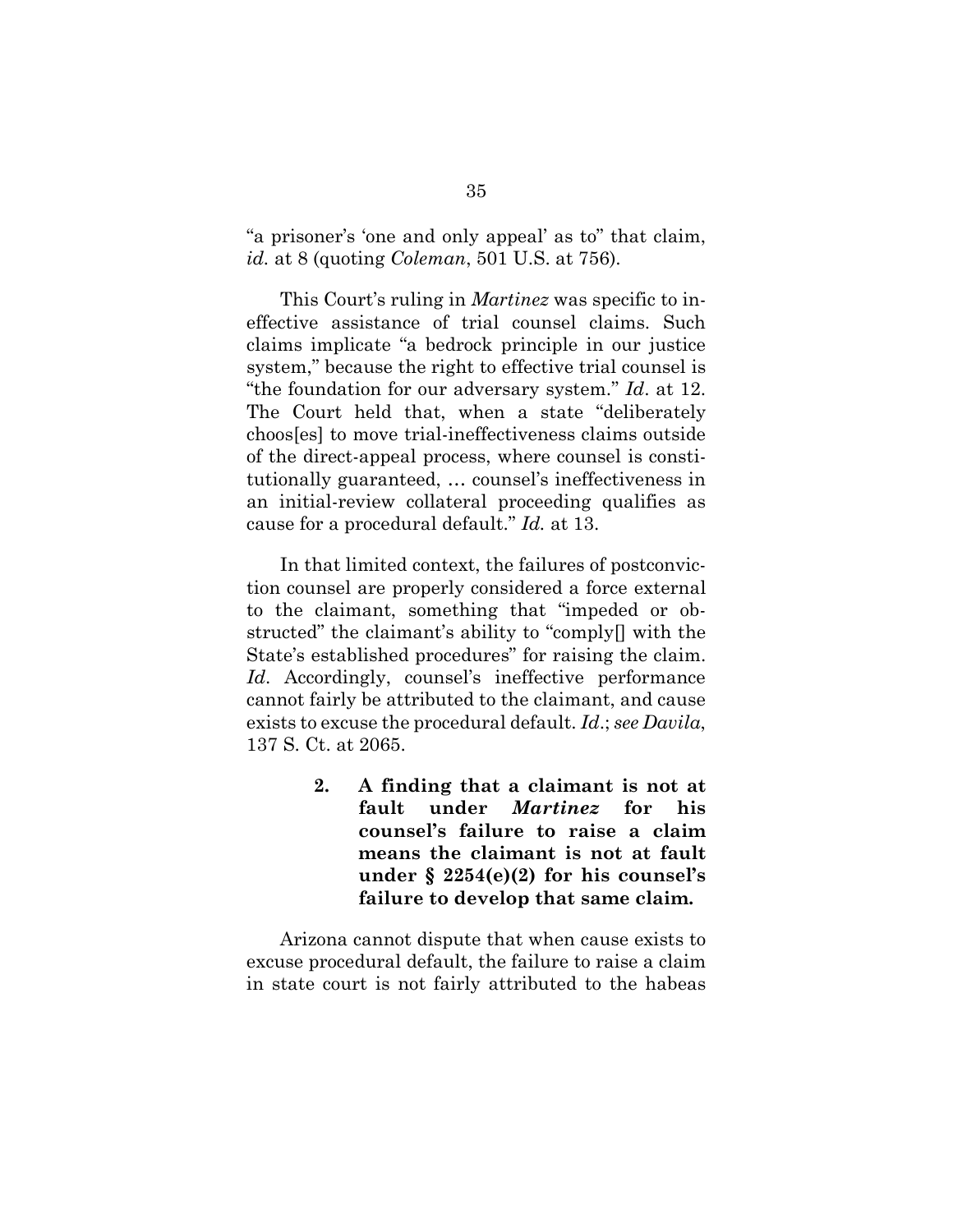"a prisoner's 'one and only appeal' as to" that claim, *id.* at 8 (quoting *Coleman*, 501 U.S. at 756).

This Court's ruling in *Martinez* was specific to ineffective assistance of trial counsel claims. Such claims implicate "a bedrock principle in our justice system," because the right to effective trial counsel is "the foundation for our adversary system." *Id*. at 12. The Court held that, when a state "deliberately choos[es] to move trial-ineffectiveness claims outside of the direct-appeal process, where counsel is constitutionally guaranteed, … counsel's ineffectiveness in an initial-review collateral proceeding qualifies as cause for a procedural default." *Id.* at 13.

In that limited context, the failures of postconviction counsel are properly considered a force external to the claimant, something that "impeded or obstructed" the claimant's ability to "comply[] with the State's established procedures" for raising the claim. Id. Accordingly, counsel's ineffective performance cannot fairly be attributed to the claimant, and cause exists to excuse the procedural default. *Id*.; *see Davila*, 137 S. Ct. at 2065.

> **2. A finding that a claimant is not at fault under** *Martinez* **for his counsel's failure to raise a claim means the claimant is not at fault under § 2254(e)(2) for his counsel's failure to develop that same claim.**

Arizona cannot dispute that when cause exists to excuse procedural default, the failure to raise a claim in state court is not fairly attributed to the habeas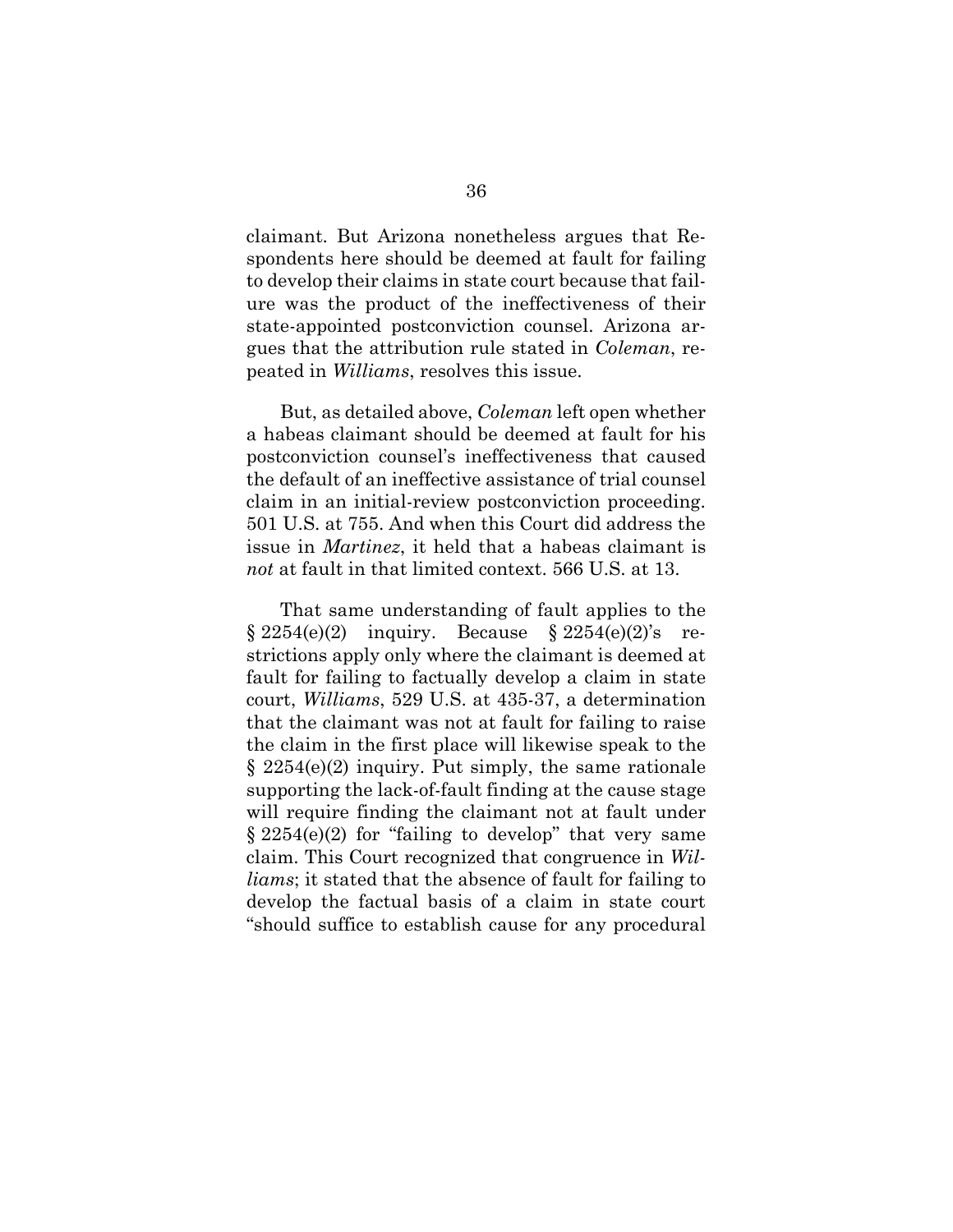claimant. But Arizona nonetheless argues that Respondents here should be deemed at fault for failing to develop their claims in state court because that failure was the product of the ineffectiveness of their state-appointed postconviction counsel. Arizona argues that the attribution rule stated in *Coleman*, repeated in *Williams*, resolves this issue.

But, as detailed above, *Coleman* left open whether a habeas claimant should be deemed at fault for his postconviction counsel's ineffectiveness that caused the default of an ineffective assistance of trial counsel claim in an initial-review postconviction proceeding. 501 U.S. at 755. And when this Court did address the issue in *Martinez*, it held that a habeas claimant is *not* at fault in that limited context. 566 U.S. at 13.

That same understanding of fault applies to the  $\S 2254(e)(2)$  inquiry. Because  $\S 2254(e)(2)$ 's restrictions apply only where the claimant is deemed at fault for failing to factually develop a claim in state court, *Williams*, 529 U.S. at 435-37, a determination that the claimant was not at fault for failing to raise the claim in the first place will likewise speak to the § 2254(e)(2) inquiry. Put simply, the same rationale supporting the lack-of-fault finding at the cause stage will require finding the claimant not at fault under § 2254(e)(2) for "failing to develop" that very same claim. This Court recognized that congruence in *Williams*; it stated that the absence of fault for failing to develop the factual basis of a claim in state court "should suffice to establish cause for any procedural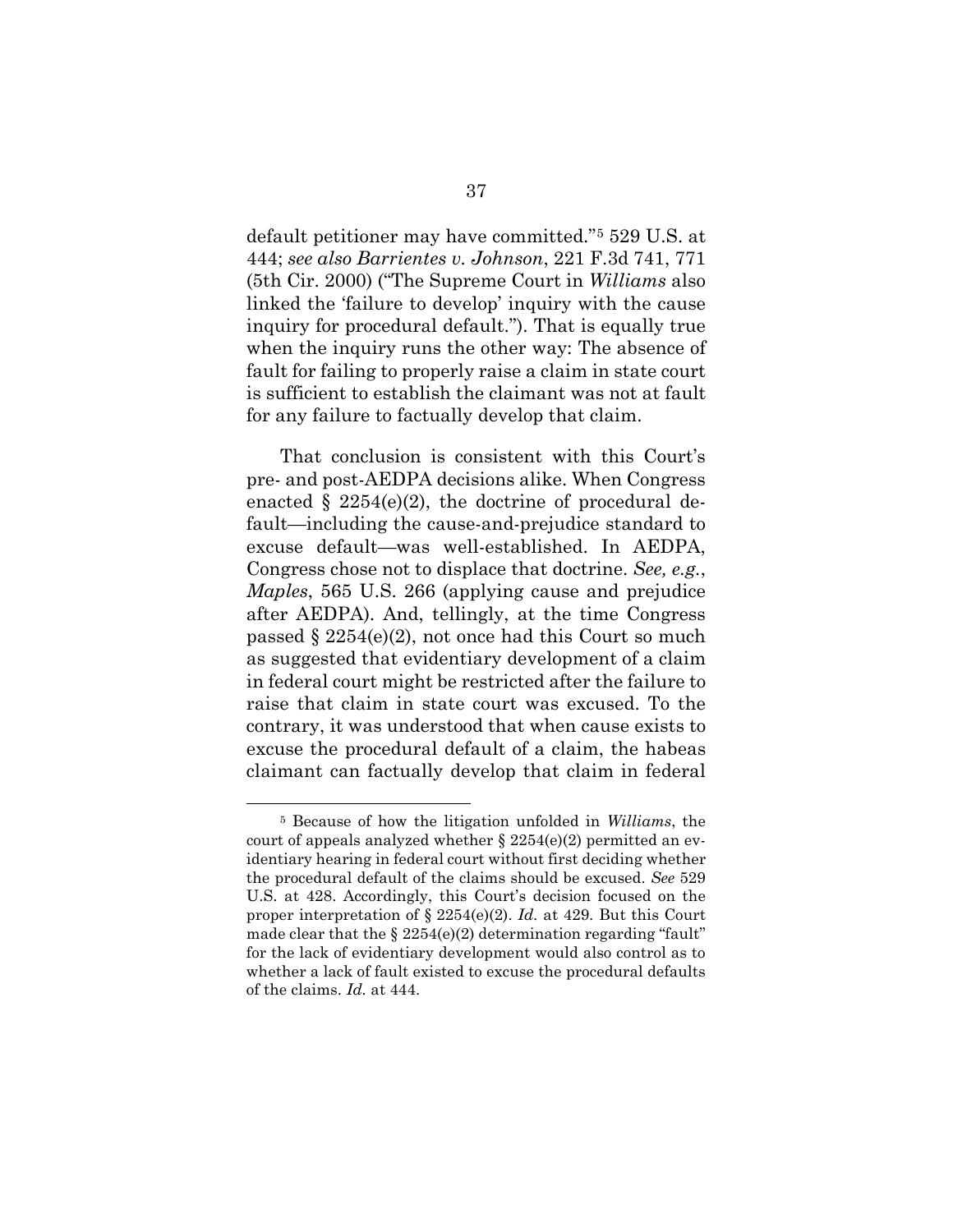default petitioner may have committed."5 529 U.S. at 444; *see also Barrientes v. Johnson*, 221 F.3d 741, 771 (5th Cir. 2000) ("The Supreme Court in *Williams* also linked the 'failure to develop' inquiry with the cause inquiry for procedural default."). That is equally true when the inquiry runs the other way: The absence of fault for failing to properly raise a claim in state court is sufficient to establish the claimant was not at fault for any failure to factually develop that claim.

That conclusion is consistent with this Court's pre- and post-AEDPA decisions alike. When Congress enacted  $\S 2254(e)(2)$ , the doctrine of procedural default—including the cause-and-prejudice standard to excuse default—was well-established. In AEDPA, Congress chose not to displace that doctrine. *See, e.g.*, *Maples*, 565 U.S. 266 (applying cause and prejudice after AEDPA). And, tellingly, at the time Congress passed § 2254(e)(2), not once had this Court so much as suggested that evidentiary development of a claim in federal court might be restricted after the failure to raise that claim in state court was excused. To the contrary, it was understood that when cause exists to excuse the procedural default of a claim, the habeas claimant can factually develop that claim in federal

<sup>5</sup> Because of how the litigation unfolded in *Williams*, the court of appeals analyzed whether  $\S 2254(e)(2)$  permitted an evidentiary hearing in federal court without first deciding whether the procedural default of the claims should be excused. *See* 529 U.S. at 428. Accordingly, this Court's decision focused on the proper interpretation of § 2254(e)(2). *Id.* at 429. But this Court made clear that the  $\S 2254(e)(2)$  determination regarding "fault" for the lack of evidentiary development would also control as to whether a lack of fault existed to excuse the procedural defaults of the claims. *Id.* at 444.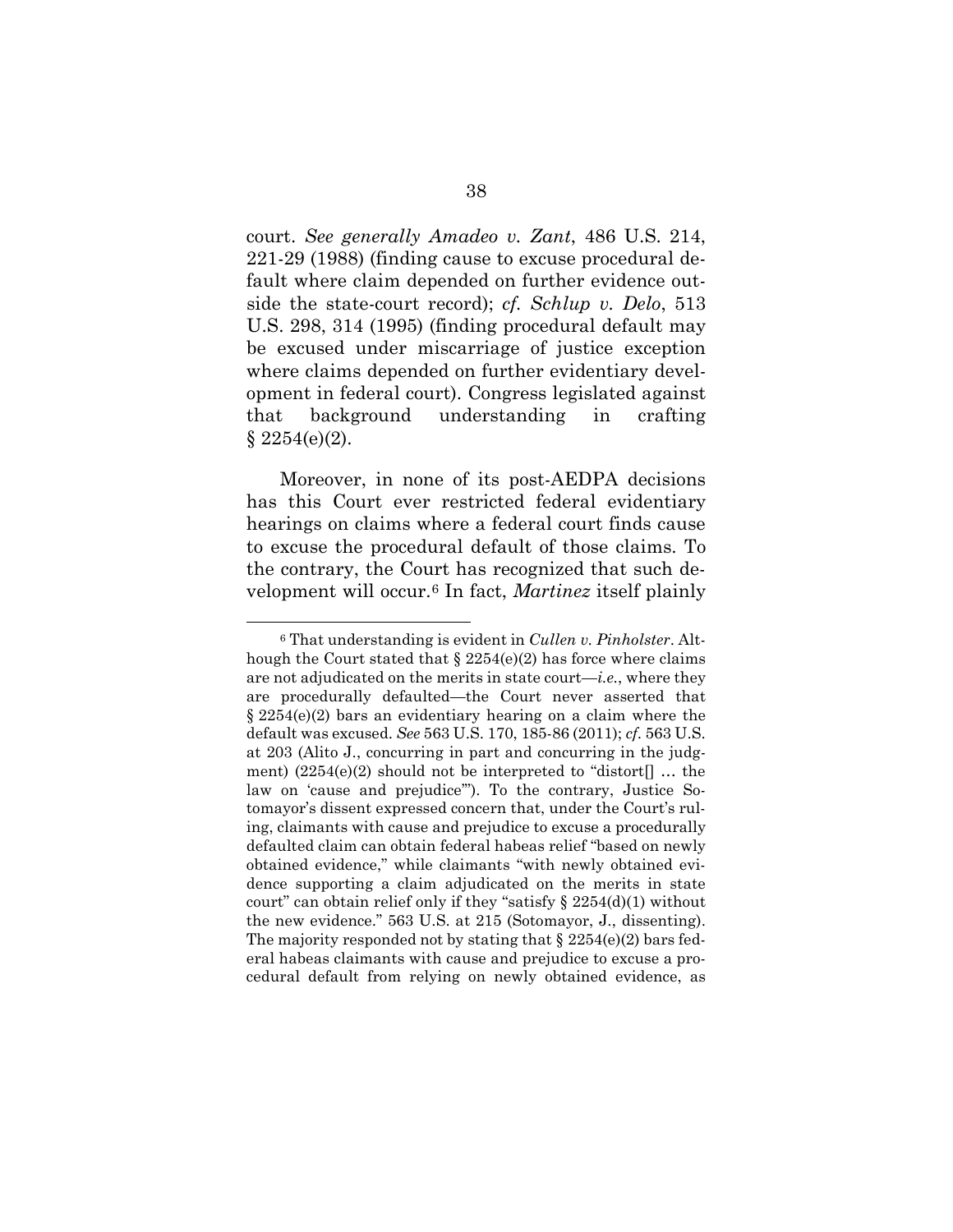court. *See generally Amadeo v. Zant*, 486 U.S. 214, 221-29 (1988) (finding cause to excuse procedural default where claim depended on further evidence outside the state-court record); *cf. Schlup v. Delo*, 513 U.S. 298, 314 (1995) (finding procedural default may be excused under miscarriage of justice exception where claims depended on further evidentiary development in federal court). Congress legislated against that background understanding in crafting  $$2254(e)(2).$ 

Moreover, in none of its post-AEDPA decisions has this Court ever restricted federal evidentiary hearings on claims where a federal court finds cause to excuse the procedural default of those claims. To the contrary, the Court has recognized that such development will occur.6 In fact, *Martinez* itself plainly

<sup>6</sup> That understanding is evident in *Cullen v. Pinholster*. Although the Court stated that  $\S 2254(e)(2)$  has force where claims are not adjudicated on the merits in state court—*i.e.*, where they are procedurally defaulted—the Court never asserted that § 2254(e)(2) bars an evidentiary hearing on a claim where the default was excused. *See* 563 U.S. 170, 185-86 (2011); *cf.* 563 U.S. at 203 (Alito J., concurring in part and concurring in the judgment)  $(2254(e)(2)$  should not be interpreted to "distort... the law on 'cause and prejudice'"). To the contrary, Justice Sotomayor's dissent expressed concern that, under the Court's ruling, claimants with cause and prejudice to excuse a procedurally defaulted claim can obtain federal habeas relief "based on newly obtained evidence," while claimants "with newly obtained evidence supporting a claim adjudicated on the merits in state court" can obtain relief only if they "satisfy  $\S 2254(d)(1)$  without the new evidence." 563 U.S. at 215 (Sotomayor, J., dissenting). The majority responded not by stating that  $\S 2254(e)(2)$  bars federal habeas claimants with cause and prejudice to excuse a procedural default from relying on newly obtained evidence, as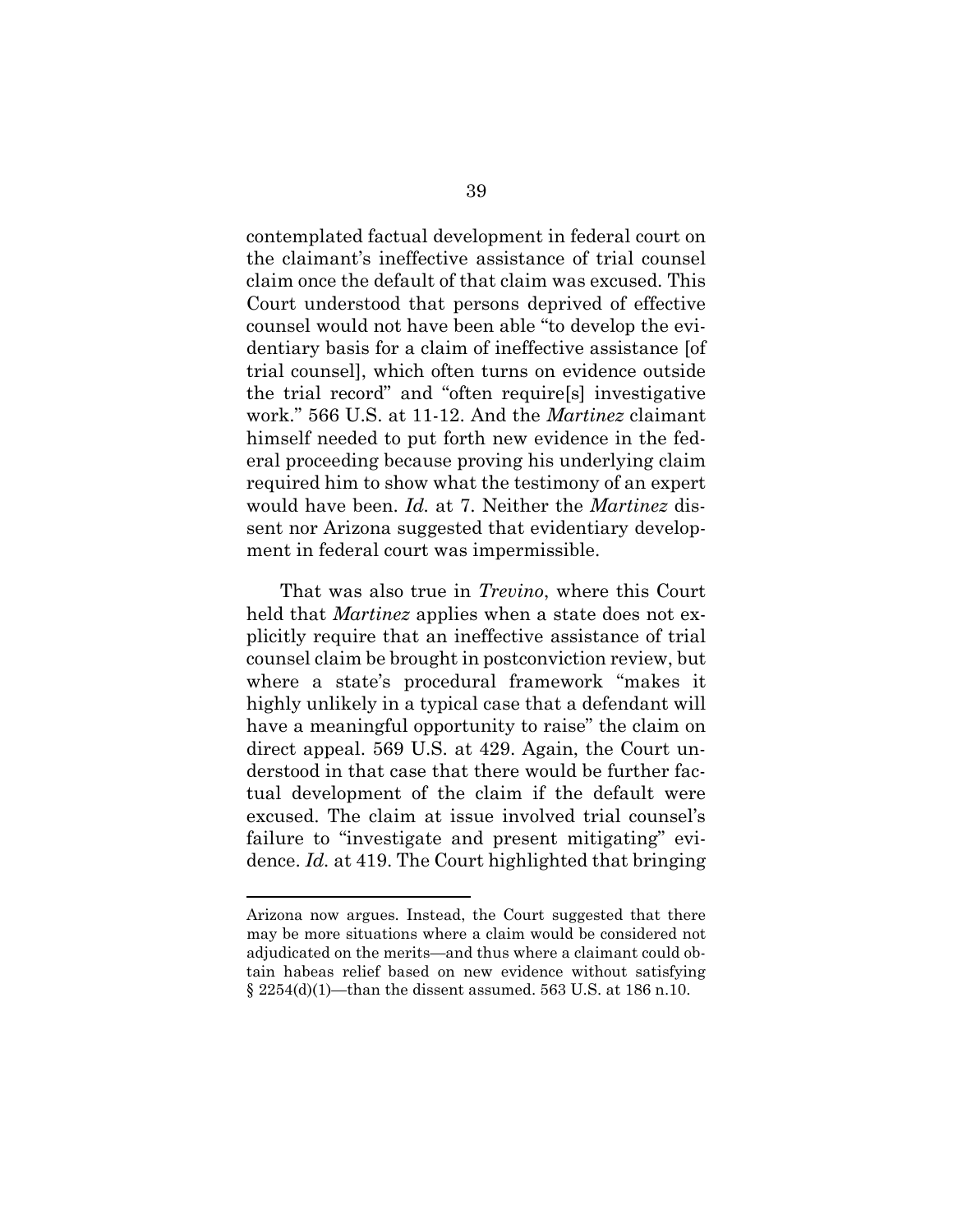contemplated factual development in federal court on the claimant's ineffective assistance of trial counsel claim once the default of that claim was excused. This Court understood that persons deprived of effective counsel would not have been able "to develop the evidentiary basis for a claim of ineffective assistance [of trial counsel], which often turns on evidence outside the trial record" and "often require[s] investigative work." 566 U.S. at 11-12. And the *Martinez* claimant himself needed to put forth new evidence in the federal proceeding because proving his underlying claim required him to show what the testimony of an expert would have been. *Id.* at 7. Neither the *Martinez* dissent nor Arizona suggested that evidentiary development in federal court was impermissible.

That was also true in *Trevino*, where this Court held that *Martinez* applies when a state does not explicitly require that an ineffective assistance of trial counsel claim be brought in postconviction review, but where a state's procedural framework "makes it highly unlikely in a typical case that a defendant will have a meaningful opportunity to raise" the claim on direct appeal. 569 U.S. at 429. Again, the Court understood in that case that there would be further factual development of the claim if the default were excused. The claim at issue involved trial counsel's failure to "investigate and present mitigating" evidence. *Id.* at 419. The Court highlighted that bringing

Arizona now argues. Instead, the Court suggested that there may be more situations where a claim would be considered not adjudicated on the merits—and thus where a claimant could obtain habeas relief based on new evidence without satisfying § 2254(d)(1)—than the dissent assumed. 563 U.S. at 186 n.10.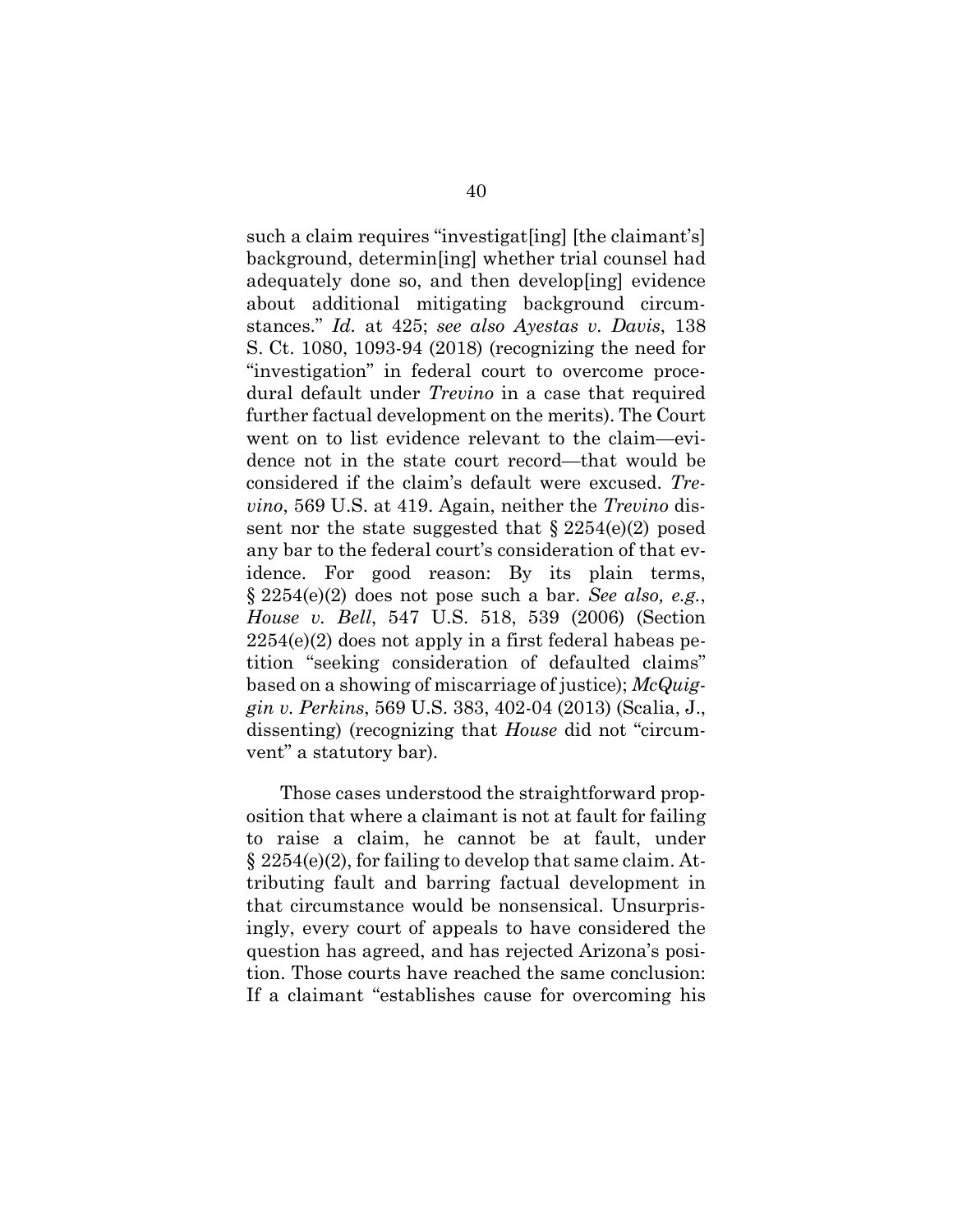such a claim requires "investigat[ing] [the claimant's] background, determin[ing] whether trial counsel had adequately done so, and then develop[ing] evidence about additional mitigating background circumstances." *Id.* at 425; *see also Ayestas v. Davis*, 138 S. Ct. 1080, 1093-94 (2018) (recognizing the need for "investigation" in federal court to overcome procedural default under *Trevino* in a case that required further factual development on the merits). The Court went on to list evidence relevant to the claim—evidence not in the state court record—that would be considered if the claim's default were excused. *Trevino*, 569 U.S. at 419. Again, neither the *Trevino* dissent nor the state suggested that  $\S 2254(e)(2)$  posed any bar to the federal court's consideration of that evidence. For good reason: By its plain terms, § 2254(e)(2) does not pose such a bar. *See also, e.g.*, *House v. Bell*, 547 U.S. 518, 539 (2006) (Section  $2254(e)(2)$  does not apply in a first federal habeas petition "seeking consideration of defaulted claims" based on a showing of miscarriage of justice); *McQuiggin v. Perkins*, 569 U.S. 383, 402-04 (2013) (Scalia, J., dissenting) (recognizing that *House* did not "circumvent" a statutory bar).

Those cases understood the straightforward proposition that where a claimant is not at fault for failing to raise a claim, he cannot be at fault, under § 2254(e)(2), for failing to develop that same claim. Attributing fault and barring factual development in that circumstance would be nonsensical. Unsurprisingly, every court of appeals to have considered the question has agreed, and has rejected Arizona's position. Those courts have reached the same conclusion: If a claimant "establishes cause for overcoming his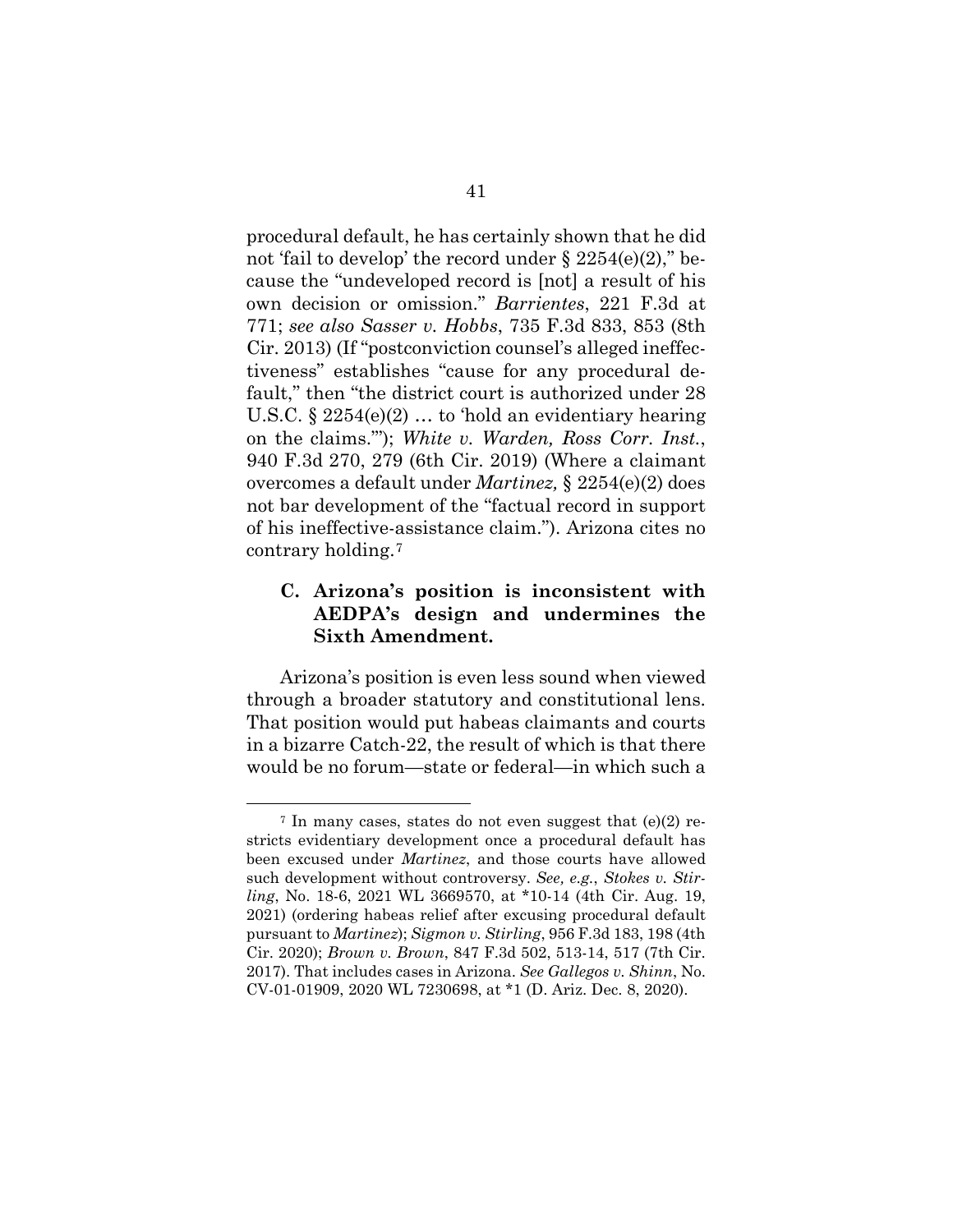procedural default, he has certainly shown that he did not 'fail to develop' the record under  $\S 2254(e)(2)$ ," because the "undeveloped record is [not] a result of his own decision or omission." *Barrientes*, 221 F.3d at 771; *see also Sasser v. Hobbs*, 735 F.3d 833, 853 (8th Cir. 2013) (If "postconviction counsel's alleged ineffectiveness" establishes "cause for any procedural default," then "the district court is authorized under 28 U.S.C.  $\S 2254(e)(2)$  ... to 'hold an evidentiary hearing on the claims."'); *White v. Warden, Ross Corr. Inst.*, 940 F.3d 270, 279 (6th Cir. 2019) (Where a claimant overcomes a default under *Martinez,* § 2254(e)(2) does not bar development of the "factual record in support of his ineffective-assistance claim."). Arizona cites no contrary holding.7

## **C. Arizona's position is inconsistent with AEDPA's design and undermines the Sixth Amendment.**

Arizona's position is even less sound when viewed through a broader statutory and constitutional lens. That position would put habeas claimants and courts in a bizarre Catch-22, the result of which is that there would be no forum—state or federal—in which such a

 $7$  In many cases, states do not even suggest that (e)(2) restricts evidentiary development once a procedural default has been excused under *Martinez*, and those courts have allowed such development without controversy. *See, e.g.*, *Stokes v. Stirling*, No. 18-6, 2021 WL 3669570, at \*10-14 (4th Cir. Aug. 19, 2021) (ordering habeas relief after excusing procedural default pursuant to *Martinez*); *Sigmon v. Stirling*, 956 F.3d 183, 198 (4th Cir. 2020); *Brown v. Brown*, 847 F.3d 502, 513-14, 517 (7th Cir. 2017). That includes cases in Arizona. *See Gallegos v. Shinn*, No. CV-01-01909, 2020 WL 7230698, at \*1 (D. Ariz. Dec. 8, 2020).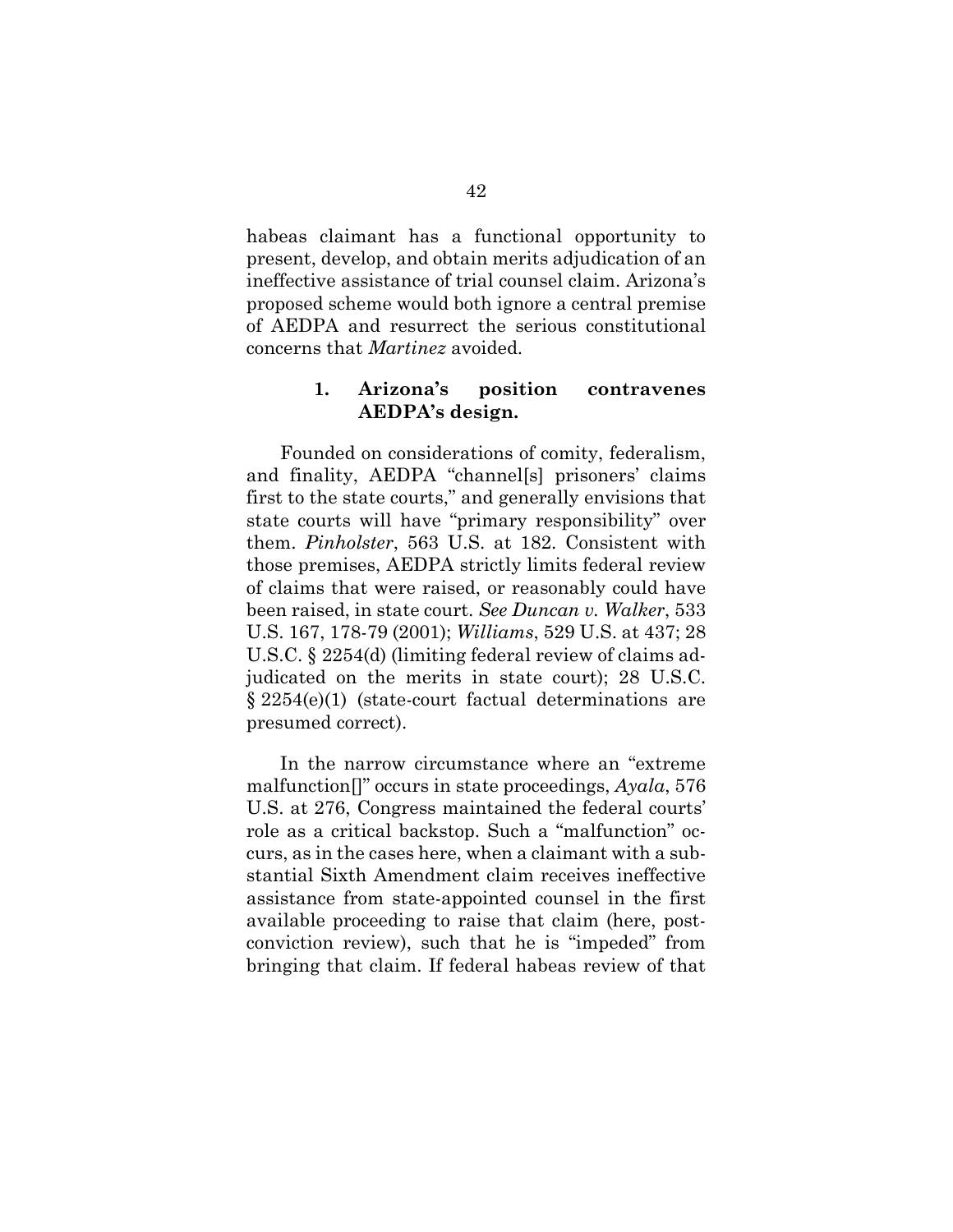habeas claimant has a functional opportunity to present, develop, and obtain merits adjudication of an ineffective assistance of trial counsel claim. Arizona's proposed scheme would both ignore a central premise of AEDPA and resurrect the serious constitutional concerns that *Martinez* avoided.

#### **1. Arizona's position contravenes AEDPA's design.**

Founded on considerations of comity, federalism, and finality, AEDPA "channel[s] prisoners' claims first to the state courts," and generally envisions that state courts will have "primary responsibility" over them. *Pinholster*, 563 U.S. at 182. Consistent with those premises, AEDPA strictly limits federal review of claims that were raised, or reasonably could have been raised, in state court. *See Duncan v. Walker*, 533 U.S. 167, 178-79 (2001); *Williams*, 529 U.S. at 437; 28 U.S.C. § 2254(d) (limiting federal review of claims adjudicated on the merits in state court); 28 U.S.C. § 2254(e)(1) (state-court factual determinations are presumed correct).

In the narrow circumstance where an "extreme malfunction[]" occurs in state proceedings, *Ayala*, 576 U.S. at 276, Congress maintained the federal courts' role as a critical backstop. Such a "malfunction" occurs, as in the cases here, when a claimant with a substantial Sixth Amendment claim receives ineffective assistance from state-appointed counsel in the first available proceeding to raise that claim (here, postconviction review), such that he is "impeded" from bringing that claim. If federal habeas review of that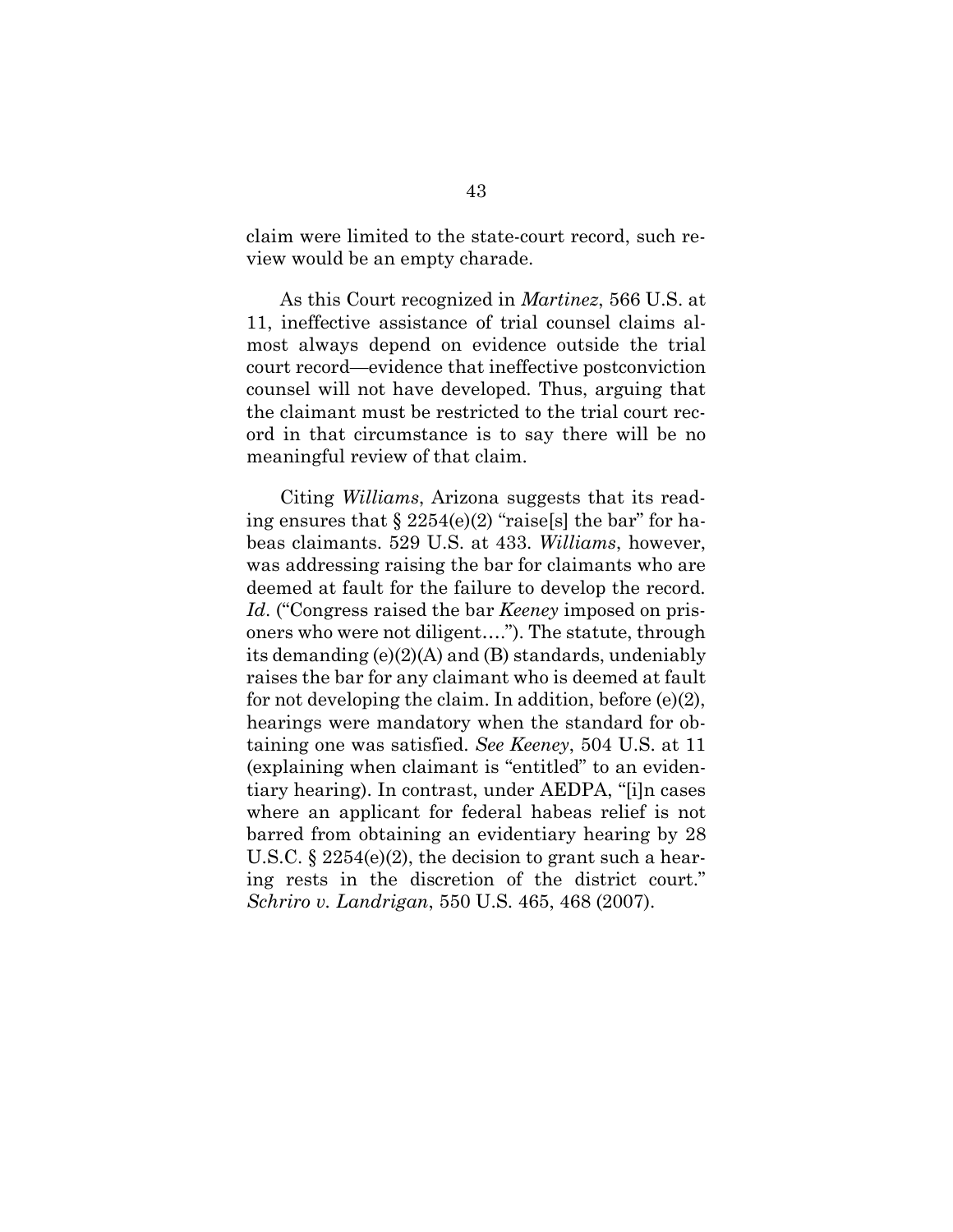claim were limited to the state-court record, such review would be an empty charade.

As this Court recognized in *Martinez*, 566 U.S. at 11, ineffective assistance of trial counsel claims almost always depend on evidence outside the trial court record—evidence that ineffective postconviction counsel will not have developed. Thus, arguing that the claimant must be restricted to the trial court record in that circumstance is to say there will be no meaningful review of that claim.

Citing *Williams*, Arizona suggests that its reading ensures that  $\S 2254(e)(2)$  "raise[s] the bar" for habeas claimants. 529 U.S. at 433. *Williams*, however, was addressing raising the bar for claimants who are deemed at fault for the failure to develop the record. *Id*. ("Congress raised the bar *Keeney* imposed on prisoners who were not diligent…."). The statute, through its demanding (e)(2)(A) and (B) standards, undeniably raises the bar for any claimant who is deemed at fault for not developing the claim. In addition, before (e)(2), hearings were mandatory when the standard for obtaining one was satisfied. *See Keeney*, 504 U.S. at 11 (explaining when claimant is "entitled" to an evidentiary hearing). In contrast, under AEDPA, "[i]n cases where an applicant for federal habeas relief is not barred from obtaining an evidentiary hearing by 28 U.S.C. § 2254(e)(2), the decision to grant such a hearing rests in the discretion of the district court." *Schriro v. Landrigan*, 550 U.S. 465, 468 (2007).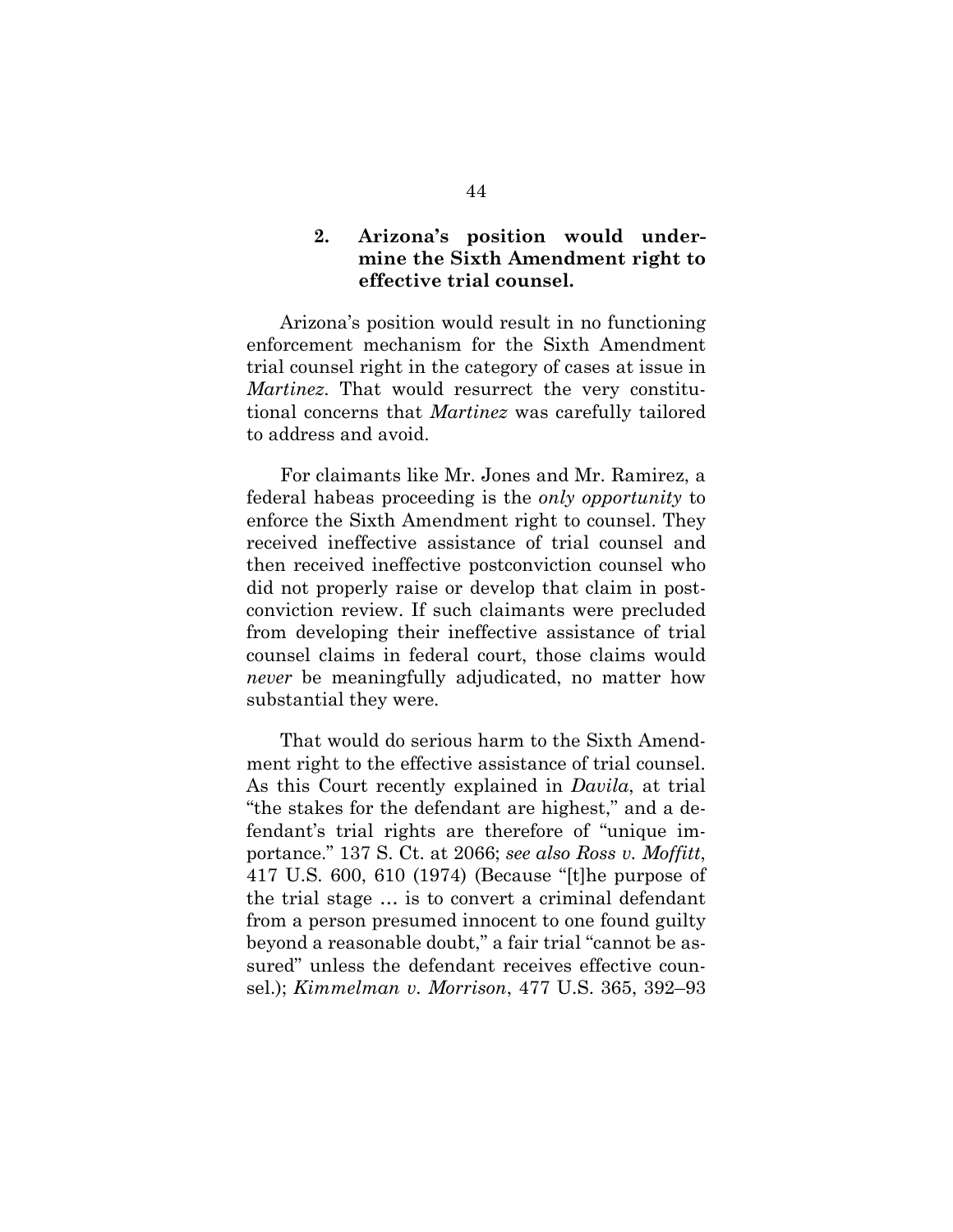### **2. Arizona's position would undermine the Sixth Amendment right to effective trial counsel.**

Arizona's position would result in no functioning enforcement mechanism for the Sixth Amendment trial counsel right in the category of cases at issue in *Martinez*. That would resurrect the very constitutional concerns that *Martinez* was carefully tailored to address and avoid.

For claimants like Mr. Jones and Mr. Ramirez, a federal habeas proceeding is the *only opportunity* to enforce the Sixth Amendment right to counsel. They received ineffective assistance of trial counsel and then received ineffective postconviction counsel who did not properly raise or develop that claim in postconviction review. If such claimants were precluded from developing their ineffective assistance of trial counsel claims in federal court, those claims would *never* be meaningfully adjudicated, no matter how substantial they were.

That would do serious harm to the Sixth Amendment right to the effective assistance of trial counsel. As this Court recently explained in *Davila*, at trial "the stakes for the defendant are highest," and a defendant's trial rights are therefore of "unique importance." 137 S. Ct. at 2066; *see also Ross v. Moffitt*, 417 U.S. 600, 610 (1974) (Because "[t]he purpose of the trial stage … is to convert a criminal defendant from a person presumed innocent to one found guilty beyond a reasonable doubt," a fair trial "cannot be assured" unless the defendant receives effective counsel.); *Kimmelman v. Morrison*, 477 U.S. 365, 392–93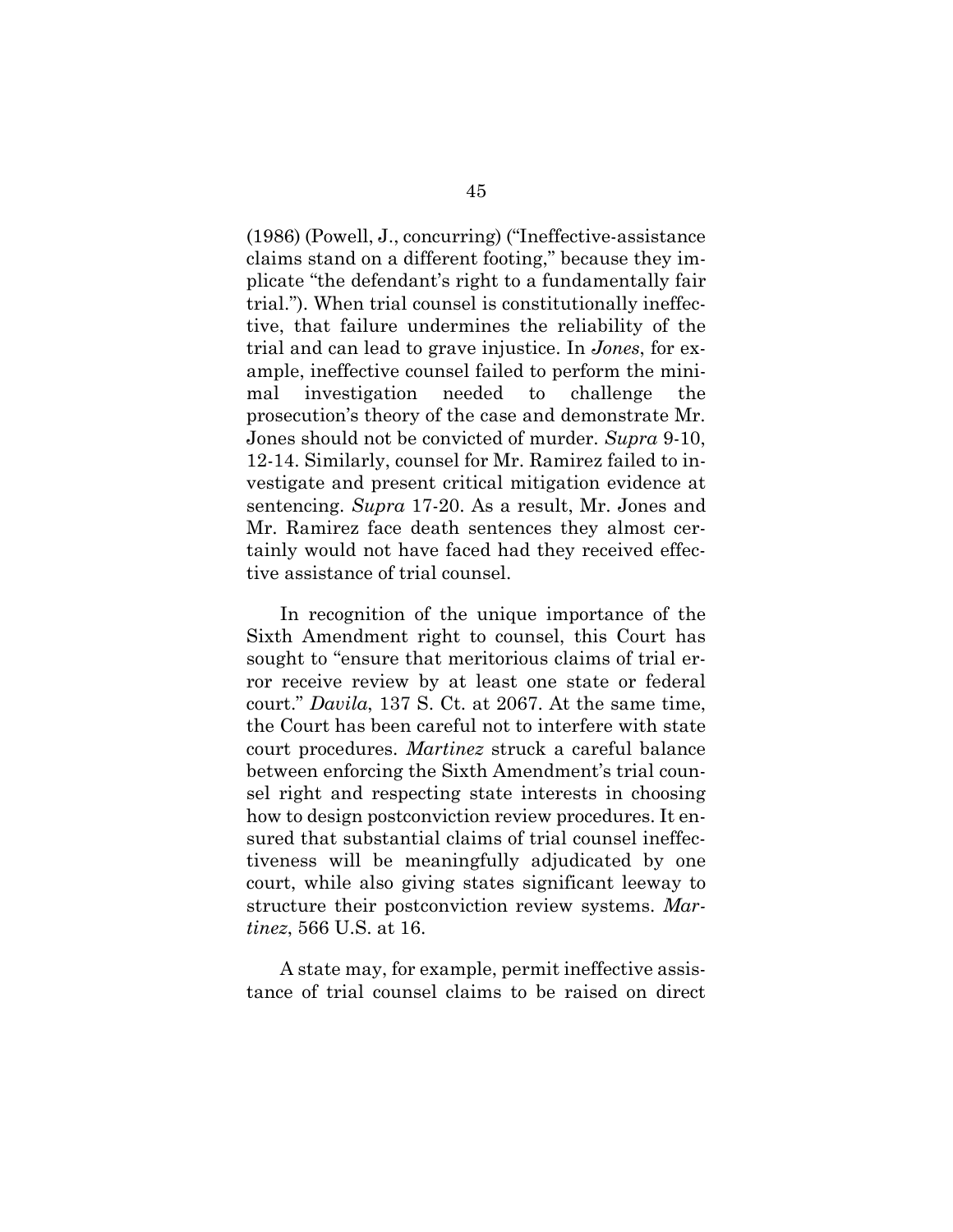(1986) (Powell, J., concurring) ("Ineffective-assistance claims stand on a different footing," because they implicate "the defendant's right to a fundamentally fair trial."). When trial counsel is constitutionally ineffective, that failure undermines the reliability of the trial and can lead to grave injustice. In *Jones*, for example, ineffective counsel failed to perform the minimal investigation needed to challenge the prosecution's theory of the case and demonstrate Mr. Jones should not be convicted of murder. *Supra* 9-10, 12-14. Similarly, counsel for Mr. Ramirez failed to investigate and present critical mitigation evidence at sentencing. *Supra* 17-20. As a result, Mr. Jones and Mr. Ramirez face death sentences they almost certainly would not have faced had they received effective assistance of trial counsel.

In recognition of the unique importance of the Sixth Amendment right to counsel, this Court has sought to "ensure that meritorious claims of trial error receive review by at least one state or federal court." *Davila*, 137 S. Ct. at 2067. At the same time, the Court has been careful not to interfere with state court procedures. *Martinez* struck a careful balance between enforcing the Sixth Amendment's trial counsel right and respecting state interests in choosing how to design postconviction review procedures. It ensured that substantial claims of trial counsel ineffectiveness will be meaningfully adjudicated by one court, while also giving states significant leeway to structure their postconviction review systems. *Martinez*, 566 U.S. at 16.

A state may, for example, permit ineffective assistance of trial counsel claims to be raised on direct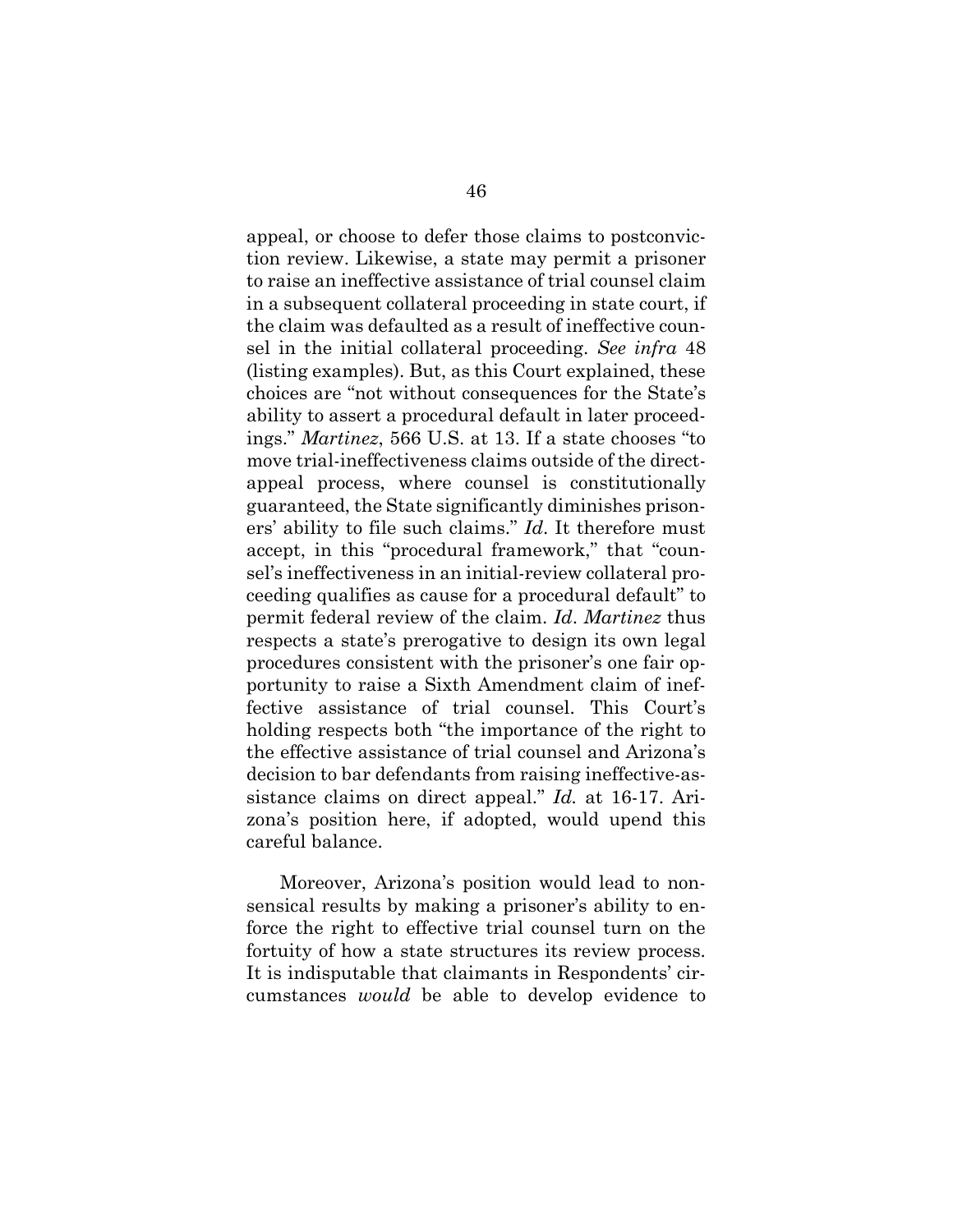appeal, or choose to defer those claims to postconviction review. Likewise, a state may permit a prisoner to raise an ineffective assistance of trial counsel claim in a subsequent collateral proceeding in state court, if the claim was defaulted as a result of ineffective counsel in the initial collateral proceeding. *See infra* 48 (listing examples). But, as this Court explained, these choices are "not without consequences for the State's ability to assert a procedural default in later proceedings." *Martinez*, 566 U.S. at 13. If a state chooses "to move trial-ineffectiveness claims outside of the directappeal process, where counsel is constitutionally guaranteed, the State significantly diminishes prisoners' ability to file such claims." *Id*. It therefore must accept, in this "procedural framework," that "counsel's ineffectiveness in an initial-review collateral proceeding qualifies as cause for a procedural default" to permit federal review of the claim. *Id*. *Martinez* thus respects a state's prerogative to design its own legal procedures consistent with the prisoner's one fair opportunity to raise a Sixth Amendment claim of ineffective assistance of trial counsel. This Court's holding respects both "the importance of the right to the effective assistance of trial counsel and Arizona's decision to bar defendants from raising ineffective-assistance claims on direct appeal." *Id.* at 16-17. Arizona's position here, if adopted, would upend this careful balance.

Moreover, Arizona's position would lead to nonsensical results by making a prisoner's ability to enforce the right to effective trial counsel turn on the fortuity of how a state structures its review process. It is indisputable that claimants in Respondents' circumstances *would* be able to develop evidence to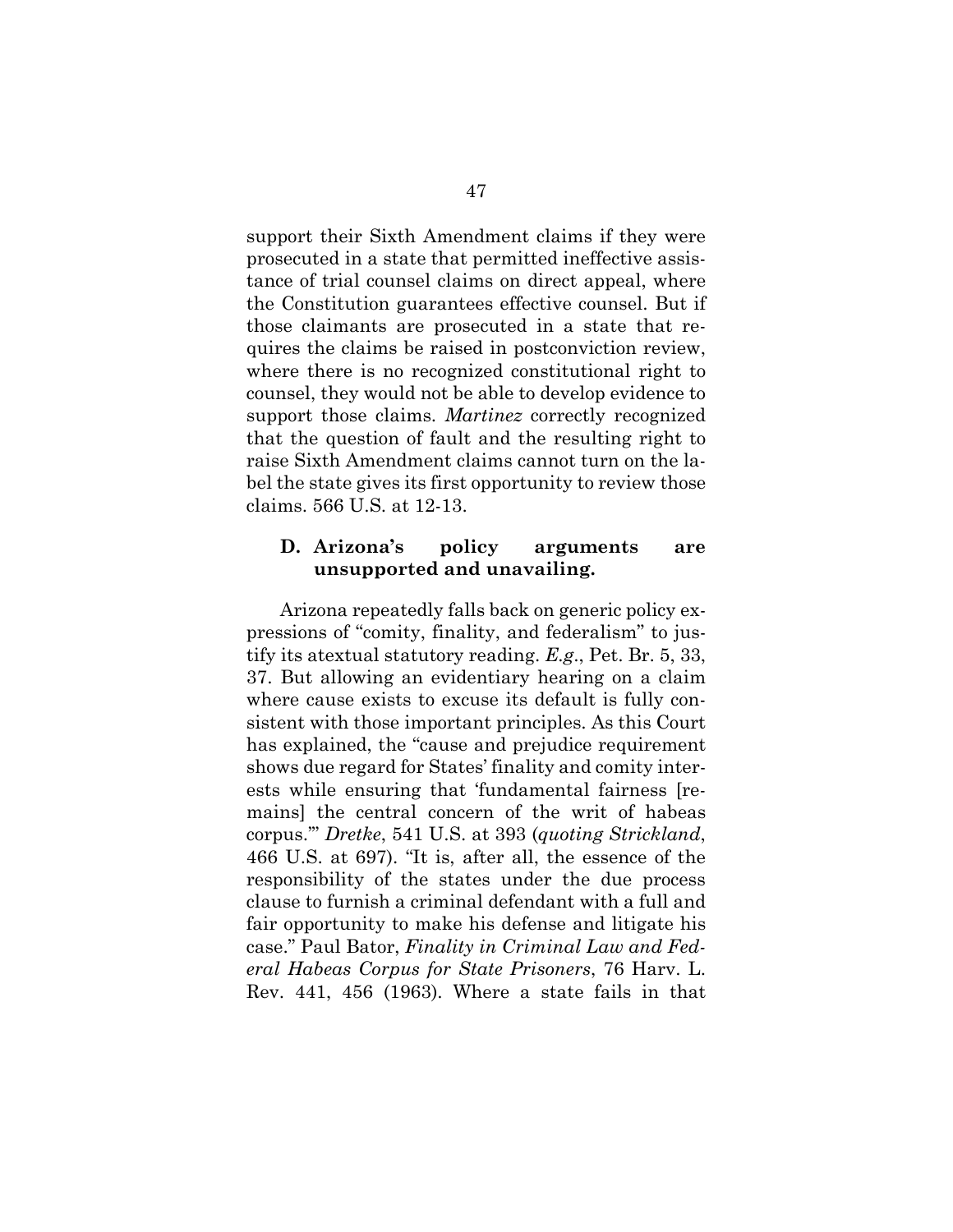support their Sixth Amendment claims if they were prosecuted in a state that permitted ineffective assistance of trial counsel claims on direct appeal, where the Constitution guarantees effective counsel. But if those claimants are prosecuted in a state that requires the claims be raised in postconviction review, where there is no recognized constitutional right to counsel, they would not be able to develop evidence to support those claims. *Martinez* correctly recognized that the question of fault and the resulting right to raise Sixth Amendment claims cannot turn on the label the state gives its first opportunity to review those claims. 566 U.S. at 12-13.

#### **D. Arizona's policy arguments are unsupported and unavailing.**

Arizona repeatedly falls back on generic policy expressions of "comity, finality, and federalism" to justify its atextual statutory reading. *E.g*., Pet. Br. 5, 33, 37. But allowing an evidentiary hearing on a claim where cause exists to excuse its default is fully consistent with those important principles. As this Court has explained, the "cause and prejudice requirement shows due regard for States' finality and comity interests while ensuring that 'fundamental fairness [remains] the central concern of the writ of habeas corpus.'" *Dretke*, 541 U.S. at 393 (*quoting Strickland*, 466 U.S. at 697). "It is, after all, the essence of the responsibility of the states under the due process clause to furnish a criminal defendant with a full and fair opportunity to make his defense and litigate his case." Paul Bator, *Finality in Criminal Law and Federal Habeas Corpus for State Prisoners*, 76 Harv. L. Rev. 441, 456 (1963). Where a state fails in that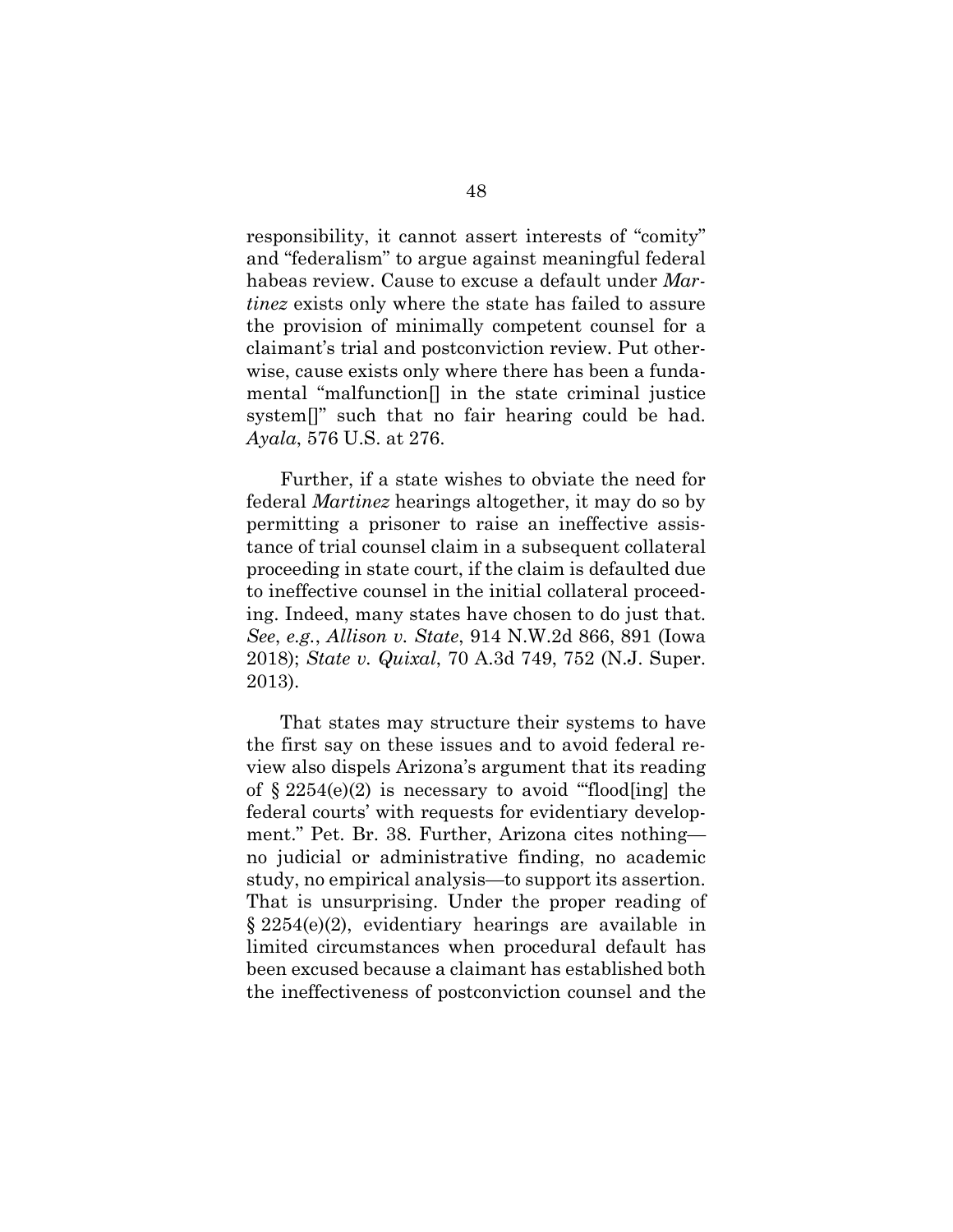responsibility, it cannot assert interests of "comity" and "federalism" to argue against meaningful federal habeas review. Cause to excuse a default under *Martinez* exists only where the state has failed to assure the provision of minimally competent counsel for a claimant's trial and postconviction review. Put otherwise, cause exists only where there has been a fundamental "malfunction[] in the state criminal justice system<sup>[]"</sup> such that no fair hearing could be had. *Ayala*, 576 U.S. at 276.

Further, if a state wishes to obviate the need for federal *Martinez* hearings altogether, it may do so by permitting a prisoner to raise an ineffective assistance of trial counsel claim in a subsequent collateral proceeding in state court, if the claim is defaulted due to ineffective counsel in the initial collateral proceeding. Indeed, many states have chosen to do just that. *See*, *e.g.*, *Allison v. State*, 914 N.W.2d 866, 891 (Iowa 2018); *State v. Quixal*, 70 A.3d 749, 752 (N.J. Super. 2013).

That states may structure their systems to have the first say on these issues and to avoid federal review also dispels Arizona's argument that its reading of  $\S 2254(e)(2)$  is necessary to avoid "flood[ing] the federal courts' with requests for evidentiary development." Pet. Br. 38. Further, Arizona cites nothing no judicial or administrative finding, no academic study, no empirical analysis—to support its assertion. That is unsurprising. Under the proper reading of § 2254(e)(2), evidentiary hearings are available in limited circumstances when procedural default has been excused because a claimant has established both the ineffectiveness of postconviction counsel and the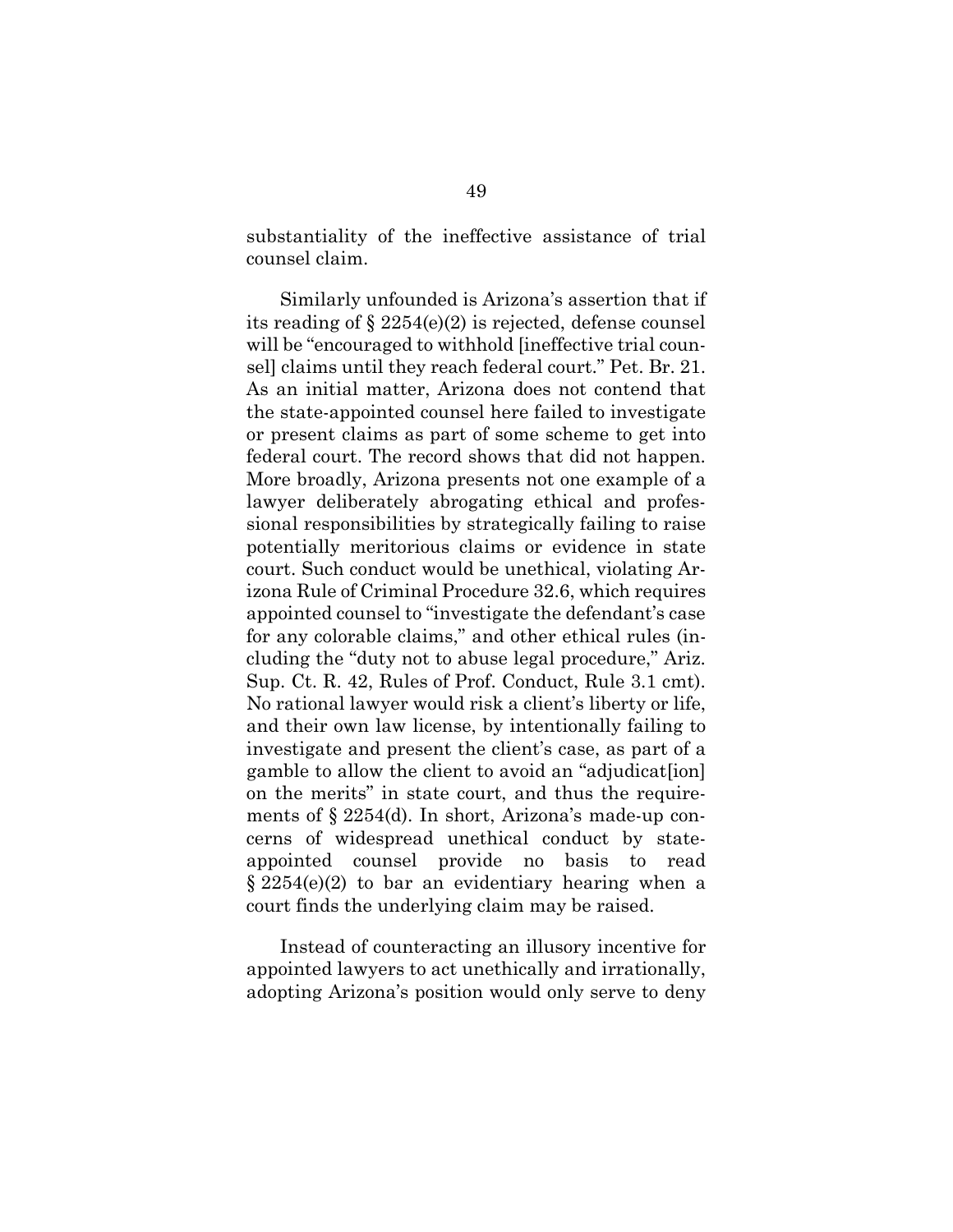substantiality of the ineffective assistance of trial counsel claim.

Similarly unfounded is Arizona's assertion that if its reading of § 2254(e)(2) is rejected, defense counsel will be "encouraged to withhold [ineffective trial counsel] claims until they reach federal court." Pet. Br. 21. As an initial matter, Arizona does not contend that the state-appointed counsel here failed to investigate or present claims as part of some scheme to get into federal court. The record shows that did not happen. More broadly, Arizona presents not one example of a lawyer deliberately abrogating ethical and professional responsibilities by strategically failing to raise potentially meritorious claims or evidence in state court. Such conduct would be unethical, violating Arizona Rule of Criminal Procedure 32.6, which requires appointed counsel to "investigate the defendant's case for any colorable claims," and other ethical rules (including the "duty not to abuse legal procedure," Ariz. Sup. Ct. R. 42, Rules of Prof. Conduct, Rule 3.1 cmt). No rational lawyer would risk a client's liberty or life, and their own law license, by intentionally failing to investigate and present the client's case, as part of a gamble to allow the client to avoid an "adjudicat[ion] on the merits" in state court, and thus the requirements of § 2254(d). In short, Arizona's made-up concerns of widespread unethical conduct by stateappointed counsel provide no basis to read § 2254(e)(2) to bar an evidentiary hearing when a court finds the underlying claim may be raised.

Instead of counteracting an illusory incentive for appointed lawyers to act unethically and irrationally, adopting Arizona's position would only serve to deny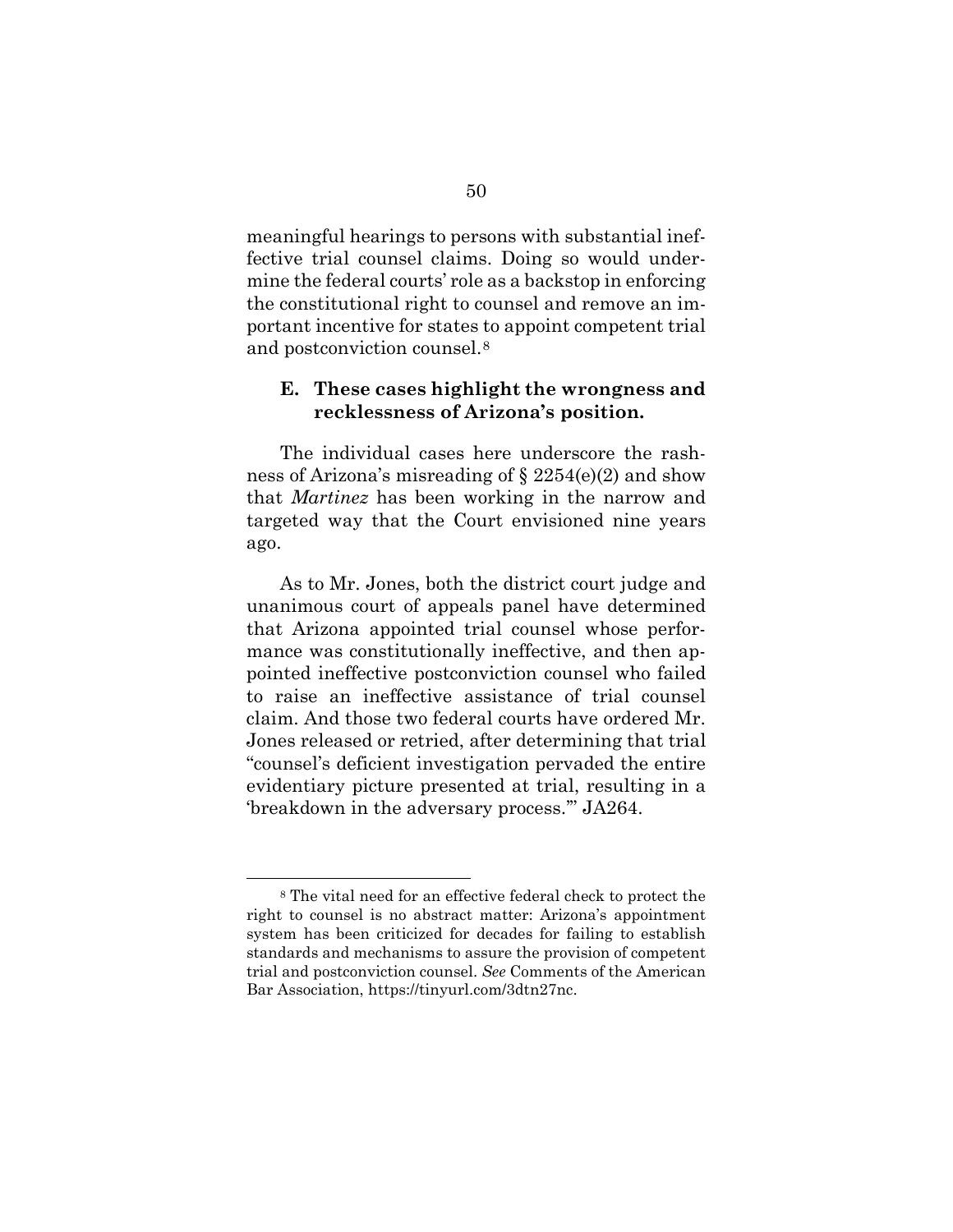meaningful hearings to persons with substantial ineffective trial counsel claims. Doing so would undermine the federal courts' role as a backstop in enforcing the constitutional right to counsel and remove an important incentive for states to appoint competent trial and postconviction counsel.8

### **E. These cases highlight the wrongness and recklessness of Arizona's position.**

The individual cases here underscore the rashness of Arizona's misreading of § 2254(e)(2) and show that *Martinez* has been working in the narrow and targeted way that the Court envisioned nine years ago.

As to Mr. Jones, both the district court judge and unanimous court of appeals panel have determined that Arizona appointed trial counsel whose performance was constitutionally ineffective, and then appointed ineffective postconviction counsel who failed to raise an ineffective assistance of trial counsel claim. And those two federal courts have ordered Mr. Jones released or retried, after determining that trial "counsel's deficient investigation pervaded the entire evidentiary picture presented at trial, resulting in a 'breakdown in the adversary process.'" JA264.

<sup>8</sup> The vital need for an effective federal check to protect the right to counsel is no abstract matter: Arizona's appointment system has been criticized for decades for failing to establish standards and mechanisms to assure the provision of competent trial and postconviction counsel. *See* Comments of the American Bar Association, https://tinyurl.com/3dtn27nc.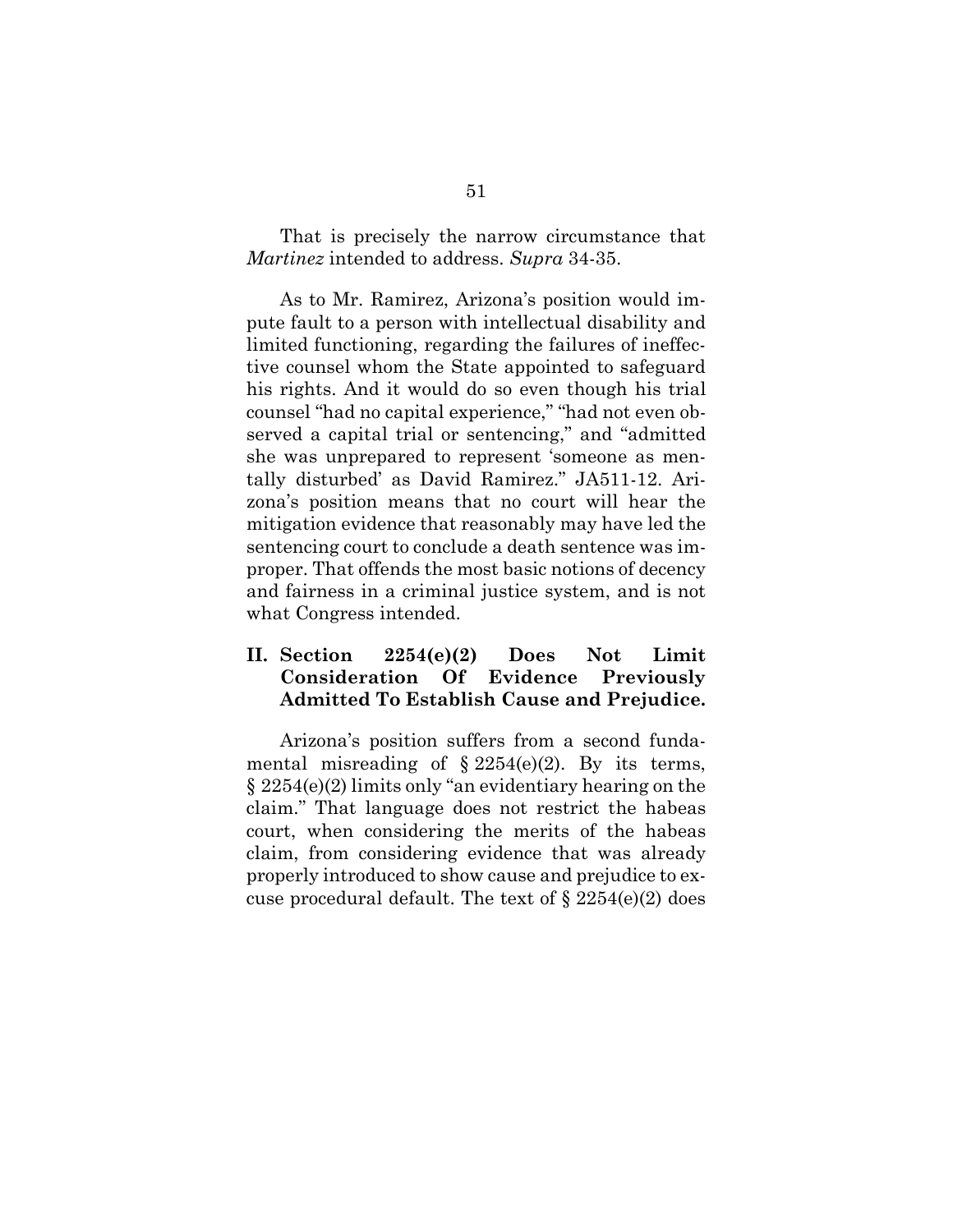That is precisely the narrow circumstance that *Martinez* intended to address. *Supra* 34-35.

As to Mr. Ramirez, Arizona's position would impute fault to a person with intellectual disability and limited functioning, regarding the failures of ineffective counsel whom the State appointed to safeguard his rights. And it would do so even though his trial counsel "had no capital experience," "had not even observed a capital trial or sentencing," and "admitted she was unprepared to represent 'someone as mentally disturbed' as David Ramirez." JA511-12. Arizona's position means that no court will hear the mitigation evidence that reasonably may have led the sentencing court to conclude a death sentence was improper. That offends the most basic notions of decency and fairness in a criminal justice system, and is not what Congress intended.

### **II. Section 2254(e)(2) Does Not Limit Consideration Of Evidence Previously Admitted To Establish Cause and Prejudice.**

Arizona's position suffers from a second fundamental misreading of  $\S 2254(e)(2)$ . By its terms, § 2254(e)(2) limits only "an evidentiary hearing on the claim." That language does not restrict the habeas court, when considering the merits of the habeas claim, from considering evidence that was already properly introduced to show cause and prejudice to excuse procedural default. The text of  $\S 2254(e)(2)$  does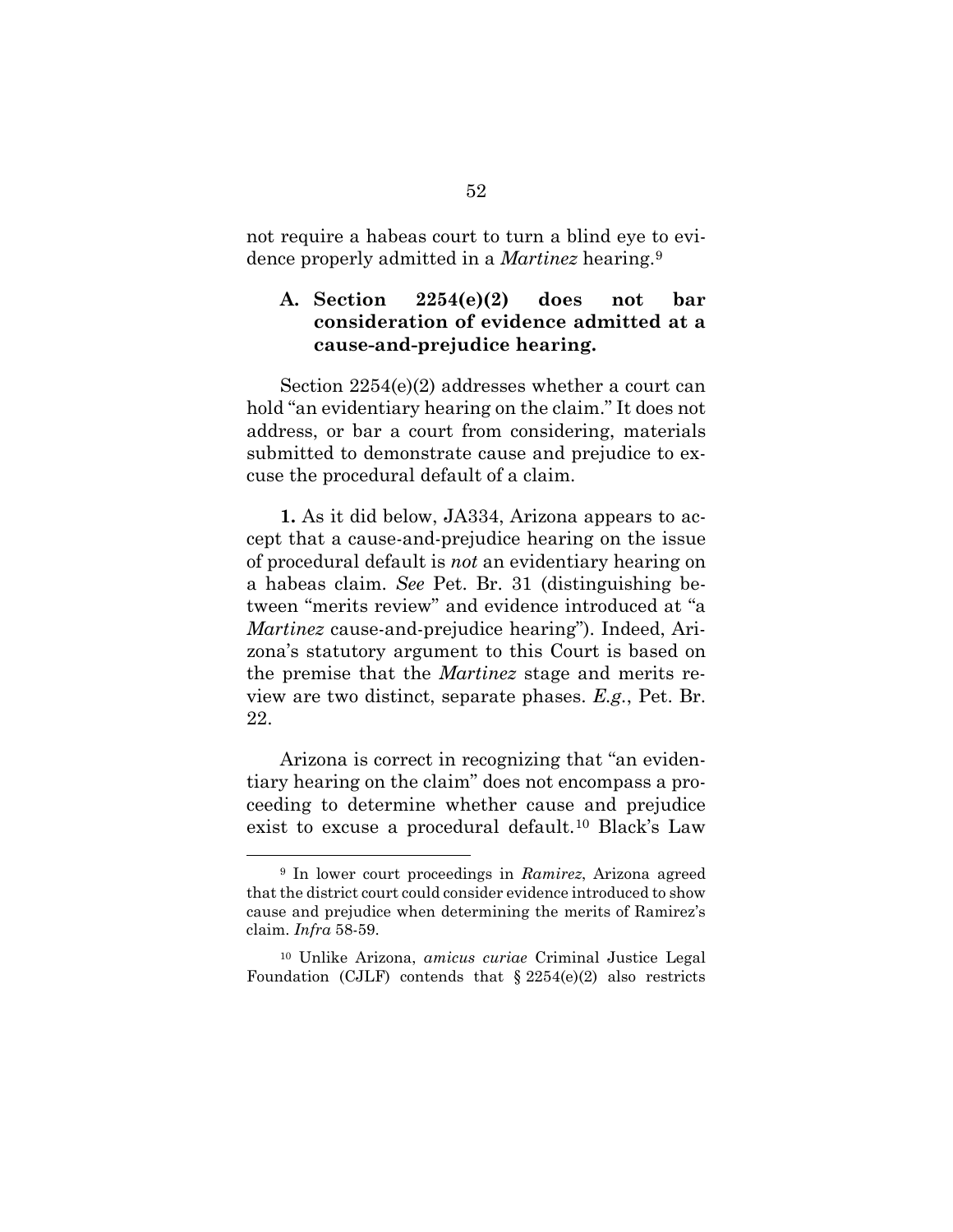not require a habeas court to turn a blind eye to evidence properly admitted in a *Martinez* hearing.9

## **A. Section 2254(e)(2) does not bar consideration of evidence admitted at a cause-and-prejudice hearing.**

Section 2254(e)(2) addresses whether a court can hold "an evidentiary hearing on the claim." It does not address, or bar a court from considering, materials submitted to demonstrate cause and prejudice to excuse the procedural default of a claim.

**1.** As it did below, JA334, Arizona appears to accept that a cause-and-prejudice hearing on the issue of procedural default is *not* an evidentiary hearing on a habeas claim. *See* Pet. Br. 31 (distinguishing between "merits review" and evidence introduced at "a *Martinez* cause-and-prejudice hearing"). Indeed, Arizona's statutory argument to this Court is based on the premise that the *Martinez* stage and merits review are two distinct, separate phases. *E.g.*, Pet. Br. 22.

Arizona is correct in recognizing that "an evidentiary hearing on the claim" does not encompass a proceeding to determine whether cause and prejudice exist to excuse a procedural default.10 Black's Law

<sup>9</sup> In lower court proceedings in *Ramirez*, Arizona agreed that the district court could consider evidence introduced to show cause and prejudice when determining the merits of Ramirez's claim. *Infra* 58-59.

<sup>10</sup> Unlike Arizona, *amicus curiae* Criminal Justice Legal Foundation (CJLF) contends that  $\S 2254(e)(2)$  also restricts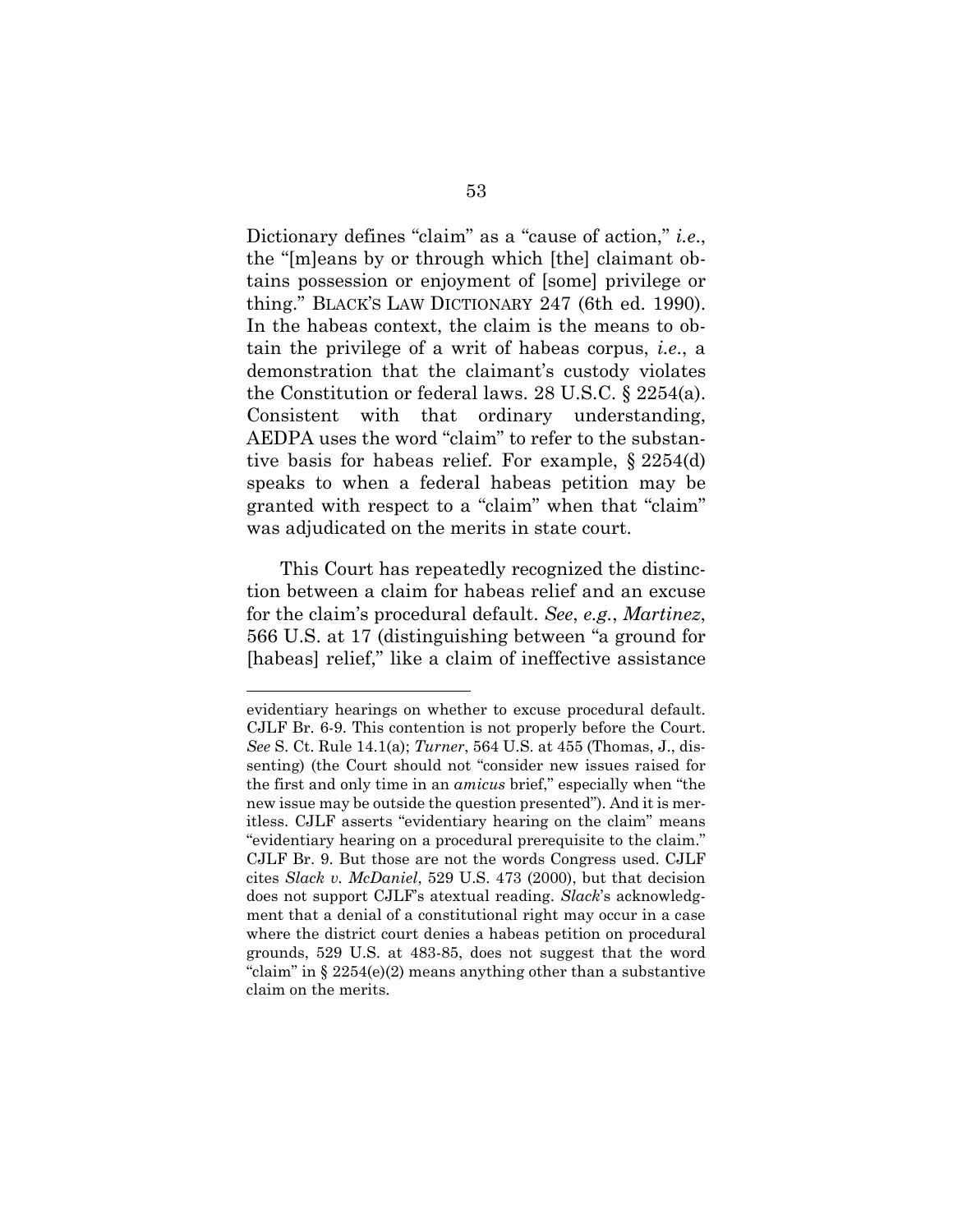Dictionary defines "claim" as a "cause of action," *i.e*., the "[m]eans by or through which [the] claimant obtains possession or enjoyment of [some] privilege or thing." BLACK'S LAW DICTIONARY 247 (6th ed. 1990). In the habeas context, the claim is the means to obtain the privilege of a writ of habeas corpus, *i.e*., a demonstration that the claimant's custody violates the Constitution or federal laws. 28 U.S.C. § 2254(a). Consistent with that ordinary understanding, AEDPA uses the word "claim" to refer to the substantive basis for habeas relief. For example, § 2254(d) speaks to when a federal habeas petition may be granted with respect to a "claim" when that "claim" was adjudicated on the merits in state court.

This Court has repeatedly recognized the distinction between a claim for habeas relief and an excuse for the claim's procedural default. *See*, *e.g.*, *Martinez*, 566 U.S. at 17 (distinguishing between "a ground for [habeas] relief," like a claim of ineffective assistance

evidentiary hearings on whether to excuse procedural default. CJLF Br. 6-9. This contention is not properly before the Court. *See* S. Ct. Rule 14.1(a); *Turner*, 564 U.S. at 455 (Thomas, J., dissenting) (the Court should not "consider new issues raised for the first and only time in an *amicus* brief," especially when "the new issue may be outside the question presented"). And it is meritless. CJLF asserts "evidentiary hearing on the claim" means "evidentiary hearing on a procedural prerequisite to the claim." CJLF Br. 9. But those are not the words Congress used. CJLF cites *Slack v. McDaniel*, 529 U.S. 473 (2000), but that decision does not support CJLF's atextual reading. *Slack*'s acknowledgment that a denial of a constitutional right may occur in a case where the district court denies a habeas petition on procedural grounds, 529 U.S. at 483-85, does not suggest that the word "claim" in  $\S 2254(e)(2)$  means anything other than a substantive claim on the merits.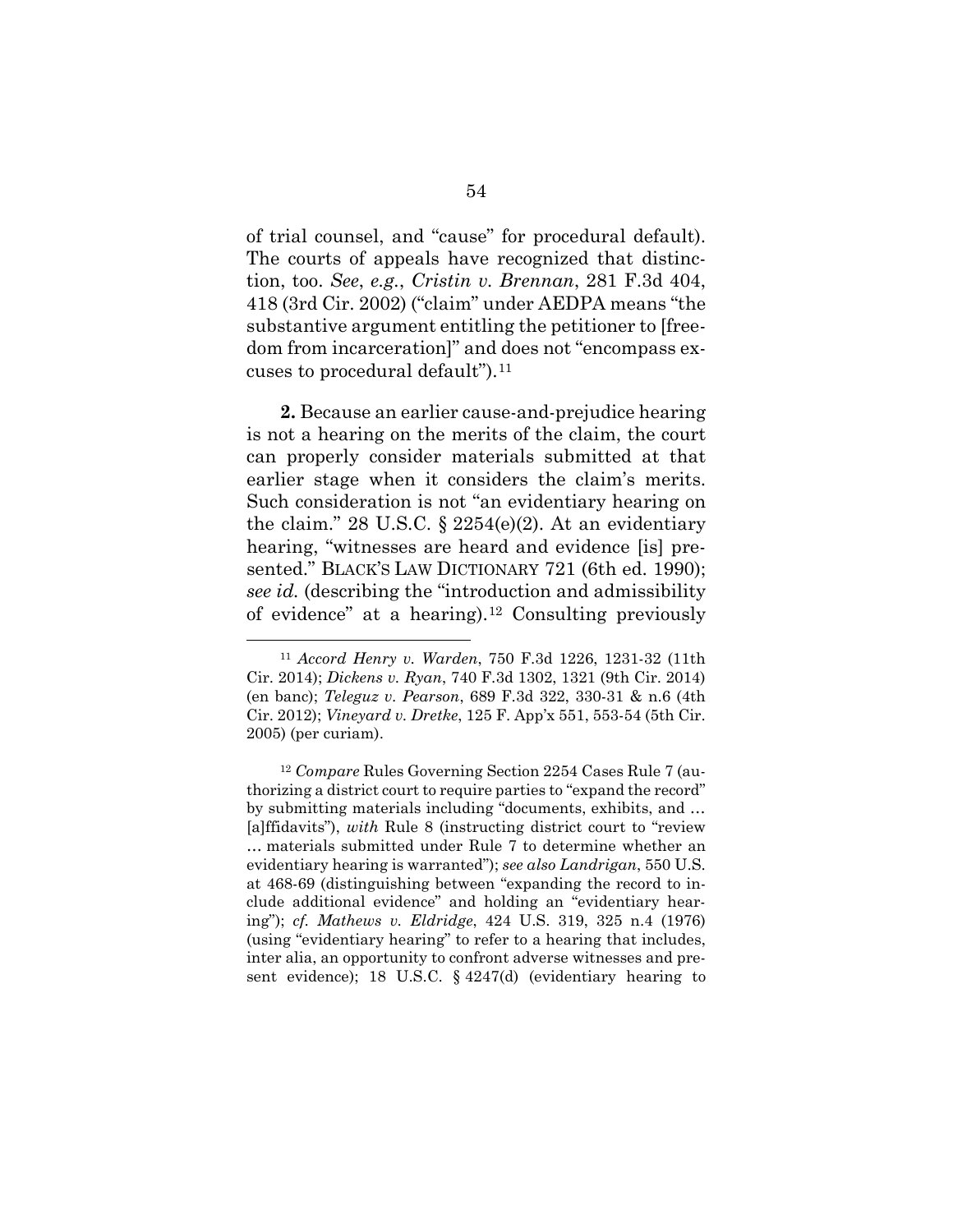of trial counsel, and "cause" for procedural default). The courts of appeals have recognized that distinction, too. *See*, *e.g.*, *Cristin v. Brennan*, 281 F.3d 404, 418 (3rd Cir. 2002) ("claim" under AEDPA means "the substantive argument entitling the petitioner to [freedom from incarceration]" and does not "encompass excuses to procedural default").11

**2.** Because an earlier cause-and-prejudice hearing is not a hearing on the merits of the claim, the court can properly consider materials submitted at that earlier stage when it considers the claim's merits. Such consideration is not "an evidentiary hearing on the claim." 28 U.S.C.  $\S$  2254(e)(2). At an evidentiary hearing, "witnesses are heard and evidence [is] presented." BLACK'S LAW DICTIONARY 721 (6th ed. 1990); *see id.* (describing the "introduction and admissibility of evidence" at a hearing).12 Consulting previously

<sup>11</sup> *Accord Henry v. Warden*, 750 F.3d 1226, 1231-32 (11th Cir. 2014); *Dickens v. Ryan*, 740 F.3d 1302, 1321 (9th Cir. 2014) (en banc); *Teleguz v. Pearson*, 689 F.3d 322, 330-31 & n.6 (4th Cir. 2012); *Vineyard v. Dretke*, 125 F. App'x 551, 553-54 (5th Cir. 2005) (per curiam).

<sup>12</sup> *Compare* Rules Governing Section 2254 Cases Rule 7 (authorizing a district court to require parties to "expand the record" by submitting materials including "documents, exhibits, and … [a]ffidavits"), *with* Rule 8 (instructing district court to "review … materials submitted under Rule 7 to determine whether an evidentiary hearing is warranted"); *see also Landrigan*, 550 U.S. at 468-69 (distinguishing between "expanding the record to include additional evidence" and holding an "evidentiary hearing"); *cf. Mathews v. Eldridge*, 424 U.S. 319, 325 n.4 (1976) (using "evidentiary hearing" to refer to a hearing that includes, inter alia, an opportunity to confront adverse witnesses and present evidence); 18 U.S.C. § 4247(d) (evidentiary hearing to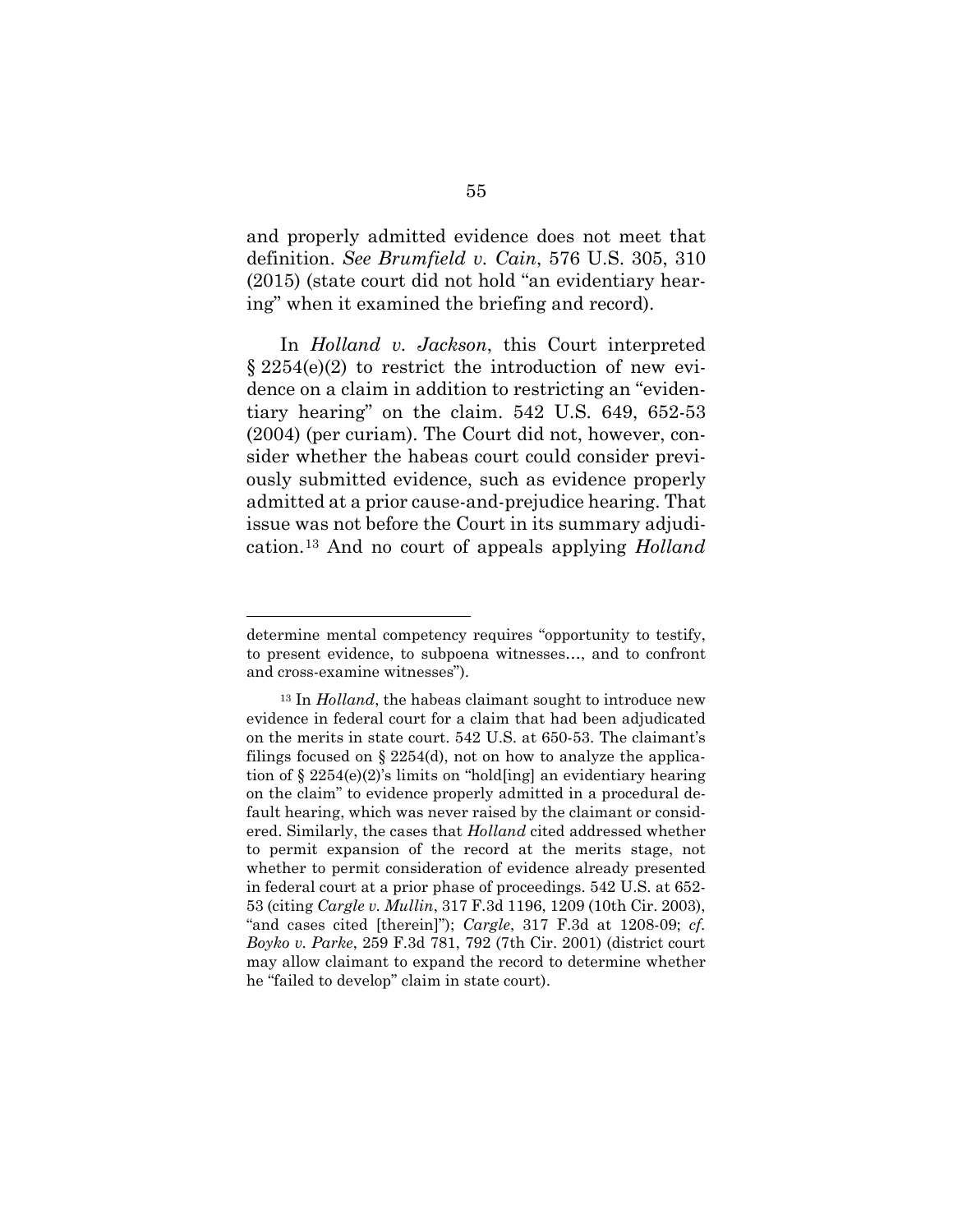and properly admitted evidence does not meet that definition. *See Brumfield v. Cain*, 576 U.S. 305, 310 (2015) (state court did not hold "an evidentiary hearing" when it examined the briefing and record).

In *Holland v. Jackson*, this Court interpreted  $\S 2254(e)(2)$  to restrict the introduction of new evidence on a claim in addition to restricting an "evidentiary hearing" on the claim. 542 U.S. 649, 652-53 (2004) (per curiam). The Court did not, however, consider whether the habeas court could consider previously submitted evidence, such as evidence properly admitted at a prior cause-and-prejudice hearing. That issue was not before the Court in its summary adjudication.13 And no court of appeals applying *Holland*

determine mental competency requires "opportunity to testify, to present evidence, to subpoena witnesses…, and to confront and cross-examine witnesses").

<sup>&</sup>lt;sup>13</sup> In *Holland*, the habeas claimant sought to introduce new evidence in federal court for a claim that had been adjudicated on the merits in state court. 542 U.S. at 650-53. The claimant's filings focused on  $\S 2254(d)$ , not on how to analyze the application of  $\S 2254(e)(2)$ 's limits on "hold[ing] an evidentiary hearing on the claim" to evidence properly admitted in a procedural default hearing, which was never raised by the claimant or considered. Similarly, the cases that *Holland* cited addressed whether to permit expansion of the record at the merits stage, not whether to permit consideration of evidence already presented in federal court at a prior phase of proceedings. 542 U.S. at 652- 53 (citing *Cargle v. Mullin*, 317 F.3d 1196, 1209 (10th Cir. 2003), "and cases cited [therein]"); *Cargle*, 317 F.3d at 1208-09; *cf. Boyko v. Parke*, 259 F.3d 781, 792 (7th Cir. 2001) (district court may allow claimant to expand the record to determine whether he "failed to develop" claim in state court).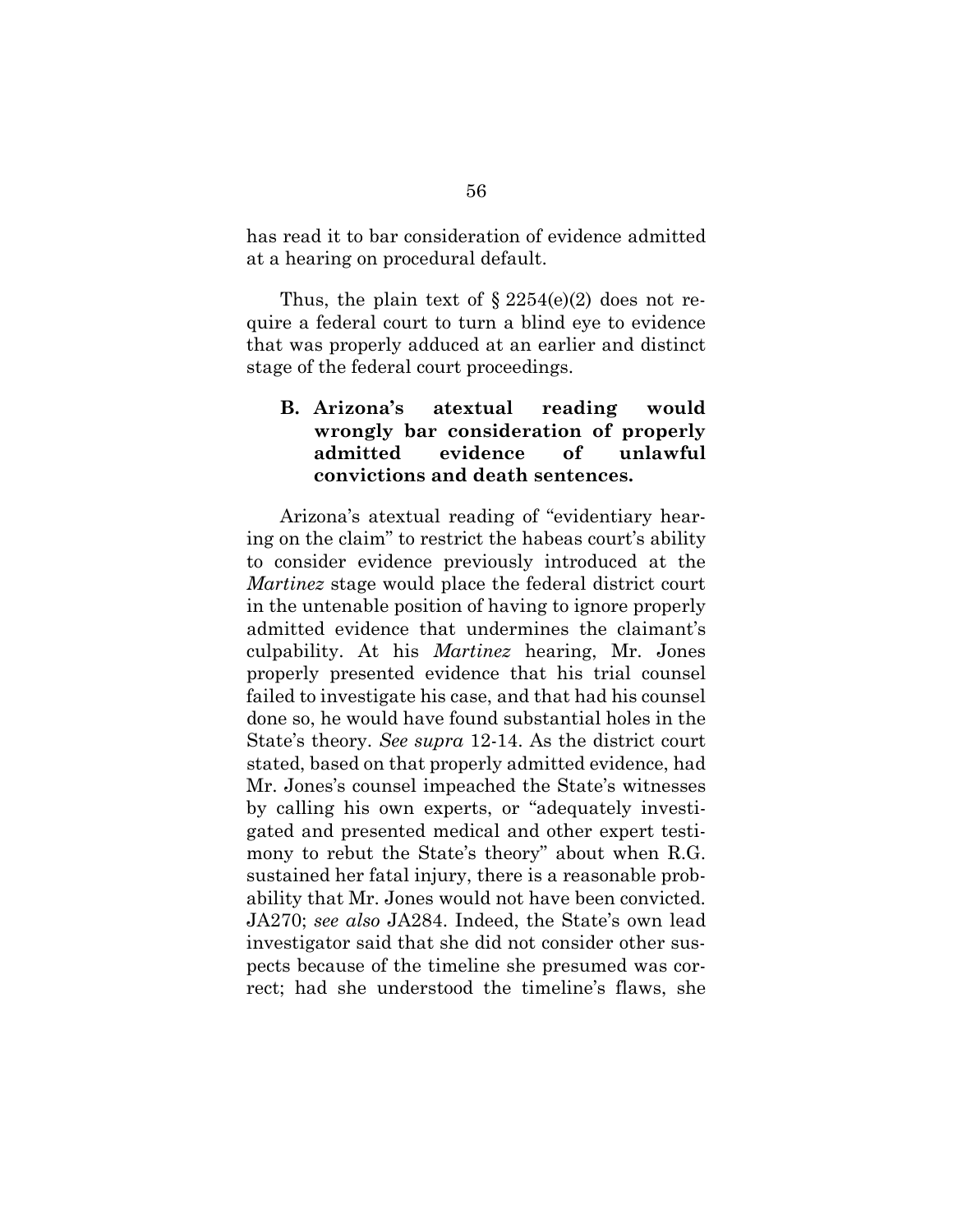has read it to bar consideration of evidence admitted at a hearing on procedural default.

Thus, the plain text of  $\S 2254(e)(2)$  does not require a federal court to turn a blind eye to evidence that was properly adduced at an earlier and distinct stage of the federal court proceedings.

### **B. Arizona's atextual reading would wrongly bar consideration of properly admitted evidence of unlawful convictions and death sentences.**

Arizona's atextual reading of "evidentiary hearing on the claim" to restrict the habeas court's ability to consider evidence previously introduced at the *Martinez* stage would place the federal district court in the untenable position of having to ignore properly admitted evidence that undermines the claimant's culpability. At his *Martinez* hearing, Mr. Jones properly presented evidence that his trial counsel failed to investigate his case, and that had his counsel done so, he would have found substantial holes in the State's theory. *See supra* 12-14. As the district court stated, based on that properly admitted evidence, had Mr. Jones's counsel impeached the State's witnesses by calling his own experts, or "adequately investigated and presented medical and other expert testimony to rebut the State's theory" about when R.G. sustained her fatal injury, there is a reasonable probability that Mr. Jones would not have been convicted. JA270; *see also* JA284. Indeed, the State's own lead investigator said that she did not consider other suspects because of the timeline she presumed was correct; had she understood the timeline's flaws, she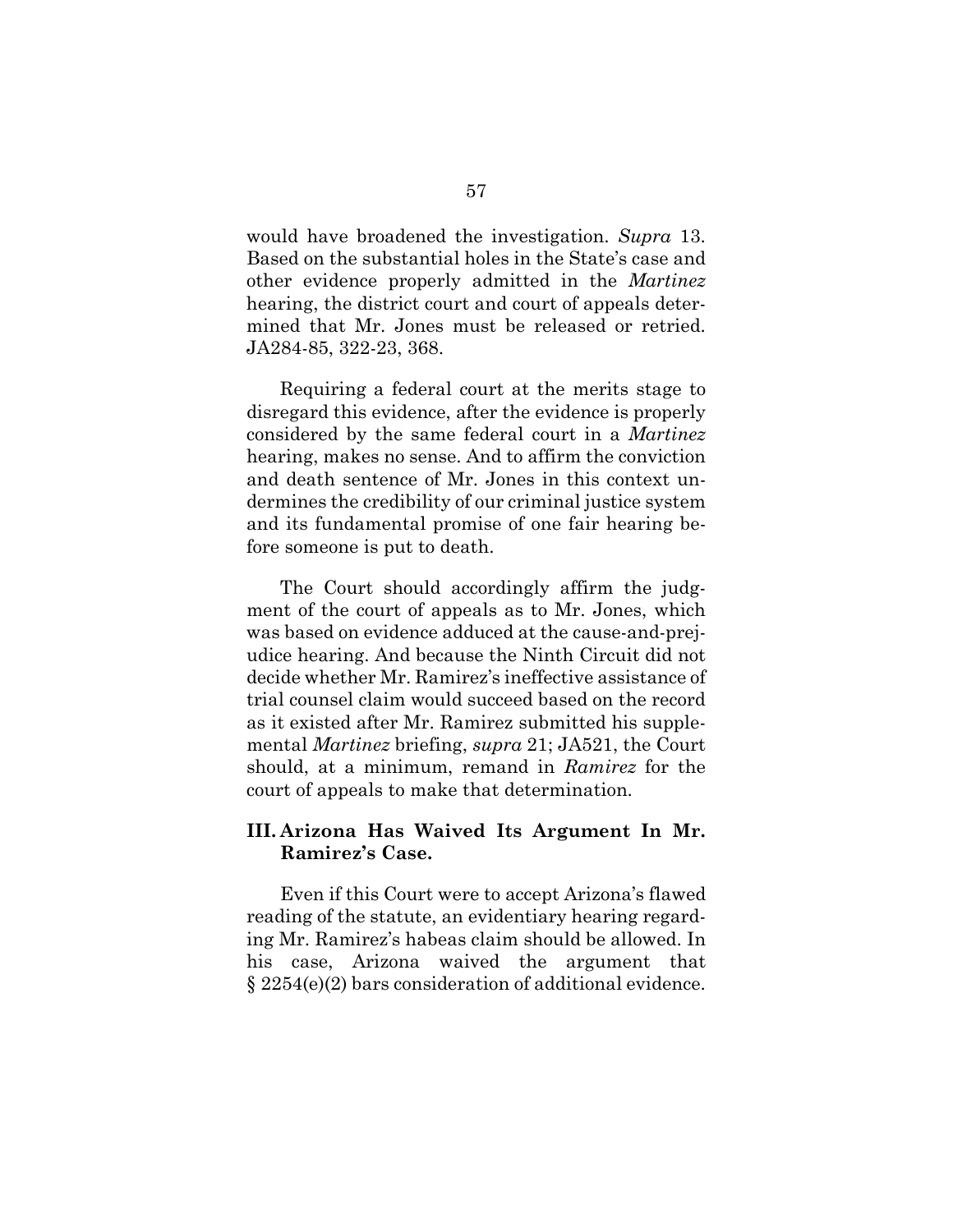would have broadened the investigation. *Supra* 13. Based on the substantial holes in the State's case and other evidence properly admitted in the *Martinez* hearing, the district court and court of appeals determined that Mr. Jones must be released or retried. JA284-85, 322-23, 368.

Requiring a federal court at the merits stage to disregard this evidence, after the evidence is properly considered by the same federal court in a *Martinez* hearing, makes no sense. And to affirm the conviction and death sentence of Mr. Jones in this context undermines the credibility of our criminal justice system and its fundamental promise of one fair hearing before someone is put to death.

The Court should accordingly affirm the judgment of the court of appeals as to Mr. Jones, which was based on evidence adduced at the cause-and-prejudice hearing. And because the Ninth Circuit did not decide whether Mr. Ramirez's ineffective assistance of trial counsel claim would succeed based on the record as it existed after Mr. Ramirez submitted his supplemental *Martinez* briefing, *supra* 21; JA521, the Court should, at a minimum, remand in *Ramirez* for the court of appeals to make that determination.

### **III. Arizona Has Waived Its Argument In Mr. Ramirez's Case.**

Even if this Court were to accept Arizona's flawed reading of the statute, an evidentiary hearing regarding Mr. Ramirez's habeas claim should be allowed. In his case, Arizona waived the argument that § 2254(e)(2) bars consideration of additional evidence.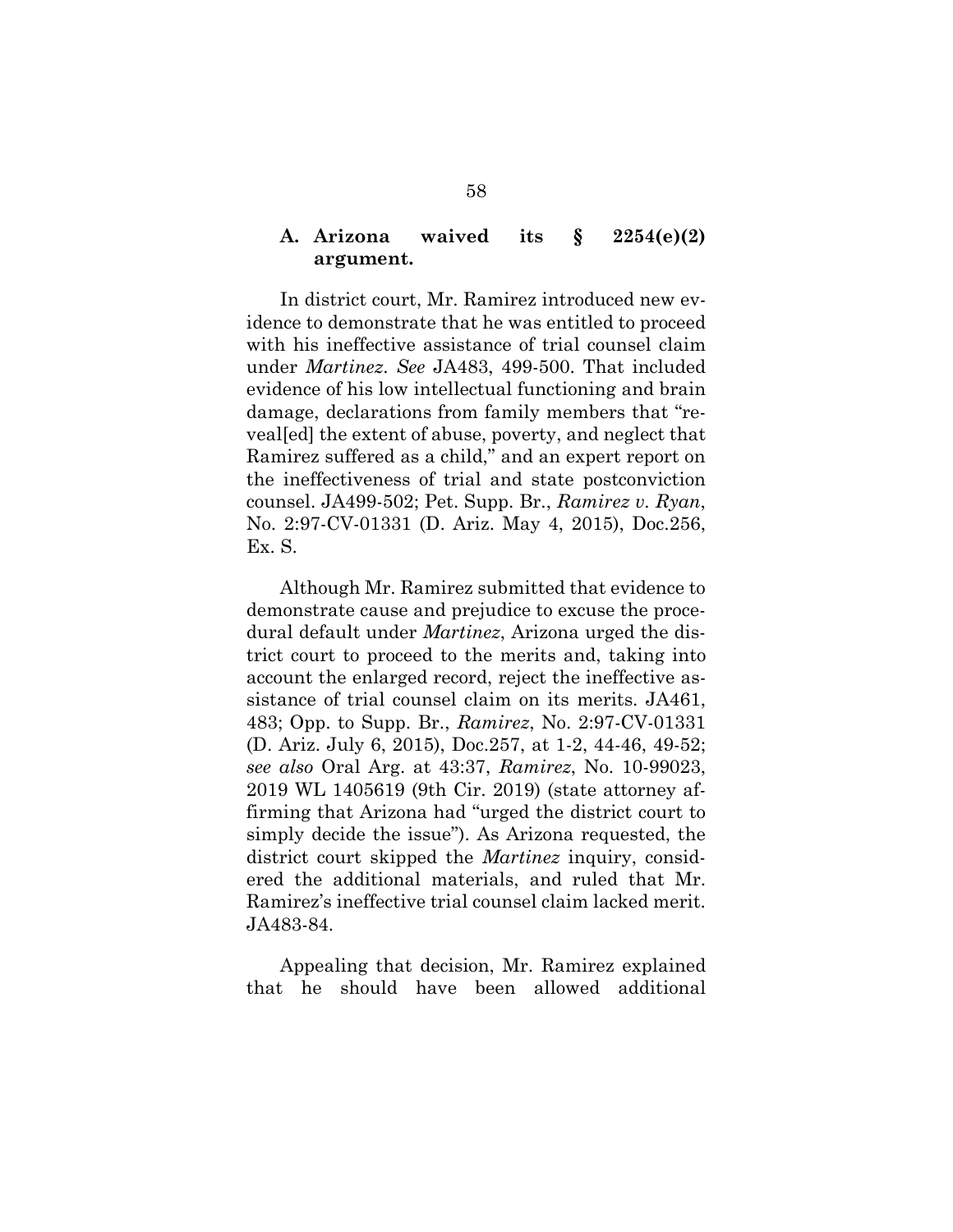#### **A. Arizona waived its § 2254(e)(2) argument.**

In district court, Mr. Ramirez introduced new evidence to demonstrate that he was entitled to proceed with his ineffective assistance of trial counsel claim under *Martinez*. *See* JA483, 499-500. That included evidence of his low intellectual functioning and brain damage, declarations from family members that "reveal[ed] the extent of abuse, poverty, and neglect that Ramirez suffered as a child," and an expert report on the ineffectiveness of trial and state postconviction counsel. JA499-502; Pet. Supp. Br., *Ramirez v. Ryan*, No. 2:97-CV-01331 (D. Ariz. May 4, 2015), Doc.256, Ex. S.

Although Mr. Ramirez submitted that evidence to demonstrate cause and prejudice to excuse the procedural default under *Martinez*, Arizona urged the district court to proceed to the merits and, taking into account the enlarged record, reject the ineffective assistance of trial counsel claim on its merits. JA461, 483; Opp. to Supp. Br., *Ramirez*, No. 2:97-CV-01331 (D. Ariz. July 6, 2015), Doc.257, at 1-2, 44-46, 49-52; *see also* Oral Arg. at 43:37, *Ramirez*, No. 10-99023, 2019 WL 1405619 (9th Cir. 2019) (state attorney affirming that Arizona had "urged the district court to simply decide the issue"). As Arizona requested, the district court skipped the *Martinez* inquiry, considered the additional materials, and ruled that Mr. Ramirez's ineffective trial counsel claim lacked merit. JA483-84.

Appealing that decision, Mr. Ramirez explained that he should have been allowed additional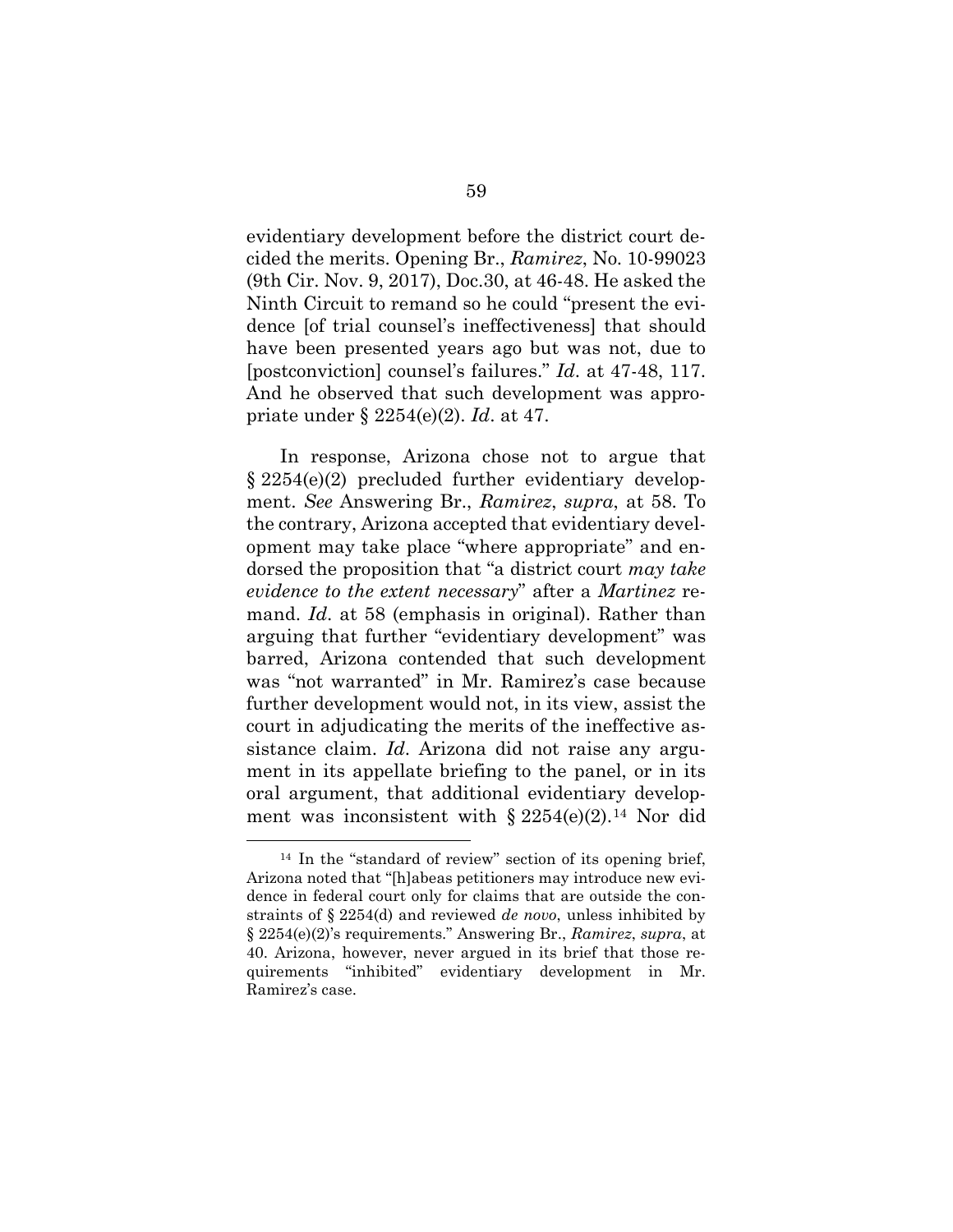evidentiary development before the district court decided the merits. Opening Br., *Ramirez*, No. 10-99023 (9th Cir. Nov. 9, 2017), Doc.30, at 46-48. He asked the Ninth Circuit to remand so he could "present the evidence [of trial counsel's ineffectiveness] that should have been presented years ago but was not, due to [postconviction] counsel's failures." *Id*. at 47-48, 117. And he observed that such development was appropriate under § 2254(e)(2). *Id*. at 47.

In response, Arizona chose not to argue that § 2254(e)(2) precluded further evidentiary development. *See* Answering Br., *Ramirez*, *supra*, at 58. To the contrary, Arizona accepted that evidentiary development may take place "where appropriate" and endorsed the proposition that "a district court *may take evidence to the extent necessary*" after a *Martinez* remand. *Id*. at 58 (emphasis in original). Rather than arguing that further "evidentiary development" was barred, Arizona contended that such development was "not warranted" in Mr. Ramirez's case because further development would not, in its view, assist the court in adjudicating the merits of the ineffective assistance claim. *Id*. Arizona did not raise any argument in its appellate briefing to the panel, or in its oral argument, that additional evidentiary development was inconsistent with  $\S 2254(e)(2)$ .<sup>14</sup> Nor did

<sup>14</sup> In the "standard of review" section of its opening brief, Arizona noted that "[h]abeas petitioners may introduce new evidence in federal court only for claims that are outside the constraints of § 2254(d) and reviewed *de novo*, unless inhibited by § 2254(e)(2)'s requirements." Answering Br., *Ramirez*, *supra*, at 40. Arizona, however, never argued in its brief that those requirements "inhibited" evidentiary development in Mr. Ramirez's case.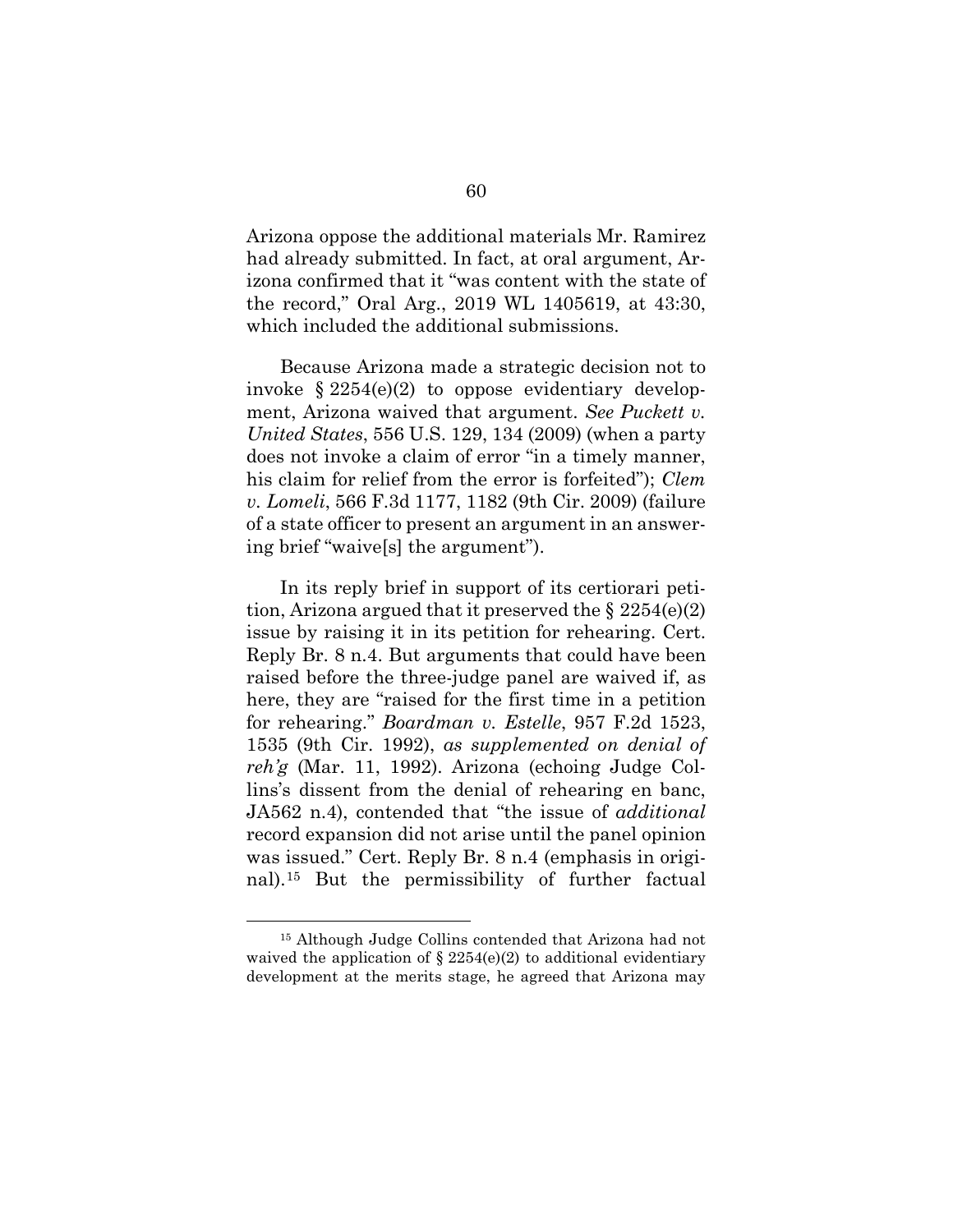Arizona oppose the additional materials Mr. Ramirez had already submitted. In fact, at oral argument, Arizona confirmed that it "was content with the state of the record," Oral Arg., 2019 WL 1405619, at 43:30, which included the additional submissions.

Because Arizona made a strategic decision not to invoke  $\S 2254(e)(2)$  to oppose evidentiary development, Arizona waived that argument. *See Puckett v. United States*, 556 U.S. 129, 134 (2009) (when a party does not invoke a claim of error "in a timely manner, his claim for relief from the error is forfeited"); *Clem v. Lomeli*, 566 F.3d 1177, 1182 (9th Cir. 2009) (failure of a state officer to present an argument in an answering brief "waive[s] the argument").

In its reply brief in support of its certiorari petition, Arizona argued that it preserved the  $\S 2254(e)(2)$ issue by raising it in its petition for rehearing. Cert. Reply Br. 8 n.4. But arguments that could have been raised before the three-judge panel are waived if, as here, they are "raised for the first time in a petition for rehearing." *Boardman v. Estelle*, 957 F.2d 1523, 1535 (9th Cir. 1992), *as supplemented on denial of reh'g* (Mar. 11, 1992). Arizona (echoing Judge Collins's dissent from the denial of rehearing en banc, JA562 n.4), contended that "the issue of *additional* record expansion did not arise until the panel opinion was issued." Cert. Reply Br. 8 n.4 (emphasis in original).15 But the permissibility of further factual

<sup>15</sup> Although Judge Collins contended that Arizona had not waived the application of  $\S 2254(e)(2)$  to additional evidentiary development at the merits stage, he agreed that Arizona may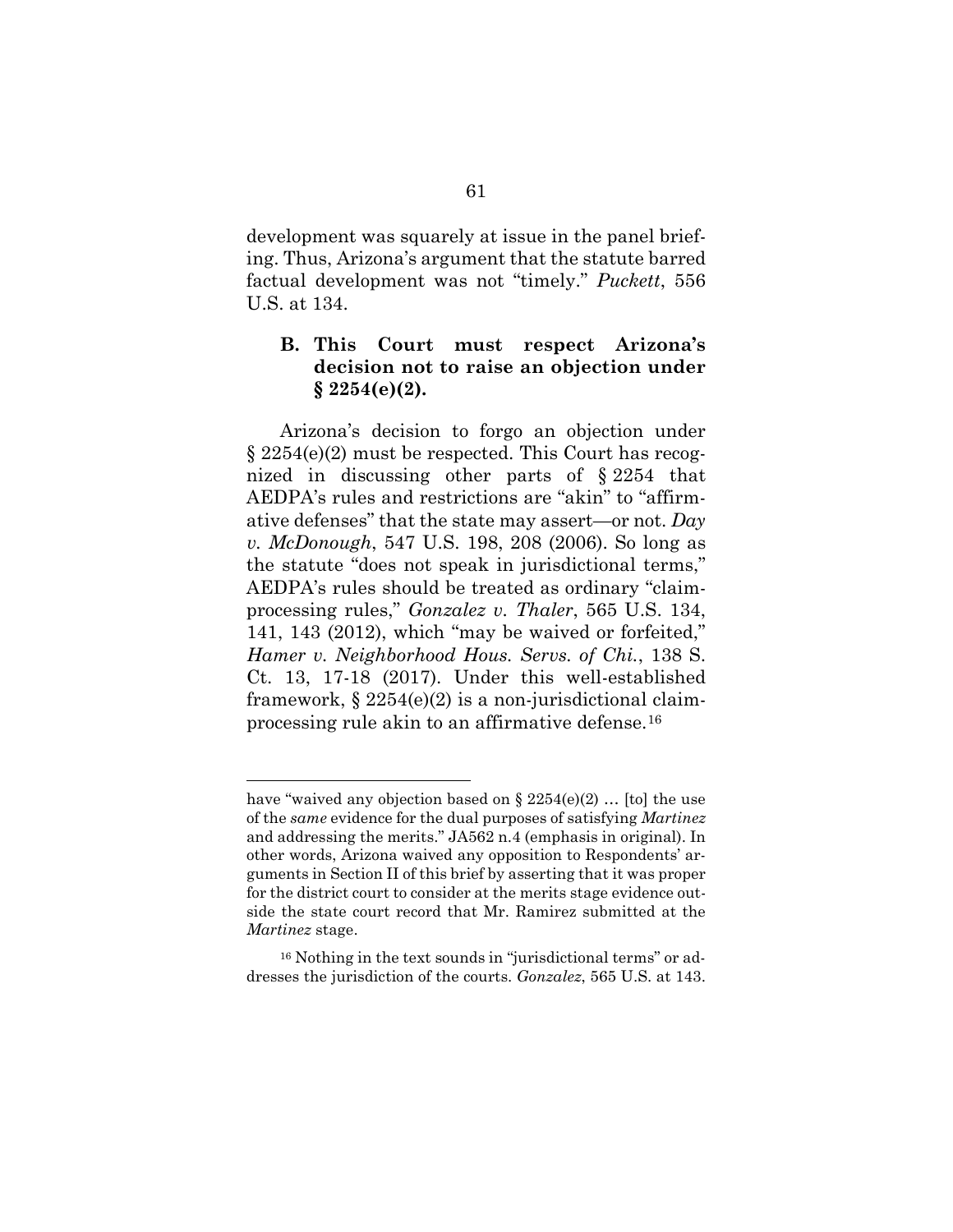development was squarely at issue in the panel briefing. Thus, Arizona's argument that the statute barred factual development was not "timely." *Puckett*, 556 U.S. at 134.

## **B. This Court must respect Arizona's decision not to raise an objection under § 2254(e)(2).**

Arizona's decision to forgo an objection under § 2254(e)(2) must be respected. This Court has recognized in discussing other parts of § 2254 that AEDPA's rules and restrictions are "akin" to "affirmative defenses" that the state may assert—or not. *Day v. McDonough*, 547 U.S. 198, 208 (2006). So long as the statute "does not speak in jurisdictional terms," AEDPA's rules should be treated as ordinary "claimprocessing rules," *Gonzalez v. Thaler*, 565 U.S. 134, 141, 143 (2012), which "may be waived or forfeited," *Hamer v. Neighborhood Hous. Servs. of Chi.*, 138 S. Ct. 13, 17-18 (2017). Under this well-established framework,  $\S 2254(e)(2)$  is a non-jurisdictional claimprocessing rule akin to an affirmative defense.16

have "waived any objection based on  $\S 2254(e)(2)$  ... [to] the use of the *same* evidence for the dual purposes of satisfying *Martinez* and addressing the merits." JA562 n.4 (emphasis in original). In other words, Arizona waived any opposition to Respondents' arguments in Section II of this brief by asserting that it was proper for the district court to consider at the merits stage evidence outside the state court record that Mr. Ramirez submitted at the *Martinez* stage.

<sup>16</sup> Nothing in the text sounds in "jurisdictional terms" or addresses the jurisdiction of the courts. *Gonzalez*, 565 U.S. at 143.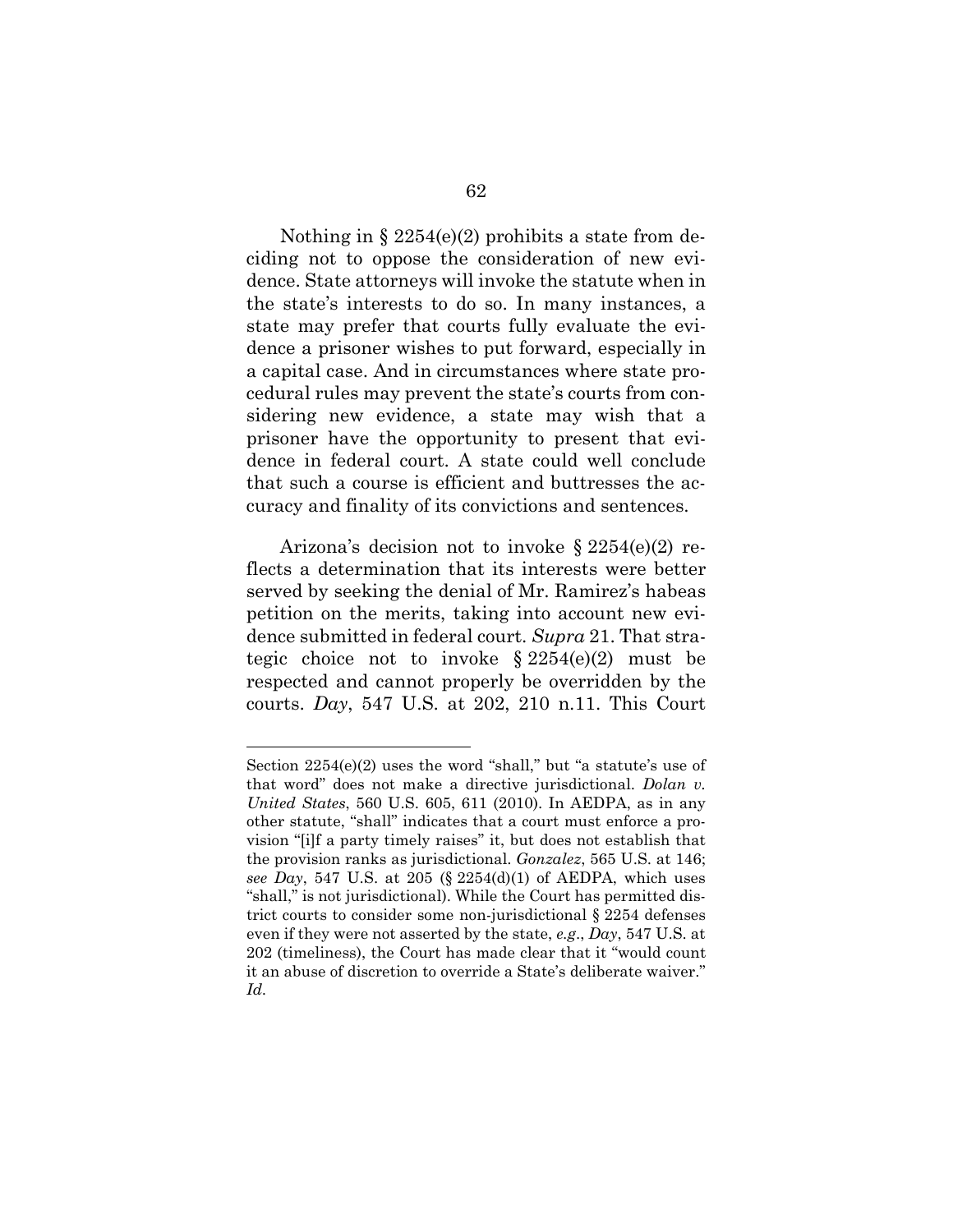Nothing in  $\S 2254(e)(2)$  prohibits a state from deciding not to oppose the consideration of new evidence. State attorneys will invoke the statute when in the state's interests to do so. In many instances, a state may prefer that courts fully evaluate the evidence a prisoner wishes to put forward, especially in a capital case. And in circumstances where state procedural rules may prevent the state's courts from considering new evidence, a state may wish that a prisoner have the opportunity to present that evidence in federal court. A state could well conclude that such a course is efficient and buttresses the accuracy and finality of its convictions and sentences.

Arizona's decision not to invoke  $\S 2254(e)(2)$  reflects a determination that its interests were better served by seeking the denial of Mr. Ramirez's habeas petition on the merits, taking into account new evidence submitted in federal court. *Supra* 21. That strategic choice not to invoke  $\S 2254(e)(2)$  must be respected and cannot properly be overridden by the courts. *Day*, 547 U.S. at 202, 210 n.11. This Court

Section 2254(e)(2) uses the word "shall," but "a statute's use of that word" does not make a directive jurisdictional. *Dolan v. United States*, 560 U.S. 605, 611 (2010). In AEDPA, as in any other statute, "shall" indicates that a court must enforce a provision "[i]f a party timely raises" it, but does not establish that the provision ranks as jurisdictional. *Gonzalez*, 565 U.S. at 146; *see Day*, 547 U.S. at 205 (§ 2254(d)(1) of AEDPA, which uses "shall," is not jurisdictional). While the Court has permitted district courts to consider some non-jurisdictional § 2254 defenses even if they were not asserted by the state, *e.g*., *Day*, 547 U.S. at 202 (timeliness), the Court has made clear that it "would count it an abuse of discretion to override a State's deliberate waiver." *Id.*